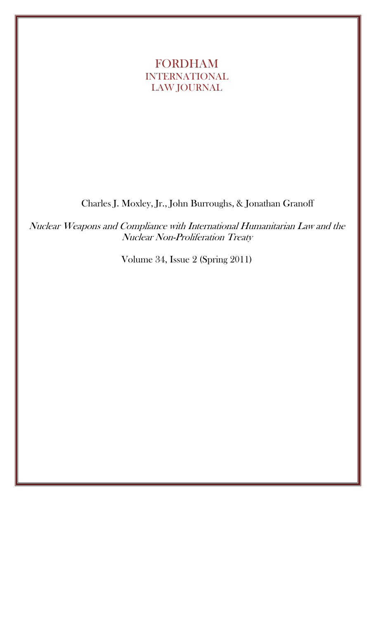# FORDHAM INTERNATIONAL LAW JOURNAL

Charles J. Moxley, Jr., John Burroughs, & Jonathan Granoff

Nuclear Weapons and Compliance with International Humanitarian Law and the Nuclear Non-Proliferation Treaty

Volume 34, Issue 2 (Spring 2011)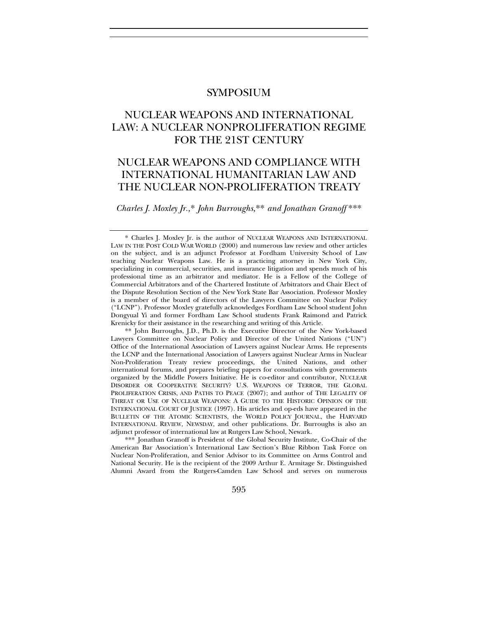# SYMPOSIUM

# NUCLEAR WEAPONS AND INTERNATIONAL LAW: A NUCLEAR NONPROLIFERATION REGIME FOR THE 21ST CENTURY

# NUCLEAR WEAPONS AND COMPLIANCE WITH INTERNATIONAL HUMANITARIAN LAW AND THE NUCLEAR NON-PROLIFERATION TREATY

*Charles J. Moxley Jr.,*\* *John Burroughs,*\*\* *and Jonathan Granoff* \*\*\*

\* Charles J. Moxley Jr. is the author of NUCLEAR WEAPONS AND INTERNATIONAL LAW IN THE POST COLD WAR WORLD (2000) and numerous law review and other articles on the subject, and is an adjunct Professor at Fordham University School of Law teaching Nuclear Weapons Law. He is a practicing attorney in New York City, specializing in commercial, securities, and insurance litigation and spends much of his professional time as an arbitrator and mediator. He is a Fellow of the College of Commercial Arbitrators and of the Chartered Institute of Arbitrators and Chair Elect of the Dispute Resolution Section of the New York State Bar Association. Professor Moxley is a member of the board of directors of the Lawyers Committee on Nuclear Policy ("LCNP"). Professor Moxley gratefully acknowledges Fordham Law School student John Dongyual Yi and former Fordham Law School students Frank Raimond and Patrick Krenicky for their assistance in the researching and writing of this Article.

\*\* John Burroughs, J.D., Ph.D. is the Executive Director of the New York-based Lawyers Committee on Nuclear Policy and Director of the United Nations ("UN") Office of the International Association of Lawyers against Nuclear Arms. He represents the LCNP and the International Association of Lawyers against Nuclear Arms in Nuclear Non-Proliferation Treaty review proceedings, the United Nations, and other international forums, and prepares briefing papers for consultations with governments organized by the Middle Powers Initiative. He is co-editor and contributor, NUCLEAR DISORDER OR COOPERATIVE SECURITY? U.S. WEAPONS OF TERROR, THE GLOBAL PROLIFERATION CRISIS, AND PATHS TO PEACE (2007); and author of THE LEGALITY OF THREAT OR USE OF NUCLEAR WEAPONS: A GUIDE TO THE HISTORIC OPINION OF THE INTERNATIONAL COURT OF JUSTICE (1997). His articles and op-eds have appeared in the BULLETIN OF THE ATOMIC SCIENTISTS, the WORLD POLICY JOURNAL, the HARVARD INTERNATIONAL REVIEW, NEWSDAY, and other publications. Dr. Burroughs is also an adjunct professor of international law at Rutgers Law School, Newark.

\*\*\* Jonathan Granoff is President of the Global Security Institute, Co-Chair of the American Bar Association's International Law Section's Blue Ribbon Task Force on Nuclear Non-Proliferation, and Senior Advisor to its Committee on Arms Control and National Security. He is the recipient of the 2009 Arthur E. Armitage Sr. Distinguished Alumni Award from the Rutgers-Camden Law School and serves on numerous

595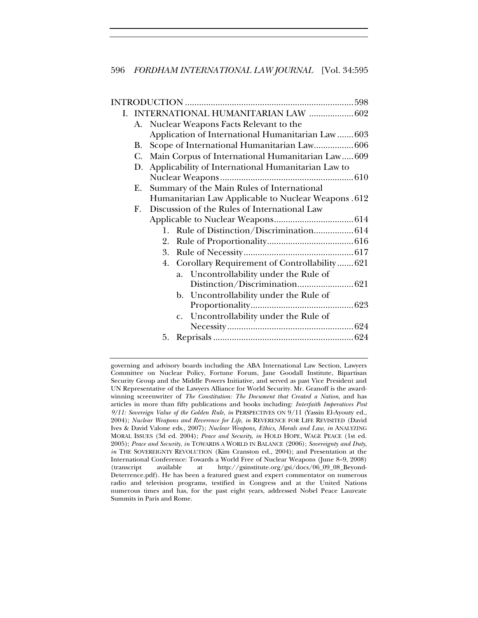|    |                                                    | I. INTERNATIONAL HUMANITARIAN LAW  602                |  |  |
|----|----------------------------------------------------|-------------------------------------------------------|--|--|
| А. |                                                    | Nuclear Weapons Facts Relevant to the                 |  |  |
|    |                                                    | Application of International Humanitarian Law603      |  |  |
| В. | Scope of International Humanitarian Law 606        |                                                       |  |  |
| C. |                                                    | Main Corpus of International Humanitarian Law609      |  |  |
| D. | Applicability of International Humanitarian Law to |                                                       |  |  |
|    |                                                    |                                                       |  |  |
| Е. |                                                    | Summary of the Main Rules of International            |  |  |
|    |                                                    | Humanitarian Law Applicable to Nuclear Weapons .612   |  |  |
| F. |                                                    | Discussion of the Rules of International Law          |  |  |
|    |                                                    |                                                       |  |  |
|    | 1.                                                 | Rule of Distinction/Discrimination 614                |  |  |
|    | 2.                                                 |                                                       |  |  |
|    | 3.                                                 |                                                       |  |  |
|    | 4.                                                 | Corollary Requirement of Controllability 621          |  |  |
|    |                                                    | a. Uncontrollability under the Rule of                |  |  |
|    |                                                    |                                                       |  |  |
|    |                                                    | b. Uncontrollability under the Rule of                |  |  |
|    |                                                    |                                                       |  |  |
|    |                                                    | Uncontrollability under the Rule of<br>$\mathbf{C}$ . |  |  |
|    |                                                    |                                                       |  |  |
|    | 5.                                                 |                                                       |  |  |
|    |                                                    |                                                       |  |  |

governing and advisory boards including the ABA International Law Section, Lawyers Committee on Nuclear Policy, Fortune Forum, Jane Goodall Institute, Bipartisan Security Group and the Middle Powers Initiative, and served as past Vice President and UN Representative of the Lawyers Alliance for World Security. Mr. Granoff is the awardwinning screenwriter of *The Constitution: The Document that Created a Nation*, and has articles in more than fifty publications and books including: *Interfaith Imperatives Post 9/11: Sovereign Value of the Golden Rule*, *in* PERSPECTIVES ON 9/11 (Yassin El-Ayouty ed., 2004); *Nuclear Weapons and Reverence for Life*, *in* REVERENCE FOR LIFE REVISITED (David Ives & David Valone eds., 2007); *Nuclear Weapons, Ethics, Morals and Law*, *in* ANALYZING MORAL ISSUES (3d ed. 2004); *Peace and Security*, *in* HOLD HOPE, WAGE PEACE (1st ed. 2005); *Peace and Security*, *in* TOWARDS A WORLD IN BALANCE (2006); *Sovereignty and Duty*, *in* THE SOVEREIGNTY REVOLUTION (Kim Cranston ed., 2004); and Presentation at the International Conference: Towards a World Free of Nuclear Weapons (June 8–9, 2008) (transcript available at http://gsinstitute.org/gsi/docs/06\_09\_08\_Beyond-Deterrence.pdf). He has been a featured guest and expert commentator on numerous radio and television programs, testified in Congress and at the United Nations numerous times and has, for the past eight years, addressed Nobel Peace Laureate Summits in Paris and Rome.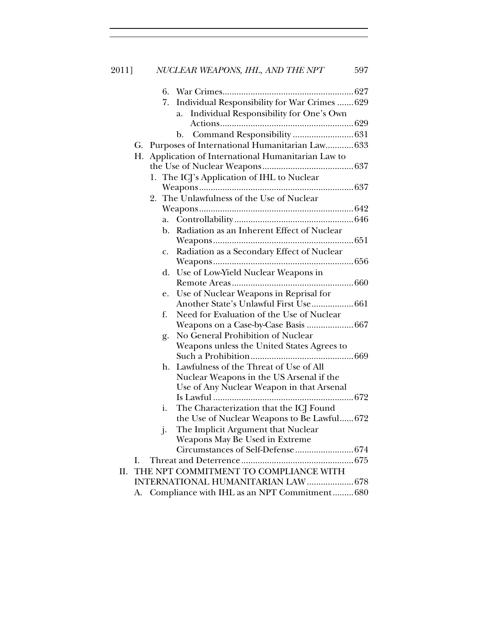| 2011] | NUCLEAR WEAPONS, IHL, AND THE NPT                                         | 597 |
|-------|---------------------------------------------------------------------------|-----|
|       | 6.                                                                        |     |
|       | Individual Responsibility for War Crimes  629<br>7.                       |     |
|       | Individual Responsibility for One's Own<br>a.                             |     |
|       |                                                                           |     |
|       | b.                                                                        |     |
|       | G. Purposes of International Humanitarian Law 633                         |     |
| Н.    | Application of International Humanitarian Law to                          |     |
|       |                                                                           |     |
|       | 1. The ICJ's Application of IHL to Nuclear                                |     |
|       |                                                                           |     |
|       | 2. The Unlawfulness of the Use of Nuclear                                 |     |
|       |                                                                           |     |
|       | a.                                                                        |     |
|       | Radiation as an Inherent Effect of Nuclear<br>b.                          |     |
|       |                                                                           |     |
|       | Radiation as a Secondary Effect of Nuclear<br>C.                          |     |
|       |                                                                           |     |
|       | Use of Low-Yield Nuclear Weapons in<br>d.                                 |     |
|       |                                                                           |     |
|       | Use of Nuclear Weapons in Reprisal for<br>e.                              |     |
|       |                                                                           |     |
|       | Need for Evaluation of the Use of Nuclear<br>f.                           |     |
|       | Weapons on a Case-by-Case Basis  667<br>No General Prohibition of Nuclear |     |
|       | g.<br>Weapons unless the United States Agrees to                          |     |
|       |                                                                           |     |
|       | Lawfulness of the Threat of Use of All<br>h.                              |     |
|       | Nuclear Weapons in the US Arsenal if the                                  |     |
|       | Use of Any Nuclear Weapon in that Arsenal                                 |     |
|       |                                                                           |     |
|       | The Characterization that the ICJ Found<br>1.                             |     |
|       | the Use of Nuclear Weapons to Be Lawful 672                               |     |
|       | The Implicit Argument that Nuclear<br>$\mathbf{i}$ .                      |     |
|       | Weapons May Be Used in Extreme                                            |     |
|       |                                                                           |     |
| L.    |                                                                           |     |
| II.   | THE NPT COMMITMENT TO COMPLIANCE WITH                                     |     |
|       | INTERNATIONAL HUMANITARIAN LAW  678                                       |     |
| A.    | Compliance with IHL as an NPT Commitment 680                              |     |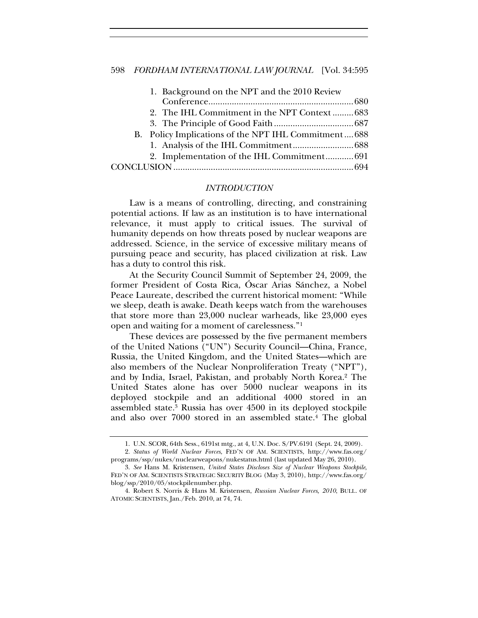#### 598 *FORDHAM INTERNATIONAL LAW JOURNAL* [Vol. 34:595

| 1. Background on the NPT and the 2010 Review         |  |
|------------------------------------------------------|--|
|                                                      |  |
| 2. The IHL Commitment in the NPT Context  683        |  |
|                                                      |  |
| B. Policy Implications of the NPT IHL Commitment 688 |  |
|                                                      |  |
| 2. Implementation of the IHL Commitment691           |  |
|                                                      |  |
|                                                      |  |

#### *INTRODUCTION*

Law is a means of controlling, directing, and constraining potential actions. If law as an institution is to have international relevance, it must apply to critical issues. The survival of humanity depends on how threats posed by nuclear weapons are addressed. Science, in the service of excessive military means of pursuing peace and security, has placed civilization at risk. Law has a duty to control this risk.

At the Security Council Summit of September 24, 2009, the former President of Costa Rica, Óscar Arias Sánchez, a Nobel Peace Laureate, described the current historical moment: "While we sleep, death is awake. Death keeps watch from the warehouses that store more than 23,000 nuclear warheads, like 23,000 eyes open and waiting for a moment of carelessness."1

These devices are possessed by the five permanent members of the United Nations ("UN") Security Council—China, France, Russia, the United Kingdom, and the United States—which are also members of the Nuclear Nonproliferation Treaty ("NPT"), and by India, Israel, Pakistan, and probably North Korea.2 The United States alone has over 5000 nuclear weapons in its deployed stockpile and an additional 4000 stored in an assembled state. $3$  Russia has over 4500 in its deployed stockpile and also over 7000 stored in an assembled state.4 The global

<sup>1.</sup> U.N. SCOR, 64th Sess., 6191st mtg., at 4, U.N. Doc. S/PV.6191 (Sept. 24, 2009).

<sup>2.</sup> *Status of World Nuclear Forces*, FED'N OF AM. SCIENTISTS, http://www.fas.org/ programs/ssp/nukes/nuclearweapons/nukestatus.html (last updated May 26, 2010).

<sup>3.</sup> *See* Hans M. Kristensen, *United States Discloses Size of Nuclear Weapons Stockpile*, FED'N OF AM. SCIENTISTS STRATEGIC SECURITY BLOG (May 3, 2010), http://www.fas.org/ blog/ssp/2010/05/stockpilenumber.php.

<sup>4.</sup> Robert S. Norris & Hans M. Kristensen, *Russian Nuclear Forces, 2010*, BULL. OF ATOMIC SCIENTISTS, Jan./Feb. 2010, at 74, 74.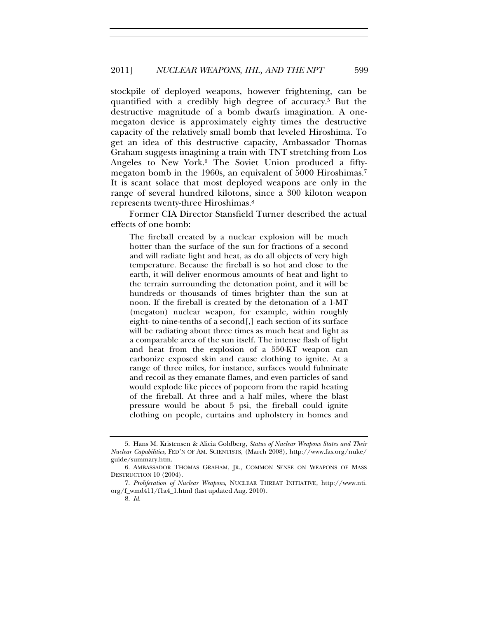stockpile of deployed weapons, however frightening, can be quantified with a credibly high degree of accuracy.5 But the destructive magnitude of a bomb dwarfs imagination. A onemegaton device is approximately eighty times the destructive capacity of the relatively small bomb that leveled Hiroshima. To get an idea of this destructive capacity, Ambassador Thomas Graham suggests imagining a train with TNT stretching from Los Angeles to New York.6 The Soviet Union produced a fiftymegaton bomb in the 1960s, an equivalent of 5000 Hiroshimas.7 It is scant solace that most deployed weapons are only in the range of several hundred kilotons, since a 300 kiloton weapon represents twenty-three Hiroshimas.8

Former CIA Director Stansfield Turner described the actual effects of one bomb:

The fireball created by a nuclear explosion will be much hotter than the surface of the sun for fractions of a second and will radiate light and heat, as do all objects of very high temperature. Because the fireball is so hot and close to the earth, it will deliver enormous amounts of heat and light to the terrain surrounding the detonation point, and it will be hundreds or thousands of times brighter than the sun at noon. If the fireball is created by the detonation of a 1-MT (megaton) nuclear weapon, for example, within roughly eight- to nine-tenths of a second[,] each section of its surface will be radiating about three times as much heat and light as a comparable area of the sun itself. The intense flash of light and heat from the explosion of a 550-KT weapon can carbonize exposed skin and cause clothing to ignite. At a range of three miles, for instance, surfaces would fulminate and recoil as they emanate flames, and even particles of sand would explode like pieces of popcorn from the rapid heating of the fireball. At three and a half miles, where the blast pressure would be about 5 psi, the fireball could ignite clothing on people, curtains and upholstery in homes and

<sup>5.</sup> Hans M. Kristensen & Alicia Goldberg, *Status of Nuclear Weapons States and Their Nuclear Capabilities*, FED'N OF AM. SCIENTISTS, (March 2008), http://www.fas.org/nuke/ guide/summary.htm.

<sup>6.</sup> AMBASSADOR THOMAS GRAHAM, JR., COMMON SENSE ON WEAPONS OF MASS DESTRUCTION 10 (2004).

<sup>7.</sup> *Proliferation of Nuclear Weapons*, NUCLEAR THREAT INITIATIVE, http://www.nti. org/f\_wmd411/f1a4\_1.html (last updated Aug. 2010).

<sup>8.</sup> *Id.*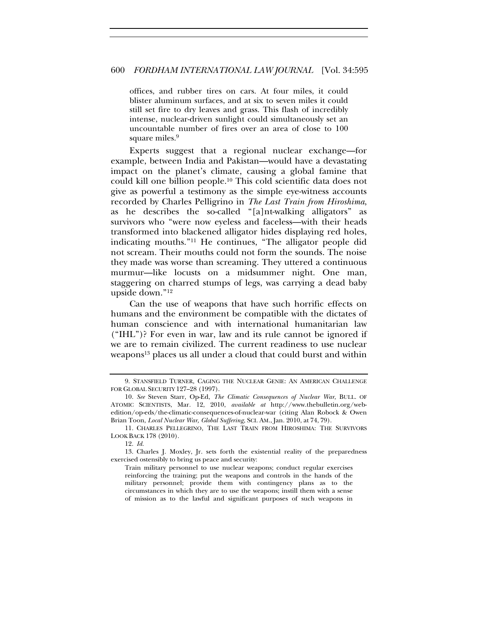offices, and rubber tires on cars. At four miles, it could blister aluminum surfaces, and at six to seven miles it could still set fire to dry leaves and grass. This flash of incredibly intense, nuclear-driven sunlight could simultaneously set an uncountable number of fires over an area of close to 100 square miles.<sup>9</sup>

Experts suggest that a regional nuclear exchange—for example, between India and Pakistan—would have a devastating impact on the planet's climate, causing a global famine that could kill one billion people.10 This cold scientific data does not give as powerful a testimony as the simple eye-witness accounts recorded by Charles Pelligrino in *The Last Train from Hiroshima*, as he describes the so-called "[a]nt-walking alligators" as survivors who "were now eyeless and faceless—with their heads transformed into blackened alligator hides displaying red holes, indicating mouths."11 He continues, "The alligator people did not scream. Their mouths could not form the sounds. The noise they made was worse than screaming. They uttered a continuous murmur—like locusts on a midsummer night. One man, staggering on charred stumps of legs, was carrying a dead baby upside down."12

Can the use of weapons that have such horrific effects on humans and the environment be compatible with the dictates of human conscience and with international humanitarian law ("IHL")? For even in war, law and its rule cannot be ignored if we are to remain civilized. The current readiness to use nuclear weapons13 places us all under a cloud that could burst and within

<sup>9.</sup> STANSFIELD TURNER, CAGING THE NUCLEAR GENIE: AN AMERICAN CHALLENGE FOR GLOBAL SECURITY 127–28 (1997).

<sup>10.</sup> *See* Steven Starr, Op-Ed, *The Climatic Consequences of Nuclear War*, BULL. OF ATOMIC SCIENTISTS, Mar. 12, 2010, *available at* http://www.thebulletin.org/webedition/op-eds/the-climatic-consequences-of-nuclear-war (citing Alan Robock & Owen Brian Toon, *Local Nuclear War, Global Suffering*, SCI. AM., Jan. 2010, at 74, 79).

<sup>11.</sup> CHARLES PELLEGRINO, THE LAST TRAIN FROM HIROSHIMA: THE SURVIVORS LOOK BACK 178 (2010).

<sup>12.</sup> *Id.*

<sup>13.</sup> Charles J. Moxley, Jr. sets forth the existential reality of the preparedness exercised ostensibly to bring us peace and security:

Train military personnel to use nuclear weapons; conduct regular exercises reinforcing the training; put the weapons and controls in the hands of the military personnel; provide them with contingency plans as to the circumstances in which they are to use the weapons; instill them with a sense of mission as to the lawful and significant purposes of such weapons in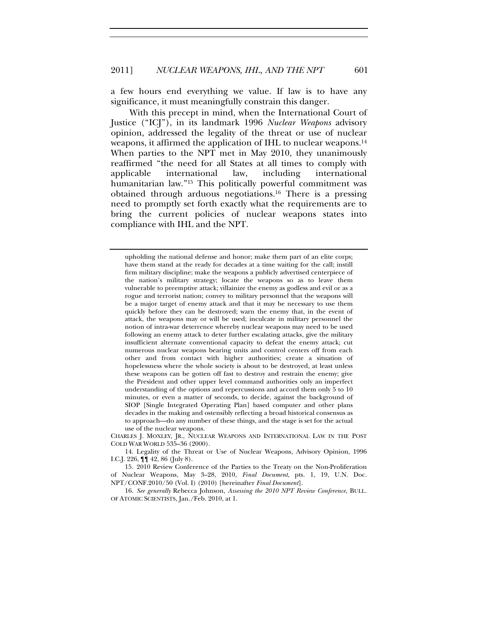a few hours end everything we value. If law is to have any significance, it must meaningfully constrain this danger.

With this precept in mind, when the International Court of Justice ("ICJ"), in its landmark 1996 *Nuclear Weapons* advisory opinion, addressed the legality of the threat or use of nuclear weapons, it affirmed the application of IHL to nuclear weapons.14 When parties to the NPT met in May 2010, they unanimously reaffirmed "the need for all States at all times to comply with<br>applicable international law, including international applicable international law, including international humanitarian law."15 This politically powerful commitment was obtained through arduous negotiations.16 There is a pressing need to promptly set forth exactly what the requirements are to bring the current policies of nuclear weapons states into compliance with IHL and the NPT.

14. Legality of the Threat or Use of Nuclear Weapons, Advisory Opinion, 1996 I.C.J. 226, ¶¶ 42, 86 (July 8).

15. 2010 Review Conference of the Parties to the Treaty on the Non-Proliferation of Nuclear Weapons, May 3–28, 2010, *Final Document*, pts. 1, 19, U.N. Doc. NPT/CONF.2010/50 (Vol. I) (2010) [hereinafter *Final Document*].

16. *See generally* Rebecca Johnson, *Assessing the 2010 NPT Review Conference*, BULL. OF ATOMIC SCIENTISTS, Jan./Feb. 2010, at 1.

upholding the national defense and honor; make them part of an elite corps; have them stand at the ready for decades at a time waiting for the call; instill firm military discipline; make the weapons a publicly advertised centerpiece of the nation's military strategy; locate the weapons so as to leave them vulnerable to preemptive attack; villainize the enemy as godless and evil or as a rogue and terrorist nation; convey to military personnel that the weapons will be a major target of enemy attack and that it may be necessary to use them quickly before they can be destroyed; warn the enemy that, in the event of attack, the weapons may or will be used; inculcate in military personnel the notion of intra-war deterrence whereby nuclear weapons may need to be used following an enemy attack to deter further escalating attacks, give the military insufficient alternate conventional capacity to defeat the enemy attack; cut numerous nuclear weapons bearing units and control centers off from each other and from contact with higher authorities; create a situation of hopelessness where the whole society is about to be destroyed, at least unless these weapons can be gotten off fast to destroy and restrain the enemy; give the President and other upper level command authorities only an imperfect understanding of the options and repercussions and accord them only 5 to 10 minutes, or even a matter of seconds, to decide, against the background of SIOP [Single Integrated Operating Plan] based computer and other plans decades in the making and ostensibly reflecting a broad historical consensus as to approach—do any number of these things, and the stage is set for the actual use of the nuclear weapons.

CHARLES J. MOXLEY, JR., NUCLEAR WEAPONS AND INTERNATIONAL LAW IN THE POST COLD WAR WORLD 535–36 (2000).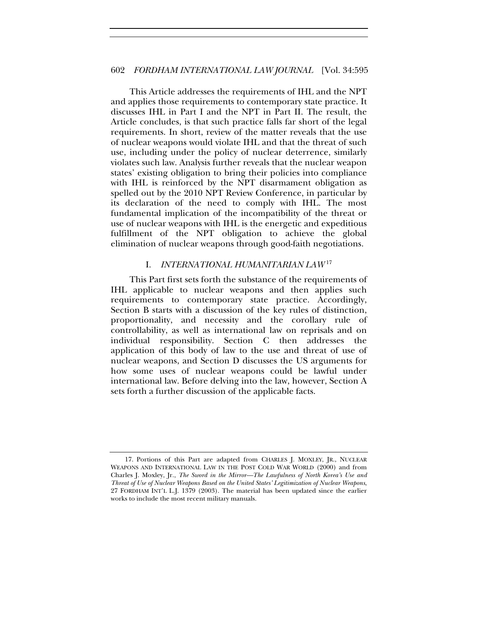This Article addresses the requirements of IHL and the NPT and applies those requirements to contemporary state practice. It discusses IHL in Part I and the NPT in Part II. The result, the Article concludes, is that such practice falls far short of the legal requirements. In short, review of the matter reveals that the use of nuclear weapons would violate IHL and that the threat of such use, including under the policy of nuclear deterrence, similarly violates such law. Analysis further reveals that the nuclear weapon states' existing obligation to bring their policies into compliance with IHL is reinforced by the NPT disarmament obligation as spelled out by the 2010 NPT Review Conference, in particular by its declaration of the need to comply with IHL. The most fundamental implication of the incompatibility of the threat or use of nuclear weapons with IHL is the energetic and expeditious fulfillment of the NPT obligation to achieve the global elimination of nuclear weapons through good-faith negotiations.

#### I. *INTERNATIONAL HUMANITARIAN LAW* <sup>17</sup>

This Part first sets forth the substance of the requirements of IHL applicable to nuclear weapons and then applies such requirements to contemporary state practice. Accordingly, Section B starts with a discussion of the key rules of distinction, proportionality, and necessity and the corollary rule of controllability, as well as international law on reprisals and on individual responsibility. Section C then addresses the application of this body of law to the use and threat of use of nuclear weapons, and Section D discusses the US arguments for how some uses of nuclear weapons could be lawful under international law. Before delving into the law, however, Section A sets forth a further discussion of the applicable facts.

<sup>17.</sup> Portions of this Part are adapted from CHARLES J. MOXLEY, JR., NUCLEAR WEAPONS AND INTERNATIONAL LAW IN THE POST COLD WAR WORLD (2000) and from Charles J. Moxley, Jr., *The Sword in the Mirror—The Lawfulness of North Korea's Use and Threat of Use of Nuclear Weapons Based on the United States' Legitimization of Nuclear Weapons*, 27 FORDHAM INT'L L.J. 1379 (2003). The material has been updated since the earlier works to include the most recent military manuals.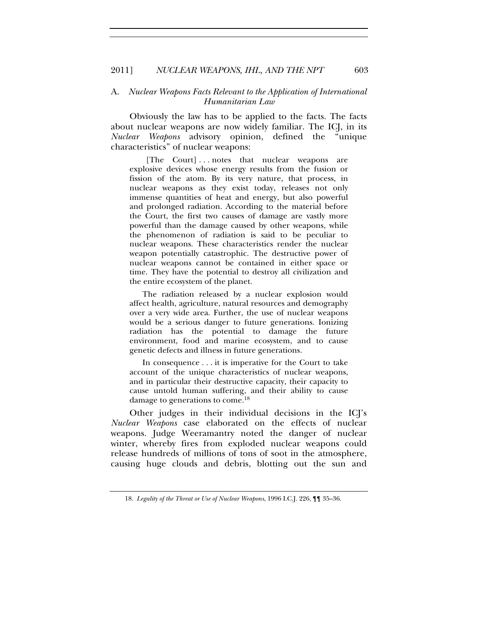# A. *Nuclear Weapons Facts Relevant to the Application of International Humanitarian Law*

Obviously the law has to be applied to the facts. The facts about nuclear weapons are now widely familiar. The ICJ, in its *Nuclear Weapons* advisory opinion, defined the "unique characteristics" of nuclear weapons:

[The Court] . . . notes that nuclear weapons are explosive devices whose energy results from the fusion or fission of the atom. By its very nature, that process, in nuclear weapons as they exist today, releases not only immense quantities of heat and energy, but also powerful and prolonged radiation. According to the material before the Court, the first two causes of damage are vastly more powerful than the damage caused by other weapons, while the phenomenon of radiation is said to be peculiar to nuclear weapons. These characteristics render the nuclear weapon potentially catastrophic. The destructive power of nuclear weapons cannot be contained in either space or time. They have the potential to destroy all civilization and the entire ecosystem of the planet.

The radiation released by a nuclear explosion would affect health, agriculture, natural resources and demography over a very wide area. Further, the use of nuclear weapons would be a serious danger to future generations. Ionizing radiation has the potential to damage the future environment, food and marine ecosystem, and to cause genetic defects and illness in future generations.

In consequence . . . it is imperative for the Court to take account of the unique characteristics of nuclear weapons, and in particular their destructive capacity, their capacity to cause untold human suffering, and their ability to cause damage to generations to come.18

Other judges in their individual decisions in the ICJ's *Nuclear Weapons* case elaborated on the effects of nuclear weapons. Judge Weeramantry noted the danger of nuclear winter, whereby fires from exploded nuclear weapons could release hundreds of millions of tons of soot in the atmosphere, causing huge clouds and debris, blotting out the sun and

<sup>18.</sup> *Legality of the Threat or Use of Nuclear Weapons*, 1996 I.C.J. 226, ¶¶ 35–36.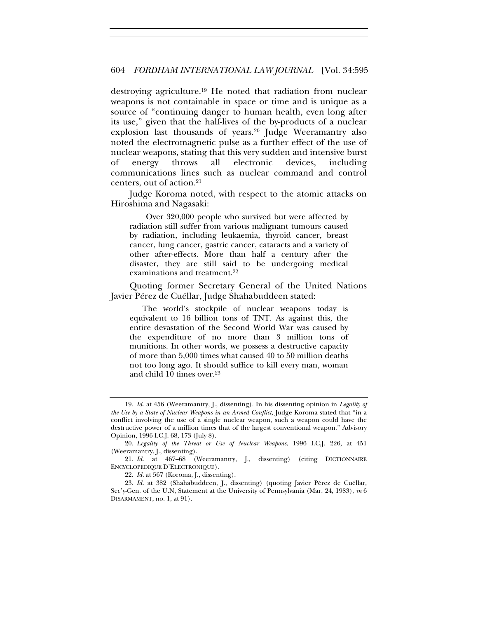destroying agriculture.19 He noted that radiation from nuclear weapons is not containable in space or time and is unique as a source of "continuing danger to human health, even long after its use," given that the half-lives of the by-products of a nuclear explosion last thousands of years.20 Judge Weeramantry also noted the electromagnetic pulse as a further effect of the use of nuclear weapons, stating that this very sudden and intensive burst of energy throws all electronic devices, including communications lines such as nuclear command and control centers, out of action.21

Judge Koroma noted, with respect to the atomic attacks on Hiroshima and Nagasaki:

Over 320,000 people who survived but were affected by radiation still suffer from various malignant tumours caused by radiation, including leukaemia, thyroid cancer, breast cancer, lung cancer, gastric cancer, cataracts and a variety of other after-effects. More than half a century after the disaster, they are still said to be undergoing medical examinations and treatment.<sup>22</sup>

Quoting former Secretary General of the United Nations Javier Pérez de Cuéllar, Judge Shahabuddeen stated:

The world's stockpile of nuclear weapons today is equivalent to 16 billion tons of TNT. As against this, the entire devastation of the Second World War was caused by the expenditure of no more than 3 million tons of munitions. In other words, we possess a destructive capacity of more than 5,000 times what caused 40 to 50 million deaths not too long ago. It should suffice to kill every man, woman and child 10 times over.23

<sup>19.</sup> *Id.* at 456 (Weeramantry, J., dissenting). In his dissenting opinion in *Legality of the Use by a State of Nuclear Weapons in an Armed Conflict*, Judge Koroma stated that "in a conflict involving the use of a single nuclear weapon, such a weapon could have the destructive power of a million times that of the largest conventional weapon." Advisory Opinion, 1996 I.C.J. 68, 173 (July 8).

<sup>20.</sup> *Legality of the Threat or Use of Nuclear Weapons*, 1996 I.C.J. 226, at 451 (Weeramantry, J., dissenting).

<sup>21.</sup> *Id.* at 467–68 (Weeramantry, J., dissenting) (citing DICTIONNAIRE ENCYCLOPEDIQUE D'ELECTRONIQUE).

<sup>22.</sup> *Id.* at 567 (Koroma, J., dissenting).

<sup>23.</sup> *Id.* at 382 (Shahabuddeen, J., dissenting) (quoting Javier Pérez de Cuéllar, Sec'y-Gen. of the U.N, Statement at the University of Pennsylvania (Mar. 24, 1983), *in* 6 DISARMAMENT, no. 1, at 91).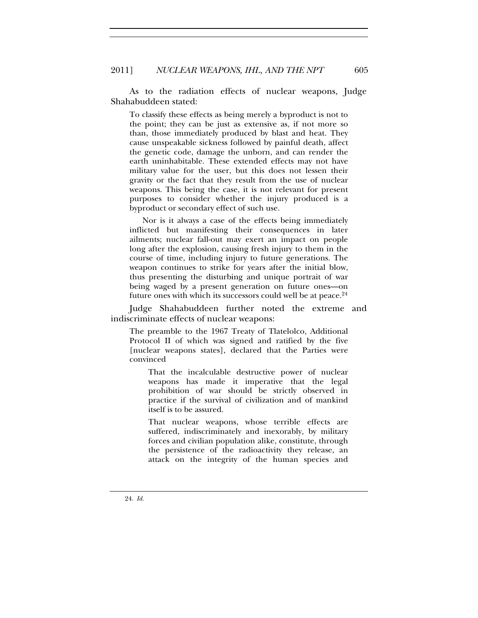As to the radiation effects of nuclear weapons, Judge Shahabuddeen stated:

To classify these effects as being merely a byproduct is not to the point; they can be just as extensive as, if not more so than, those immediately produced by blast and heat. They cause unspeakable sickness followed by painful death, affect the genetic code, damage the unborn, and can render the earth uninhabitable. These extended effects may not have military value for the user, but this does not lessen their gravity or the fact that they result from the use of nuclear weapons. This being the case, it is not relevant for present purposes to consider whether the injury produced is a byproduct or secondary effect of such use.

Nor is it always a case of the effects being immediately inflicted but manifesting their consequences in later ailments; nuclear fall-out may exert an impact on people long after the explosion, causing fresh injury to them in the course of time, including injury to future generations. The weapon continues to strike for years after the initial blow, thus presenting the disturbing and unique portrait of war being waged by a present generation on future ones—on future ones with which its successors could well be at peace.<sup>24</sup>

Judge Shahabuddeen further noted the extreme and indiscriminate effects of nuclear weapons:

The preamble to the 1967 Treaty of Tlatelolco, Additional Protocol II of which was signed and ratified by the five [nuclear weapons states], declared that the Parties were convinced

That the incalculable destructive power of nuclear weapons has made it imperative that the legal prohibition of war should be strictly observed in practice if the survival of civilization and of mankind itself is to be assured.

That nuclear weapons, whose terrible effects are suffered, indiscriminately and inexorably, by military forces and civilian population alike, constitute, through the persistence of the radioactivity they release, an attack on the integrity of the human species and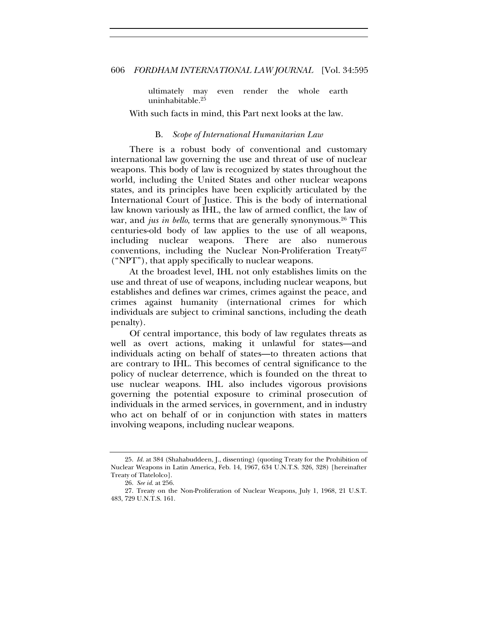ultimately may even render the whole earth uninhabitable.25

With such facts in mind, this Part next looks at the law.

# B. *Scope of International Humanitarian Law*

There is a robust body of conventional and customary international law governing the use and threat of use of nuclear weapons. This body of law is recognized by states throughout the world, including the United States and other nuclear weapons states, and its principles have been explicitly articulated by the International Court of Justice. This is the body of international law known variously as IHL, the law of armed conflict, the law of war, and *jus in bello*, terms that are generally synonymous.<sup>26</sup> This centuries-old body of law applies to the use of all weapons, including nuclear weapons. There are also numerous conventions, including the Nuclear Non-Proliferation Treaty<sup>27</sup> ("NPT"), that apply specifically to nuclear weapons.

At the broadest level, IHL not only establishes limits on the use and threat of use of weapons, including nuclear weapons, but establishes and defines war crimes, crimes against the peace, and crimes against humanity (international crimes for which individuals are subject to criminal sanctions, including the death penalty).

Of central importance, this body of law regulates threats as well as overt actions, making it unlawful for states—and individuals acting on behalf of states—to threaten actions that are contrary to IHL. This becomes of central significance to the policy of nuclear deterrence, which is founded on the threat to use nuclear weapons. IHL also includes vigorous provisions governing the potential exposure to criminal prosecution of individuals in the armed services, in government, and in industry who act on behalf of or in conjunction with states in matters involving weapons, including nuclear weapons.

<sup>25.</sup> *Id.* at 384 (Shahabuddeen, J., dissenting) (quoting Treaty for the Prohibition of Nuclear Weapons in Latin America, Feb. 14, 1967, 634 U.N.T.S. 326, 328) [hereinafter Treaty of Tlatelolco].

<sup>26.</sup> *See id.* at 256.

<sup>27.</sup> Treaty on the Non-Proliferation of Nuclear Weapons, July 1, 1968, 21 U.S.T. 483, 729 U.N.T.S. 161.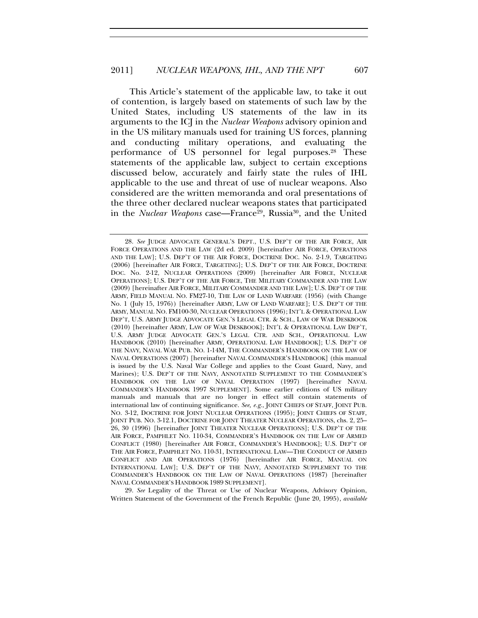This Article's statement of the applicable law, to take it out of contention, is largely based on statements of such law by the United States, including US statements of the law in its arguments to the ICJ in the *Nuclear Weapons* advisory opinion and in the US military manuals used for training US forces, planning and conducting military operations, and evaluating the performance of US personnel for legal purposes.28 These statements of the applicable law, subject to certain exceptions discussed below, accurately and fairly state the rules of IHL applicable to the use and threat of use of nuclear weapons. Also considered are the written memoranda and oral presentations of the three other declared nuclear weapons states that participated in the *Nuclear Weapons* case—France<sup>29</sup>, Russia<sup>30</sup>, and the United

29. *See* Legality of the Threat or Use of Nuclear Weapons, Advisory Opinion, Written Statement of the Government of the French Republic (June 20, 1995), *available* 

<sup>28.</sup> *See* JUDGE ADVOCATE GENERAL'S DEPT., U.S. DEP'T OF THE AIR FORCE, AIR FORCE OPERATIONS AND THE LAW (2d ed. 2009) [hereinafter AIR FORCE, OPERATIONS AND THE LAW]; U.S. DEP'T OF THE AIR FORCE, DOCTRINE DOC. No. 2-1.9, TARGETING (2006) [hereinafter AIR FORCE, TARGETING]; U.S. DEP'T OF THE AIR FORCE, DOCTRINE DOC. No. 2-12, NUCLEAR OPERATIONS (2009) [hereinafter AIR FORCE, NUCLEAR OPERATIONS]; U.S. DEP'T OF THE AIR FORCE, THE MILITARY COMMANDER AND THE LAW (2009) [hereinafter AIR FORCE, MILITARY COMMANDER AND THE LAW]; U.S. DEP'T OF THE ARMY, FIELD MANUAL NO. FM27-10, THE LAW OF LAND WARFARE (1956) (with Change No. 1 (July 15, 1976)) [hereinafter ARMY, LAW OF LAND WARFARE]; U.S. DEP'T OF THE ARMY, MANUAL NO. FM100-30, NUCLEAR OPERATIONS (1996); INT'L & OPERATIONAL LAW DEP'T, U.S. ARMY JUDGE ADVOCATE GEN.'S LEGAL CTR. & SCH., LAW OF WAR DESKBOOK (2010) [hereinafter ARMY, LAW OF WAR DESKBOOK]; INT'L & OPERATIONAL LAW DEP'T, U.S. ARMY JUDGE ADVOCATE GEN.'S LEGAL CTR. AND SCH., OPERATIONAL LAW HANDBOOK (2010) [hereinafter ARMY, OPERATIONAL LAW HANDBOOK]; U.S. DEP'T OF THE NAVY, NAVAL WAR PUB. NO. 1-14M, THE COMMANDER'S HANDBOOK ON THE LAW OF NAVAL OPERATIONS (2007) [hereinafter NAVAL COMMANDER'S HANDBOOK] (this manual is issued by the U.S. Naval War College and applies to the Coast Guard, Navy, and Marines); U.S. DEP'T OF THE NAVY, ANNOTATED SUPPLEMENT TO THE COMMANDER'S HANDBOOK ON THE LAW OF NAVAL OPERATION (1997) [hereinafter NAVAL COMMANDER'S HANDBOOK 1997 SUPPLEMENT]. Some earlier editions of US military manuals and manuals that are no longer in effect still contain statements of international law of continuing significance. *See, e.g.*, JOINT CHIEFS OF STAFF, JOINT PUB. NO. 3-12, DOCTRINE FOR JOINT NUCLEAR OPERATIONS (1995); JOINT CHIEFS OF STAFF, JOINT PUB. NO. 3-12.1, DOCTRINE FOR JOINT THEATER NUCLEAR OPERATIONS, chs. 2, 25– 26, 30 (1996) [hereinafter JOINT THEATER NUCLEAR OPERATIONS]; U.S. DEP'T OF THE AIR FORCE, PAMPHLET NO. 110-34, COMMANDER'S HANDBOOK ON THE LAW OF ARMED CONFLICT (1980) [hereinafter AIR FORCE, COMMANDER'S HANDBOOK]; U.S. DEP'T OF THE AIR FORCE, PAMPHLET NO. 110-31, INTERNATIONAL LAW—THE CONDUCT OF ARMED CONFLICT AND AIR OPERATIONS (1976) [hereinafter AIR FORCE, MANUAL ON INTERNATIONAL LAW]; U.S. DEP'T OF THE NAVY, ANNOTATED SUPPLEMENT TO THE COMMANDER'S HANDBOOK ON THE LAW OF NAVAL OPERATIONS (1987) [hereinafter NAVAL COMMANDER'S HANDBOOK 1989 SUPPLEMENT].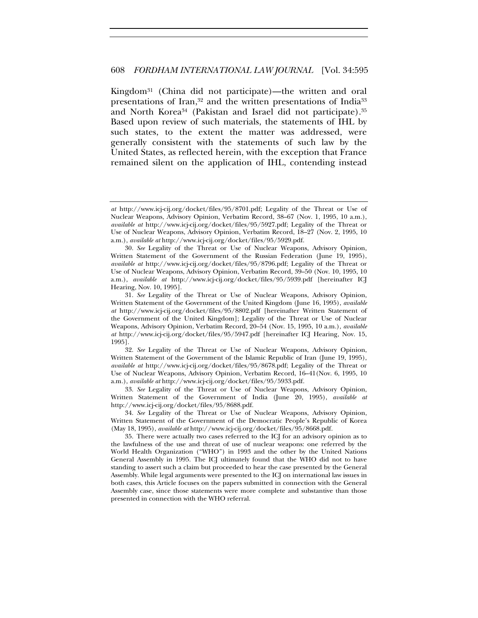Kingdom31 (China did not participate)—the written and oral presentations of Iran,32 and the written presentations of India33 and North Korea<sup>34</sup> (Pakistan and Israel did not participate).<sup>35</sup> Based upon review of such materials, the statements of IHL by such states, to the extent the matter was addressed, were generally consistent with the statements of such law by the United States, as reflected herein, with the exception that France remained silent on the application of IHL, contending instead

*at* http://www.icj-cij.org/docket/files/95/8701.pdf; Legality of the Threat or Use of Nuclear Weapons, Advisory Opinion, Verbatim Record, 38–67 (Nov. 1, 1995, 10 a.m.), *available at* http://www.icj-cij.org/docket/files/95/5927.pdf; Legality of the Threat or Use of Nuclear Weapons, Advisory Opinion, Verbatim Record, 18–27 (Nov. 2, 1995, 10 a.m.), *available at* http://www.icj-cij.org/docket/files/95/5929.pdf.

<sup>30.</sup> *See* Legality of the Threat or Use of Nuclear Weapons, Advisory Opinion, Written Statement of the Government of the Russian Federation (June 19, 1995), *available at* http://www.icj-cij.org/docket/files/95/8796.pdf; Legality of the Threat or Use of Nuclear Weapons, Advisory Opinion, Verbatim Record, 39–50 (Nov. 10, 1995, 10 a.m.), *available at* http://www.icj-cij.org/docket/files/95/5939.pdf [hereinafter ICJ Hearing, Nov. 10, 1995].

<sup>31.</sup> *See* Legality of the Threat or Use of Nuclear Weapons, Advisory Opinion, Written Statement of the Government of the United Kingdom (June 16, 1995), *available at* http://www.icj-cij.org/docket/files/95/8802.pdf [hereinafter Written Statement of the Government of the United Kingdom]; Legality of the Threat or Use of Nuclear Weapons, Advisory Opinion, Verbatim Record, 20–54 (Nov. 15, 1995, 10 a.m.), *available at* http://www.icj-cij.org/docket/files/95/5947.pdf [hereinafter ICJ Hearing, Nov. 15, 1995].

<sup>32.</sup> *See* Legality of the Threat or Use of Nuclear Weapons, Advisory Opinion, Written Statement of the Government of the Islamic Republic of Iran (June 19, 1995), *available at* http://www.icj-cij.org/docket/files/95/8678.pdf; Legality of the Threat or Use of Nuclear Weapons, Advisory Opinion, Verbatim Record, 16–41(Nov. 6, 1995, 10 a.m.), *available at* http://www.icj-cij.org/docket/files/95/5933.pdf.

<sup>33.</sup> *See* Legality of the Threat or Use of Nuclear Weapons, Advisory Opinion, Written Statement of the Government of India (June 20, 1995), *available at*  http://www.icj-cij.org/docket/files/95/8688.pdf.

<sup>34.</sup> *See* Legality of the Threat or Use of Nuclear Weapons, Advisory Opinion, Written Statement of the Government of the Democratic People's Republic of Korea (May 18, 1995), *available at* http://www.icj-cij.org/docket/files/95/8668.pdf.

<sup>35.</sup> There were actually two cases referred to the ICJ for an advisory opinion as to the lawfulness of the use and threat of use of nuclear weapons: one referred by the World Health Organization ("WHO") in 1993 and the other by the United Nations General Assembly in 1995. The ICJ ultimately found that the WHO did not to have standing to assert such a claim but proceeded to hear the case presented by the General Assembly. While legal arguments were presented to the ICJ on international law issues in both cases, this Article focuses on the papers submitted in connection with the General Assembly case, since those statements were more complete and substantive than those presented in connection with the WHO referral.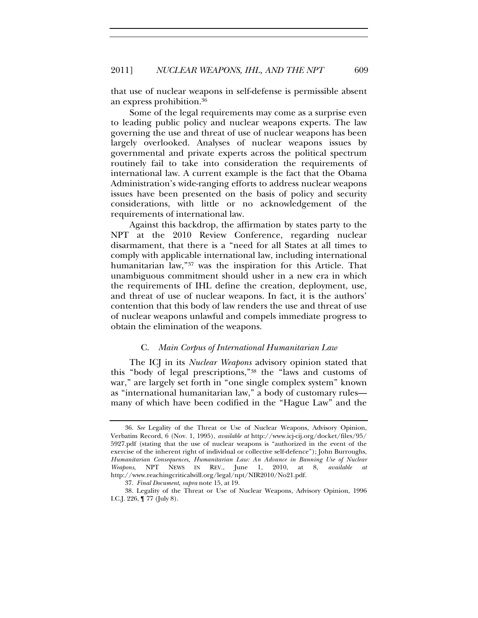that use of nuclear weapons in self-defense is permissible absent an express prohibition.36

Some of the legal requirements may come as a surprise even to leading public policy and nuclear weapons experts. The law governing the use and threat of use of nuclear weapons has been largely overlooked. Analyses of nuclear weapons issues by governmental and private experts across the political spectrum routinely fail to take into consideration the requirements of international law. A current example is the fact that the Obama Administration's wide-ranging efforts to address nuclear weapons issues have been presented on the basis of policy and security considerations, with little or no acknowledgement of the requirements of international law.

Against this backdrop, the affirmation by states party to the NPT at the 2010 Review Conference, regarding nuclear disarmament, that there is a "need for all States at all times to comply with applicable international law, including international humanitarian law,"37 was the inspiration for this Article. That unambiguous commitment should usher in a new era in which the requirements of IHL define the creation, deployment, use, and threat of use of nuclear weapons. In fact, it is the authors' contention that this body of law renders the use and threat of use of nuclear weapons unlawful and compels immediate progress to obtain the elimination of the weapons.

## C. *Main Corpus of International Humanitarian Law*

The ICJ in its *Nuclear Weapons* advisory opinion stated that this "body of legal prescriptions,"38 the "laws and customs of war," are largely set forth in "one single complex system" known as "international humanitarian law," a body of customary rules many of which have been codified in the "Hague Law" and the

<sup>36.</sup> *See* Legality of the Threat or Use of Nuclear Weapons, Advisory Opinion, Verbatim Record, 6 (Nov. 1, 1995), *available at* http://www.icj-cij.org/docket/files/95/ 5927.pdf (stating that the use of nuclear weapons is "authorized in the event of the exercise of the inherent right of individual or collective self-defence"); John Burroughs, *Humanitarian Consequences, Humanitarian Law: An Advance in Banning Use of Nuclear Weapons*, NPT NEWS IN REV., June 1, 2010, at 8, *available* http://www.reachingcriticalwill.org/legal/npt/NIR2010/No21.pdf.

<sup>37.</sup> *Final Document*, *supra* note 15, at 19.

<sup>38.</sup> Legality of the Threat or Use of Nuclear Weapons, Advisory Opinion, 1996 I.C.J. 226, ¶ 77 (July 8).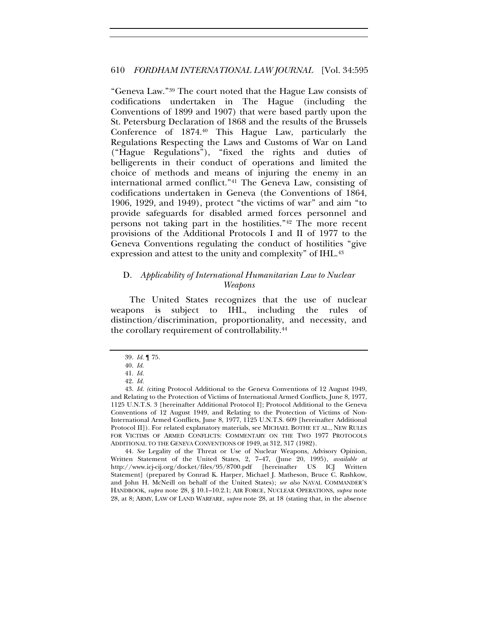"Geneva Law."39 The court noted that the Hague Law consists of codifications undertaken in The Hague (including the Conventions of 1899 and 1907) that were based partly upon the St. Petersburg Declaration of 1868 and the results of the Brussels Conference of 1874.40 This Hague Law, particularly the Regulations Respecting the Laws and Customs of War on Land ("Hague Regulations"), "fixed the rights and duties of belligerents in their conduct of operations and limited the choice of methods and means of injuring the enemy in an international armed conflict."41 The Geneva Law, consisting of codifications undertaken in Geneva (the Conventions of 1864, 1906, 1929, and 1949), protect "the victims of war" and aim "to provide safeguards for disabled armed forces personnel and persons not taking part in the hostilities."42 The more recent provisions of the Additional Protocols I and II of 1977 to the Geneva Conventions regulating the conduct of hostilities "give expression and attest to the unity and complexity" of IHL.43

# D. *Applicability of International Humanitarian Law to Nuclear Weapons*

The United States recognizes that the use of nuclear weapons is subject to IHL, including the rules of distinction/discrimination, proportionality, and necessity, and the corollary requirement of controllability.44

44. *See* Legality of the Threat or Use of Nuclear Weapons, Advisory Opinion, Written Statement of the United States, 2, 7–47, (June 20, 1995), *available at*  http://www.icj-cij.org/docket/files/95/8700.pdf [hereinafter US ICJ Written Statement] (prepared by Conrad K. Harper, Michael J. Matheson, Bruce C. Rashkow, and John H. McNeill on behalf of the United States); *see also* NAVAL COMMANDER'S HANDBOOK, *supra* note 28, § 10.1–10.2.1; AIR FORCE, NUCLEAR OPERATIONS, *supra* note 28, at 8; ARMY, LAW OF LAND WARFARE, *supra* note 28, at 18 (stating that, in the absence

<sup>39.</sup> *Id.* ¶ 75.

<sup>40.</sup> *Id.*

<sup>41.</sup> *Id.*

<sup>42.</sup> *Id.*

<sup>43.</sup> *Id. (*citing Protocol Additional to the Geneva Conventions of 12 August 1949, and Relating to the Protection of Victims of International Armed Conflicts, June 8, 1977, 1125 U.N.T.S. 3 [hereinafter Additional Protocol I]; Protocol Additional to the Geneva Conventions of 12 August 1949, and Relating to the Protection of Victims of Non-International Armed Conflicts, June 8, 1977, 1125 U.N.T.S. 609 [hereinafter Additional Protocol II]). For related explanatory materials, see MICHAEL BOTHE ET AL., NEW RULES FOR VICTIMS OF ARMED CONFLICTS: COMMENTARY ON THE TWO 1977 PROTOCOLS ADDITIONAL TO THE GENEVA CONVENTIONS OF 1949, at 312, 317 (1982).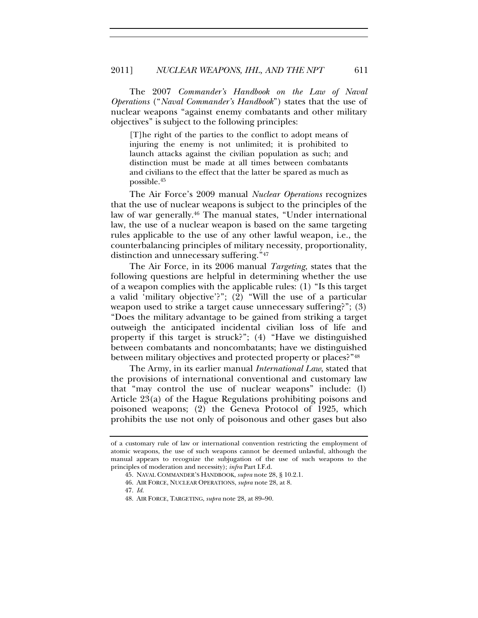The 2007 *Commander's Handbook on the Law of Naval Operations* ("*Naval Commander's Handbook*") states that the use of nuclear weapons "against enemy combatants and other military objectives" is subject to the following principles:

[T]he right of the parties to the conflict to adopt means of injuring the enemy is not unlimited; it is prohibited to launch attacks against the civilian population as such; and distinction must be made at all times between combatants and civilians to the effect that the latter be spared as much as possible.45

The Air Force's 2009 manual *Nuclear Operations* recognizes that the use of nuclear weapons is subject to the principles of the law of war generally.<sup>46</sup> The manual states, "Under international law, the use of a nuclear weapon is based on the same targeting rules applicable to the use of any other lawful weapon, i.e., the counterbalancing principles of military necessity, proportionality, distinction and unnecessary suffering."47

The Air Force, in its 2006 manual *Targeting*, states that the following questions are helpful in determining whether the use of a weapon complies with the applicable rules: (1) "Is this target a valid 'military objective'?"; (2) "Will the use of a particular weapon used to strike a target cause unnecessary suffering?"; (3) "Does the military advantage to be gained from striking a target outweigh the anticipated incidental civilian loss of life and property if this target is struck?"; (4) "Have we distinguished between combatants and noncombatants; have we distinguished between military objectives and protected property or places?"48

The Army, in its earlier manual *International Law*, stated that the provisions of international conventional and customary law that "may control the use of nuclear weapons" include: (l) Article 23(a) of the Hague Regulations prohibiting poisons and poisoned weapons; (2) the Geneva Protocol of 1925, which prohibits the use not only of poisonous and other gases but also

of a customary rule of law or international convention restricting the employment of atomic weapons, the use of such weapons cannot be deemed unlawful, although the manual appears to recognize the subjugation of the use of such weapons to the principles of moderation and necessity); *infra* Part I.F.d.

<sup>45.</sup> NAVAL COMMANDER'S HANDBOOK, *supra* note 28, § 10.2.1.

<sup>46.</sup> AIR FORCE, NUCLEAR OPERATIONS, *supra* note 28, at 8.

<sup>47.</sup> *Id.*

<sup>48.</sup> AIR FORCE, TARGETING, *supra* note 28, at 89–90.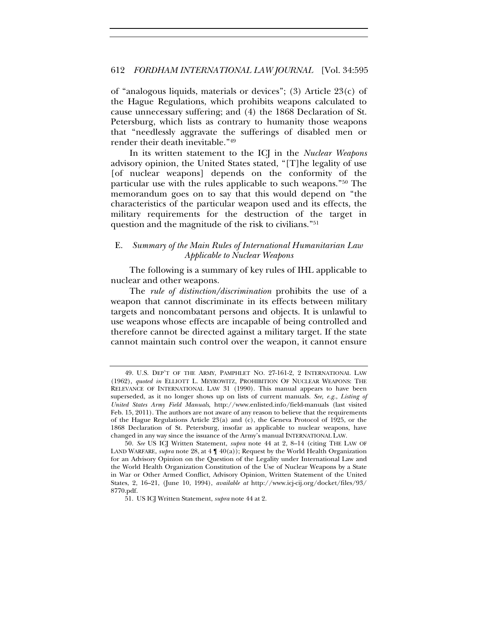of "analogous liquids, materials or devices"; (3) Article 23(c) of the Hague Regulations, which prohibits weapons calculated to cause unnecessary suffering; and (4) the 1868 Declaration of St. Petersburg, which lists as contrary to humanity those weapons that "needlessly aggravate the sufferings of disabled men or render their death inevitable."49

In its written statement to the ICJ in the *Nuclear Weapons* advisory opinion, the United States stated, "[T]he legality of use [of nuclear weapons] depends on the conformity of the particular use with the rules applicable to such weapons."50 The memorandum goes on to say that this would depend on "the characteristics of the particular weapon used and its effects, the military requirements for the destruction of the target in question and the magnitude of the risk to civilians."51

# E. *Summary of the Main Rules of International Humanitarian Law Applicable to Nuclear Weapons*

The following is a summary of key rules of IHL applicable to nuclear and other weapons.

The *rule of distinction/discrimination* prohibits the use of a weapon that cannot discriminate in its effects between military targets and noncombatant persons and objects. It is unlawful to use weapons whose effects are incapable of being controlled and therefore cannot be directed against a military target. If the state cannot maintain such control over the weapon, it cannot ensure

<sup>49.</sup> U.S. DEP'T OF THE ARMY, PAMPHLET NO. 27-161-2, 2 INTERNATIONAL LAW (1962), *quoted in* ELLIOTT L. MEYROWITZ, PROHIBITION OF NUCLEAR WEAPONS: THE RELEVANCE OF INTERNATIONAL LAW 31 (1990). This manual appears to have been superseded, as it no longer shows up on lists of current manuals. *See, e.g.*, *Listing of United States Army Field Manuals*, http://www.enlisted.info/field-manuals (last visited Feb. 15, 2011). The authors are not aware of any reason to believe that the requirements of the Hague Regulations Article 23(a) and (c), the Geneva Protocol of 1925, or the 1868 Declaration of St. Petersburg, insofar as applicable to nuclear weapons, have changed in any way since the issuance of the Army's manual INTERNATIONAL LAW.

<sup>50.</sup> *See* US ICJ Written Statement, *supra* note 44 at 2, 8–14 (citing THE LAW OF LAND WARFARE, *supra* note 28, at  $4 \nparallel 40(a)$ ; Request by the World Health Organization for an Advisory Opinion on the Question of the Legality under International Law and the World Health Organization Constitution of the Use of Nuclear Weapons by a State in War or Other Armed Conflict, Advisory Opinion, Written Statement of the United States, 2, 16–21, (June 10, 1994), *available at* http://www.icj-cij.org/docket/files/93/ 8770.pdf.

<sup>51.</sup> US ICJ Written Statement, *supra* note 44 at 2.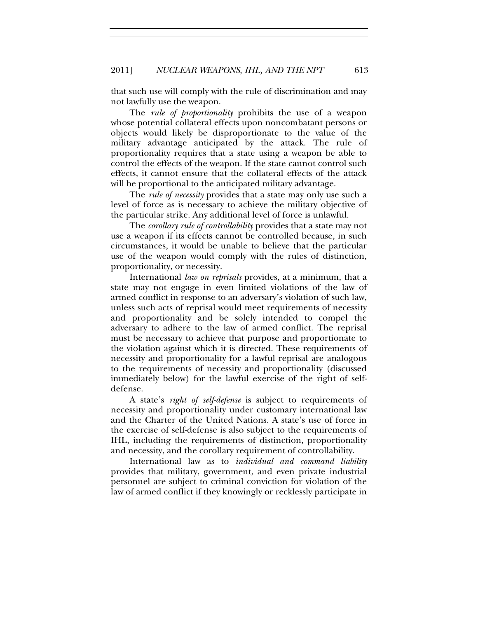that such use will comply with the rule of discrimination and may not lawfully use the weapon.

The *rule of proportionality* prohibits the use of a weapon whose potential collateral effects upon noncombatant persons or objects would likely be disproportionate to the value of the military advantage anticipated by the attack. The rule of proportionality requires that a state using a weapon be able to control the effects of the weapon. If the state cannot control such effects, it cannot ensure that the collateral effects of the attack will be proportional to the anticipated military advantage.

The *rule of necessity* provides that a state may only use such a level of force as is necessary to achieve the military objective of the particular strike. Any additional level of force is unlawful.

The *corollary rule of controllability* provides that a state may not use a weapon if its effects cannot be controlled because, in such circumstances, it would be unable to believe that the particular use of the weapon would comply with the rules of distinction, proportionality, or necessity.

International *law on reprisals* provides, at a minimum, that a state may not engage in even limited violations of the law of armed conflict in response to an adversary's violation of such law, unless such acts of reprisal would meet requirements of necessity and proportionality and be solely intended to compel the adversary to adhere to the law of armed conflict. The reprisal must be necessary to achieve that purpose and proportionate to the violation against which it is directed. These requirements of necessity and proportionality for a lawful reprisal are analogous to the requirements of necessity and proportionality (discussed immediately below) for the lawful exercise of the right of selfdefense.

A state's *right of self-defense* is subject to requirements of necessity and proportionality under customary international law and the Charter of the United Nations. A state's use of force in the exercise of self-defense is also subject to the requirements of IHL, including the requirements of distinction, proportionality and necessity, and the corollary requirement of controllability.

International law as to *individual and command liability* provides that military, government, and even private industrial personnel are subject to criminal conviction for violation of the law of armed conflict if they knowingly or recklessly participate in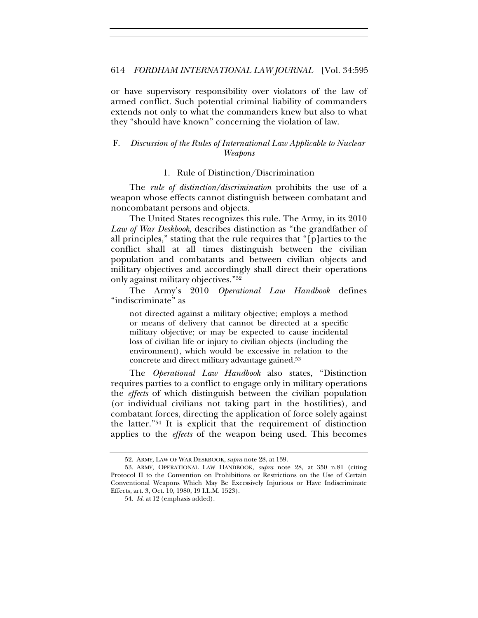or have supervisory responsibility over violators of the law of armed conflict. Such potential criminal liability of commanders extends not only to what the commanders knew but also to what they "should have known" concerning the violation of law.

# F. *Discussion of the Rules of International Law Applicable to Nuclear Weapons*

#### 1. Rule of Distinction/Discrimination

The *rule of distinction/discrimination* prohibits the use of a weapon whose effects cannot distinguish between combatant and noncombatant persons and objects.

The United States recognizes this rule. The Army, in its 2010 *Law of War Deskbook*, describes distinction as "the grandfather of all principles," stating that the rule requires that "[p]arties to the conflict shall at all times distinguish between the civilian population and combatants and between civilian objects and military objectives and accordingly shall direct their operations only against military objectives."52

The Army's 2010 *Operational Law Handbook* defines "indiscriminate" as

not directed against a military objective; employs a method or means of delivery that cannot be directed at a specific military objective; or may be expected to cause incidental loss of civilian life or injury to civilian objects (including the environment), which would be excessive in relation to the concrete and direct military advantage gained.53

The *Operational Law Handbook* also states, "Distinction requires parties to a conflict to engage only in military operations the *effects* of which distinguish between the civilian population (or individual civilians not taking part in the hostilities), and combatant forces, directing the application of force solely against the latter."54 It is explicit that the requirement of distinction applies to the *effects* of the weapon being used. This becomes

<sup>52.</sup> ARMY, LAW OF WAR DESKBOOK, *supra* note 28, at 139.

<sup>53.</sup> ARMY, OPERATIONAL LAW HANDBOOK, *supra* note 28, at 350 n.81 (citing Protocol II to the Convention on Prohibitions or Restrictions on the Use of Certain Conventional Weapons Which May Be Excessively Injurious or Have Indiscriminate Effects, art. 3, Oct. 10, 1980, 19 I.L.M. 1523).

<sup>54.</sup> *Id.* at 12 (emphasis added).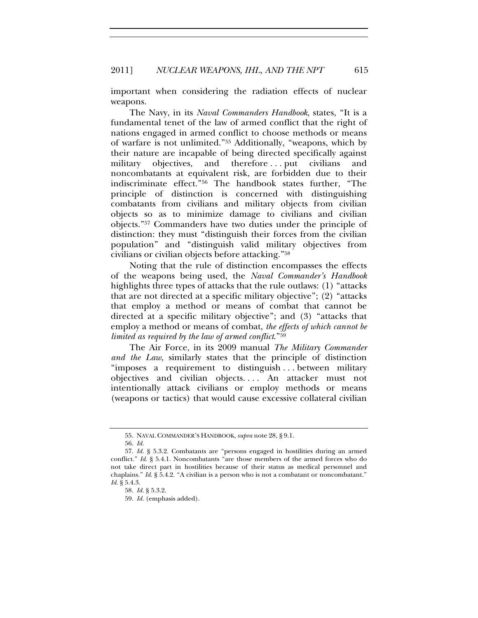important when considering the radiation effects of nuclear weapons.

The Navy, in its *Naval Commanders Handbook*, states, "It is a fundamental tenet of the law of armed conflict that the right of nations engaged in armed conflict to choose methods or means of warfare is not unlimited."55 Additionally, "weapons, which by their nature are incapable of being directed specifically against military objectives, and therefore ... put civilians and noncombatants at equivalent risk, are forbidden due to their indiscriminate effect."56 The handbook states further, "The principle of distinction is concerned with distinguishing combatants from civilians and military objects from civilian objects so as to minimize damage to civilians and civilian objects."57 Commanders have two duties under the principle of distinction: they must "distinguish their forces from the civilian population" and "distinguish valid military objectives from civilians or civilian objects before attacking."58

Noting that the rule of distinction encompasses the effects of the weapons being used, the *Naval Commander's Handbook* highlights three types of attacks that the rule outlaws: (1) "attacks that are not directed at a specific military objective"; (2) "attacks that employ a method or means of combat that cannot be directed at a specific military objective"; and (3) "attacks that employ a method or means of combat, *the effects of which cannot be limited as required by the law of armed conflict*."59

The Air Force, in its 2009 manual *The Military Commander and the Law*, similarly states that the principle of distinction "imposes a requirement to distinguish . . . between military objectives and civilian objects. . . . An attacker must not intentionally attack civilians or employ methods or means (weapons or tactics) that would cause excessive collateral civilian

<sup>55.</sup> NAVAL COMMANDER'S HANDBOOK, *supra* note 28, § 9.1.

<sup>56.</sup> *Id.*

<sup>57.</sup> *Id.* § 5.3.2. Combatants are "persons engaged in hostilities during an armed conflict." *Id*. § 5.4.1. Noncombatants "are those members of the armed forces who do not take direct part in hostilities because of their status as medical personnel and chaplains." *Id*. § 5.4.2. "A civilian is a person who is not a combatant or noncombatant." *Id*. § 5.4.3.

<sup>58.</sup> *Id.* § 5.3.2.

<sup>59.</sup> *Id.* (emphasis added).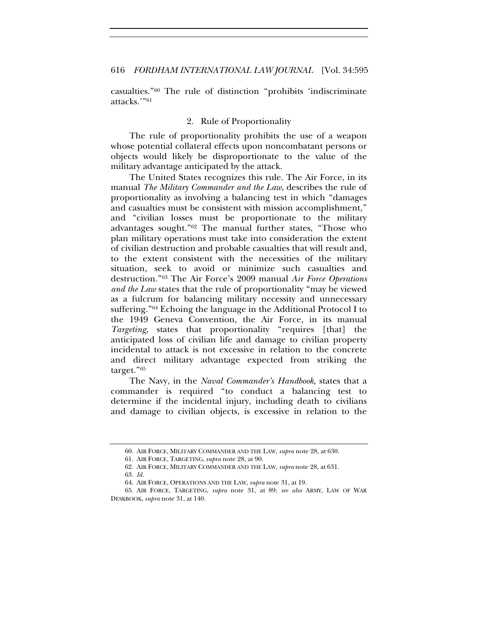casualties."60 The rule of distinction "prohibits 'indiscriminate attacks.'"61

#### 2. Rule of Proportionality

The rule of proportionality prohibits the use of a weapon whose potential collateral effects upon noncombatant persons or objects would likely be disproportionate to the value of the military advantage anticipated by the attack.

The United States recognizes this rule. The Air Force, in its manual *The Military Commander and the Law*, describes the rule of proportionality as involving a balancing test in which "damages and casualties must be consistent with mission accomplishment," and "civilian losses must be proportionate to the military advantages sought."62 The manual further states, "Those who plan military operations must take into consideration the extent of civilian destruction and probable casualties that will result and, to the extent consistent with the necessities of the military situation, seek to avoid or minimize such casualties and destruction."63 The Air Force's 2009 manual *Air Force Operations and the Law* states that the rule of proportionality "may be viewed as a fulcrum for balancing military necessity and unnecessary suffering."64 Echoing the language in the Additional Protocol I to the 1949 Geneva Convention, the Air Force, in its manual *Targeting*, states that proportionality "requires [that] the anticipated loss of civilian life and damage to civilian property incidental to attack is not excessive in relation to the concrete and direct military advantage expected from striking the target."65

The Navy, in the *Naval Commander's Handbook*, states that a commander is required "to conduct a balancing test to determine if the incidental injury, including death to civilians and damage to civilian objects, is excessive in relation to the

<sup>60.</sup> AIR FORCE, MILITARY COMMANDER AND THE LAW, *supra* note 28, at 630.

<sup>61.</sup> AIR FORCE, TARGETING, *supra* note 28, at 90.

<sup>62.</sup> AIR FORCE, MILITARY COMMANDER AND THE LAW, *supra* note 28, at 631.

<sup>63.</sup> *Id.*

<sup>64.</sup> AIR FORCE, OPERATIONS AND THE LAW, *supra* note 31, at 19.

<sup>65.</sup> AIR FORCE, TARGETING, *supra* note 31, at 89; *see also* ARMY, LAW OF WAR DESKBOOK, *supra* note 31, at 140.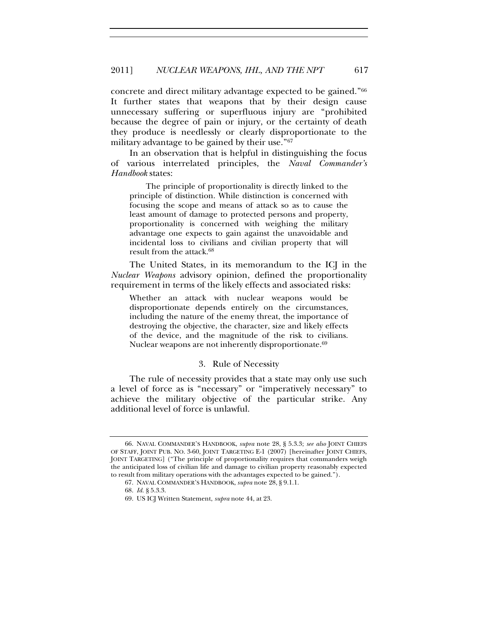concrete and direct military advantage expected to be gained."66 It further states that weapons that by their design cause unnecessary suffering or superfluous injury are "prohibited because the degree of pain or injury, or the certainty of death they produce is needlessly or clearly disproportionate to the military advantage to be gained by their use."67

In an observation that is helpful in distinguishing the focus of various interrelated principles, the *Naval Commander's Handbook* states:

The principle of proportionality is directly linked to the principle of distinction. While distinction is concerned with focusing the scope and means of attack so as to cause the least amount of damage to protected persons and property, proportionality is concerned with weighing the military advantage one expects to gain against the unavoidable and incidental loss to civilians and civilian property that will result from the attack.68

The United States, in its memorandum to the ICJ in the *Nuclear Weapons* advisory opinion, defined the proportionality requirement in terms of the likely effects and associated risks:

Whether an attack with nuclear weapons would be disproportionate depends entirely on the circumstances, including the nature of the enemy threat, the importance of destroying the objective, the character, size and likely effects of the device, and the magnitude of the risk to civilians. Nuclear weapons are not inherently disproportionate.<sup>69</sup>

# 3. Rule of Necessity

The rule of necessity provides that a state may only use such a level of force as is "necessary" or "imperatively necessary" to achieve the military objective of the particular strike. Any additional level of force is unlawful.

<sup>66.</sup> NAVAL COMMANDER'S HANDBOOK, *supra* note 28, § 5.3.3; *see also* JOINT CHIEFS OF STAFF, JOINT PUB. NO. 3-60, JOINT TARGETING E-1 (2007) [hereinafter JOINT CHIEFS, JOINT TARGETING] ("The principle of proportionality requires that commanders weigh the anticipated loss of civilian life and damage to civilian property reasonably expected to result from military operations with the advantages expected to be gained.").

<sup>67.</sup> NAVAL COMMANDER'S HANDBOOK, *supra* note 28, § 9.1.1.

<sup>68.</sup> *Id.* § 5.3.3.

<sup>69.</sup> US ICJ Written Statement, *supra* note 44, at 23.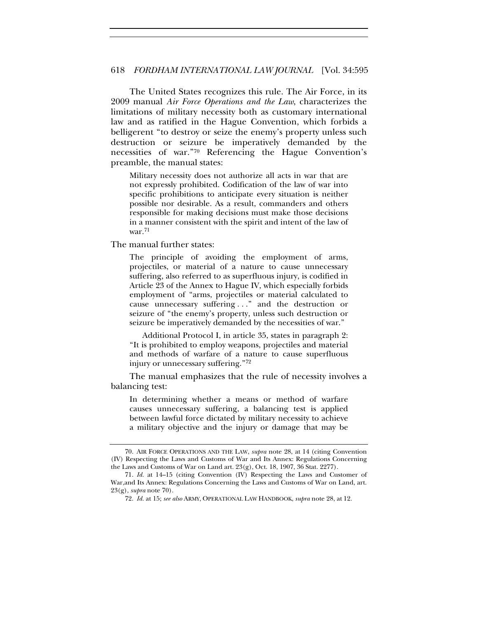The United States recognizes this rule. The Air Force, in its 2009 manual *Air Force Operations and the Law*, characterizes the limitations of military necessity both as customary international law and as ratified in the Hague Convention, which forbids a belligerent "to destroy or seize the enemy's property unless such destruction or seizure be imperatively demanded by the necessities of war."70 Referencing the Hague Convention's preamble, the manual states:

Military necessity does not authorize all acts in war that are not expressly prohibited. Codification of the law of war into specific prohibitions to anticipate every situation is neither possible nor desirable. As a result, commanders and others responsible for making decisions must make those decisions in a manner consistent with the spirit and intent of the law of war.71

The manual further states:

The principle of avoiding the employment of arms, projectiles, or material of a nature to cause unnecessary suffering, also referred to as superfluous injury, is codified in Article 23 of the Annex to Hague IV, which especially forbids employment of "arms, projectiles or material calculated to cause unnecessary suffering . . ." and the destruction or seizure of "the enemy's property, unless such destruction or seizure be imperatively demanded by the necessities of war."

Additional Protocol I, in article 35, states in paragraph 2: "It is prohibited to employ weapons, projectiles and material and methods of warfare of a nature to cause superfluous injury or unnecessary suffering."72

The manual emphasizes that the rule of necessity involves a balancing test:

In determining whether a means or method of warfare causes unnecessary suffering, a balancing test is applied between lawful force dictated by military necessity to achieve a military objective and the injury or damage that may be

<sup>70.</sup> AIR FORCE OPERATIONS AND THE LAW, *supra* note 28, at 14 (citing Convention (IV) Respecting the Laws and Customs of War and Its Annex: Regulations Concerning the Laws and Customs of War on Land art. 23(g), Oct. 18, 1907, 36 Stat. 2277).

<sup>71.</sup> *Id.* at 14–15 (citing Convention (IV) Respecting the Laws and Customer of War,and Its Annex: Regulations Concerning the Laws and Customs of War on Land, art. 23(g), *supra* note 70).

<sup>72.</sup> *Id.* at 15; *see also* ARMY, OPERATIONAL LAW HANDBOOK, *supra* note 28, at 12.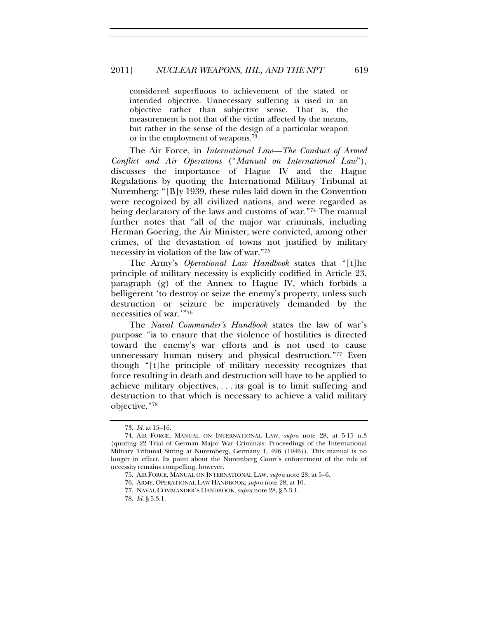considered superfluous to achievement of the stated or intended objective. Unnecessary suffering is used in an objective rather than subjective sense. That is, the measurement is not that of the victim affected by the means, but rather in the sense of the design of a particular weapon or in the employment of weapons.73

The Air Force, in *International Law—The Conduct of Armed Conflict and Air Operations* ("*Manual on International Law*"), discusses the importance of Hague IV and the Hague Regulations by quoting the International Military Tribunal at Nuremberg: "[B]y 1939, these rules laid down in the Convention were recognized by all civilized nations, and were regarded as being declaratory of the laws and customs of war."74 The manual further notes that "all of the major war criminals, including Herman Goering, the Air Minister, were convicted, among other crimes, of the devastation of towns not justified by military necessity in violation of the law of war."75

The Army's *Operational Law Handbook* states that "[t]he principle of military necessity is explicitly codified in Article 23, paragraph (g) of the Annex to Hague IV, which forbids a belligerent 'to destroy or seize the enemy's property, unless such destruction or seizure be imperatively demanded by the necessities of war.'"76

The *Naval Commander's Handbook* states the law of war's purpose "is to ensure that the violence of hostilities is directed toward the enemy's war efforts and is not used to cause unnecessary human misery and physical destruction."77 Even though "[t]he principle of military necessity recognizes that force resulting in death and destruction will have to be applied to achieve military objectives, . . . its goal is to limit suffering and destruction to that which is necessary to achieve a valid military objective."78

<sup>73.</sup> *Id.* at 15–16.

<sup>74.</sup> AIR FORCE, MANUAL ON INTERNATIONAL LAW, *supra* note 28, at 5-15 n.3 (quoting 22 Trial of German Major War Criminals: Proceedings of the International Military Tribunal Sitting at Nuremberg, Germany 1, 496 (1946)). This manual is no longer in effect. Its point about the Nuremberg Court's enforcement of the rule of necessity remains compelling, however.

<sup>75.</sup> AIR FORCE, MANUAL ON INTERNATIONAL LAW, *supra* note 28, at 5–6.

<sup>76.</sup> ARMY, OPERATIONAL LAW HANDBOOK, *supra* note 28, at 10.

<sup>77.</sup> NAVAL COMMANDER'S HANDBOOK, *supra* note 28, § 5.3.1.

<sup>78.</sup> *Id*. § 5.3.1.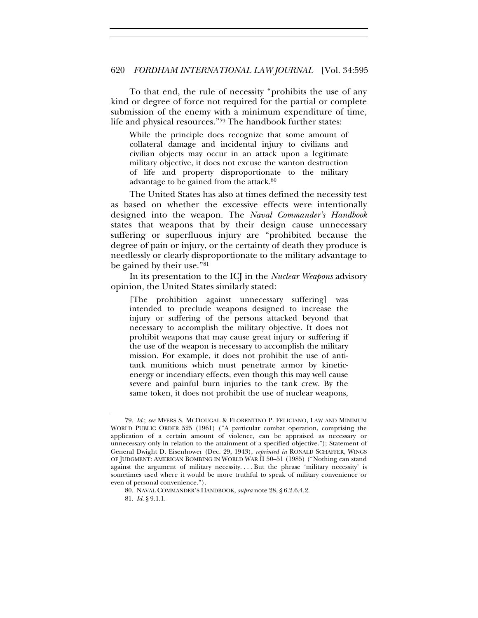To that end, the rule of necessity "prohibits the use of any kind or degree of force not required for the partial or complete submission of the enemy with a minimum expenditure of time, life and physical resources."79 The handbook further states:

While the principle does recognize that some amount of collateral damage and incidental injury to civilians and civilian objects may occur in an attack upon a legitimate military objective, it does not excuse the wanton destruction of life and property disproportionate to the military advantage to be gained from the attack.80

The United States has also at times defined the necessity test as based on whether the excessive effects were intentionally designed into the weapon. The *Naval Commander's Handbook* states that weapons that by their design cause unnecessary suffering or superfluous injury are "prohibited because the degree of pain or injury, or the certainty of death they produce is needlessly or clearly disproportionate to the military advantage to be gained by their use."81

In its presentation to the ICJ in the *Nuclear Weapons* advisory opinion, the United States similarly stated:

[The prohibition against unnecessary suffering] was intended to preclude weapons designed to increase the injury or suffering of the persons attacked beyond that necessary to accomplish the military objective. It does not prohibit weapons that may cause great injury or suffering if the use of the weapon is necessary to accomplish the military mission. For example, it does not prohibit the use of antitank munitions which must penetrate armor by kineticenergy or incendiary effects, even though this may well cause severe and painful burn injuries to the tank crew. By the same token, it does not prohibit the use of nuclear weapons,

<sup>79.</sup> *Id*.; *see* MYERS S. MCDOUGAL & FLORENTINO P. FELICIANO, LAW AND MINIMUM WORLD PUBLIC ORDER 525 (1961) ("A particular combat operation, comprising the application of a certain amount of violence, can be appraised as necessary or unnecessary only in relation to the attainment of a specified objective."); Statement of General Dwight D. Eisenhower (Dec. 29, 1943), *reprinted in* RONALD SCHAFFER, WINGS OF JUDGMENT: AMERICAN BOMBING IN WORLD WAR II 50–51 (1985) ("Nothing can stand against the argument of military necessity. . . . But the phrase 'military necessity' is sometimes used where it would be more truthful to speak of military convenience or even of personal convenience.")*.*

<sup>80.</sup> NAVAL COMMANDER'S HANDBOOK, *supra* note 28, § 6.2.6.4.2.

<sup>81.</sup> *Id.* § 9.1.1.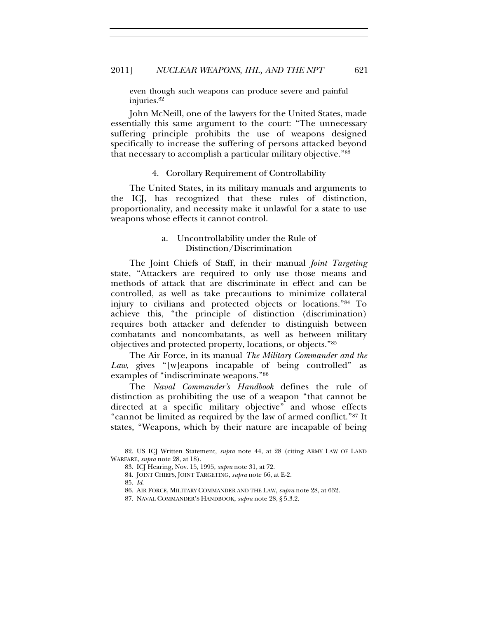even though such weapons can produce severe and painful injuries.82

John McNeill, one of the lawyers for the United States, made essentially this same argument to the court: "The unnecessary suffering principle prohibits the use of weapons designed specifically to increase the suffering of persons attacked beyond that necessary to accomplish a particular military objective."83

#### 4. Corollary Requirement of Controllability

The United States, in its military manuals and arguments to the ICJ, has recognized that these rules of distinction, proportionality, and necessity make it unlawful for a state to use weapons whose effects it cannot control.

# a. Uncontrollability under the Rule of Distinction/Discrimination

The Joint Chiefs of Staff, in their manual *Joint Targeting* state, "Attackers are required to only use those means and methods of attack that are discriminate in effect and can be controlled, as well as take precautions to minimize collateral injury to civilians and protected objects or locations."84 To achieve this, "the principle of distinction (discrimination) requires both attacker and defender to distinguish between combatants and noncombatants, as well as between military objectives and protected property, locations, or objects."85

The Air Force, in its manual *The Military Commander and the Law*, gives "[w]eapons incapable of being controlled" as examples of "indiscriminate weapons."86

The *Naval Commander's Handbook* defines the rule of distinction as prohibiting the use of a weapon "that cannot be directed at a specific military objective" and whose effects "cannot be limited as required by the law of armed conflict."87 It states, "Weapons, which by their nature are incapable of being

<sup>82.</sup> US ICJ Written Statement, *supra* note 44, at 28 (citing ARMY LAW OF LAND WARFARE, *supra* note 28, at 18).

<sup>83.</sup> ICJ Hearing, Nov. 15, 1995, *supra* note 31, at 72.

<sup>84.</sup> JOINT CHIEFS, JOINT TARGETING, *supra* note 66, at E-2.

<sup>85.</sup> *Id*.

<sup>86.</sup> AIR FORCE, MILITARY COMMANDER AND THE LAW, *supra* note 28, at 632.

<sup>87.</sup> NAVAL COMMANDER'S HANDBOOK, *supra* note 28, § 5.3.2.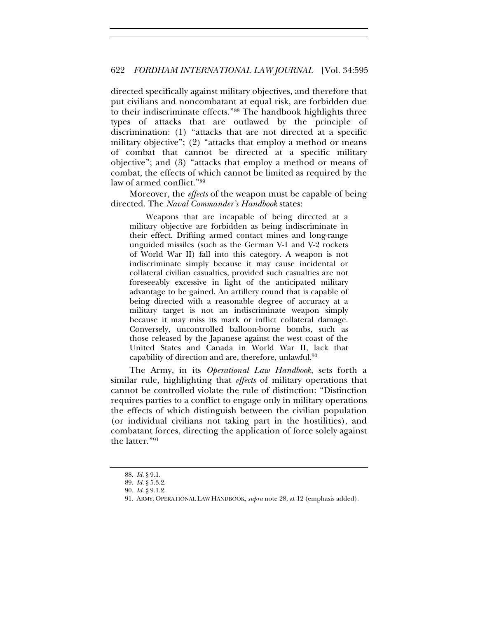directed specifically against military objectives, and therefore that put civilians and noncombatant at equal risk, are forbidden due to their indiscriminate effects."88 The handbook highlights three types of attacks that are outlawed by the principle of discrimination: (1) "attacks that are not directed at a specific military objective"; (2) "attacks that employ a method or means of combat that cannot be directed at a specific military objective"; and (3) "attacks that employ a method or means of combat, the effects of which cannot be limited as required by the law of armed conflict."89

Moreover, the *effects* of the weapon must be capable of being directed. The *Naval Commander's Handbook* states:

Weapons that are incapable of being directed at a military objective are forbidden as being indiscriminate in their effect. Drifting armed contact mines and long-range unguided missiles (such as the German V-1 and V-2 rockets of World War II) fall into this category. A weapon is not indiscriminate simply because it may cause incidental or collateral civilian casualties, provided such casualties are not foreseeably excessive in light of the anticipated military advantage to be gained. An artillery round that is capable of being directed with a reasonable degree of accuracy at a military target is not an indiscriminate weapon simply because it may miss its mark or inflict collateral damage. Conversely, uncontrolled balloon-borne bombs, such as those released by the Japanese against the west coast of the United States and Canada in World War II, lack that capability of direction and are, therefore, unlawful.<sup>90</sup>

The Army, in its *Operational Law Handbook*, sets forth a similar rule, highlighting that *effects* of military operations that cannot be controlled violate the rule of distinction: "Distinction requires parties to a conflict to engage only in military operations the effects of which distinguish between the civilian population (or individual civilians not taking part in the hostilities), and combatant forces, directing the application of force solely against the latter."91

<sup>88.</sup> *Id.* § 9.1.

<sup>89.</sup> *Id.* § 5.3.2.

<sup>90.</sup> *Id.* § 9.1.2.

<sup>91.</sup> ARMY, OPERATIONAL LAW HANDBOOK, *supra* note 28, at 12 (emphasis added).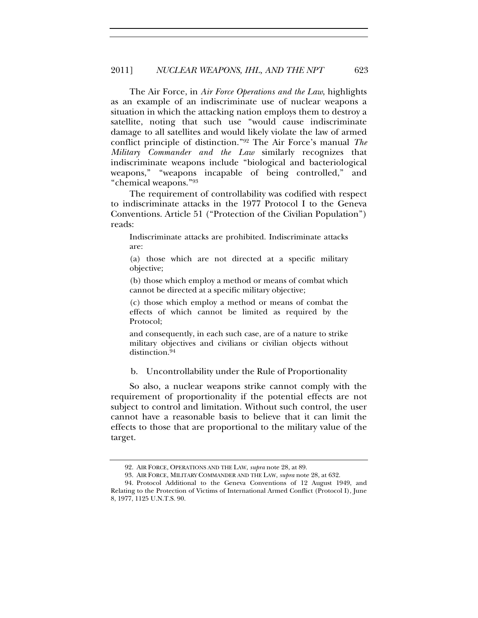The Air Force, in *Air Force Operations and the Law*, highlights as an example of an indiscriminate use of nuclear weapons a situation in which the attacking nation employs them to destroy a satellite, noting that such use "would cause indiscriminate damage to all satellites and would likely violate the law of armed conflict principle of distinction."92 The Air Force's manual *The Military Commander and the Law* similarly recognizes that indiscriminate weapons include "biological and bacteriological weapons," "weapons incapable of being controlled," and "chemical weapons."93

The requirement of controllability was codified with respect to indiscriminate attacks in the 1977 Protocol I to the Geneva Conventions. Article 51 ("Protection of the Civilian Population") reads:

Indiscriminate attacks are prohibited. Indiscriminate attacks are:

(a) those which are not directed at a specific military objective;

(b) those which employ a method or means of combat which cannot be directed at a specific military objective;

(c) those which employ a method or means of combat the effects of which cannot be limited as required by the Protocol;

and consequently, in each such case, are of a nature to strike military objectives and civilians or civilian objects without distinction.<sup>94</sup>

b. Uncontrollability under the Rule of Proportionality

So also, a nuclear weapons strike cannot comply with the requirement of proportionality if the potential effects are not subject to control and limitation. Without such control, the user cannot have a reasonable basis to believe that it can limit the effects to those that are proportional to the military value of the target.

<sup>92.</sup> AIR FORCE, OPERATIONS AND THE LAW, *supra* note 28, at 89.

<sup>93.</sup> AIR FORCE, MILITARY COMMANDER AND THE LAW, *supra* note 28, at 632.

<sup>94.</sup> Protocol Additional to the Geneva Conventions of 12 August 1949, and Relating to the Protection of Victims of International Armed Conflict (Protocol I), June 8, 1977, 1125 U.N.T.S. 90.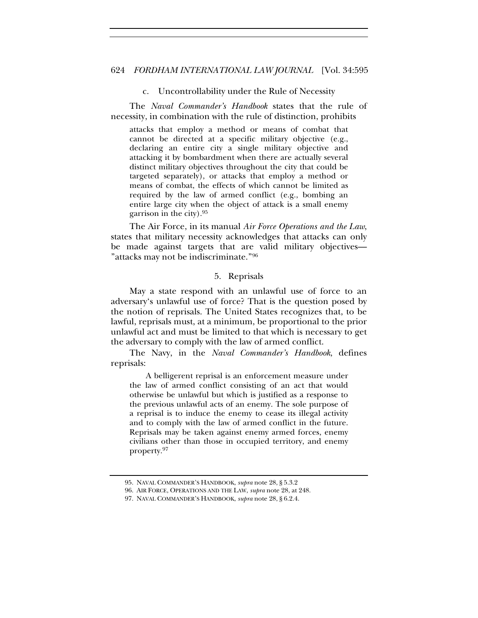# 624 *FORDHAM INTERNATIONAL LAW JOURNAL* [Vol. 34:595

c. Uncontrollability under the Rule of Necessity

The *Naval Commander's Handbook* states that the rule of necessity, in combination with the rule of distinction, prohibits

attacks that employ a method or means of combat that cannot be directed at a specific military objective (e.g., declaring an entire city a single military objective and attacking it by bombardment when there are actually several distinct military objectives throughout the city that could be targeted separately), or attacks that employ a method or means of combat, the effects of which cannot be limited as required by the law of armed conflict (e.g., bombing an entire large city when the object of attack is a small enemy garrison in the city).95

The Air Force, in its manual *Air Force Operations and the Law*, states that military necessity acknowledges that attacks can only be made against targets that are valid military objectives— "attacks may not be indiscriminate."96

#### 5. Reprisals

May a state respond with an unlawful use of force to an adversary's unlawful use of force? That is the question posed by the notion of reprisals. The United States recognizes that, to be lawful, reprisals must, at a minimum, be proportional to the prior unlawful act and must be limited to that which is necessary to get the adversary to comply with the law of armed conflict.

The Navy, in the *Naval Commander's Handbook*, defines reprisals:

A belligerent reprisal is an enforcement measure under the law of armed conflict consisting of an act that would otherwise be unlawful but which is justified as a response to the previous unlawful acts of an enemy. The sole purpose of a reprisal is to induce the enemy to cease its illegal activity and to comply with the law of armed conflict in the future. Reprisals may be taken against enemy armed forces, enemy civilians other than those in occupied territory, and enemy property.97

<sup>95.</sup> NAVAL COMMANDER'S HANDBOOK, *supra* note 28, § 5.3.2

<sup>96.</sup> AIR FORCE, OPERATIONS AND THE LAW, *supra* note 28, at 248.

<sup>97.</sup> NAVAL COMMANDER'S HANDBOOK, *supra* note 28, § 6.2.4.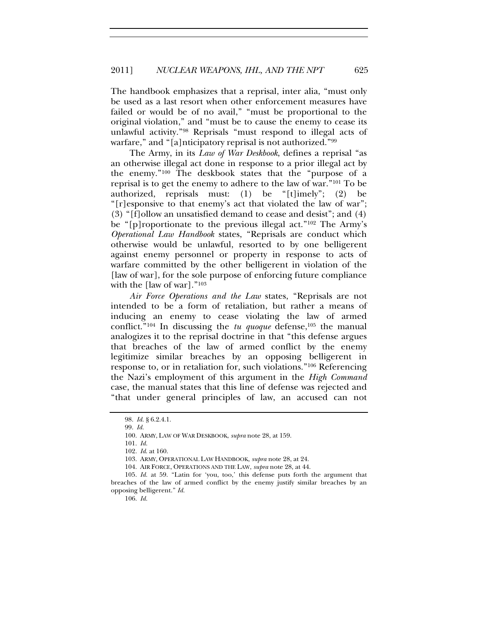The handbook emphasizes that a reprisal, inter alia, "must only be used as a last resort when other enforcement measures have failed or would be of no avail," "must be proportional to the original violation," and "must be to cause the enemy to cease its unlawful activity."98 Reprisals "must respond to illegal acts of warfare," and "[a]nticipatory reprisal is not authorized."99

The Army, in its *Law of War Deskbook*, defines a reprisal "as an otherwise illegal act done in response to a prior illegal act by the enemy."100 The deskbook states that the "purpose of a reprisal is to get the enemy to adhere to the law of war."101 To be authorized, reprisals must: (1) be "[t]imely"; (2) be "[r]esponsive to that enemy's act that violated the law of war"; (3) "[f]ollow an unsatisfied demand to cease and desist"; and (4) be "[p]roportionate to the previous illegal act."<sup>102</sup> The Army's *Operational Law Handbook* states, "Reprisals are conduct which otherwise would be unlawful, resorted to by one belligerent against enemy personnel or property in response to acts of warfare committed by the other belligerent in violation of the [law of war], for the sole purpose of enforcing future compliance with the [law of war]."103

*Air Force Operations and the Law* states, "Reprisals are not intended to be a form of retaliation, but rather a means of inducing an enemy to cease violating the law of armed conflict."<sup>104</sup> In discussing the *tu quoque* defense,<sup>105</sup> the manual analogizes it to the reprisal doctrine in that "this defense argues that breaches of the law of armed conflict by the enemy legitimize similar breaches by an opposing belligerent in response to, or in retaliation for, such violations."106 Referencing the Nazi's employment of this argument in the *High Command* case, the manual states that this line of defense was rejected and "that under general principles of law, an accused can not

106. *Id.*

<sup>98.</sup> *Id.* § 6.2.4.1.

<sup>99.</sup> *Id.*

<sup>100.</sup> ARMY, LAW OF WAR DESKBOOK, *supra* note 28, at 159.

<sup>101.</sup> *Id.*

<sup>102.</sup> *Id*. at 160.

<sup>103.</sup> ARMY, OPERATIONAL LAW HANDBOOK, *supra* note 28, at 24.

<sup>104.</sup> AIR FORCE, OPERATIONS AND THE LAW, *supra* note 28, at 44.

<sup>105.</sup> *Id.* at 59. "Latin for 'you, too,' this defense puts forth the argument that breaches of the law of armed conflict by the enemy justify similar breaches by an opposing belligerent." *Id.*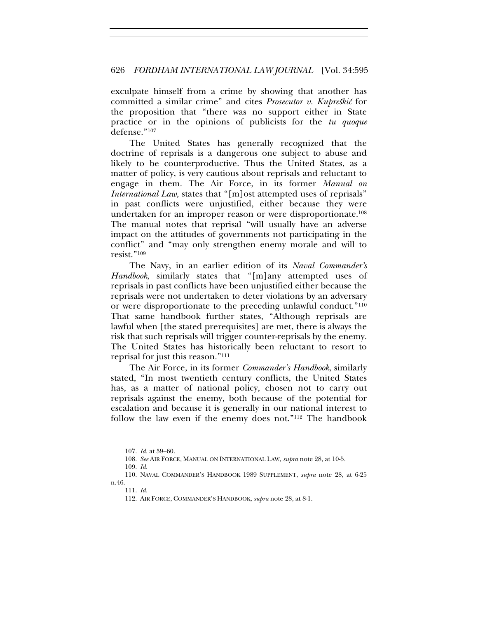exculpate himself from a crime by showing that another has committed a similar crime" and cites *Prosecutor v. Kupreškić* for the proposition that "there was no support either in State practice or in the opinions of publicists for the *tu quoque* defense."107

The United States has generally recognized that the doctrine of reprisals is a dangerous one subject to abuse and likely to be counterproductive. Thus the United States, as a matter of policy, is very cautious about reprisals and reluctant to engage in them. The Air Force, in its former *Manual on International Law*, states that "[m]ost attempted uses of reprisals" in past conflicts were unjustified, either because they were undertaken for an improper reason or were disproportionate.108 The manual notes that reprisal "will usually have an adverse impact on the attitudes of governments not participating in the conflict" and "may only strengthen enemy morale and will to resist."109

The Navy, in an earlier edition of its *Naval Commander's Handbook*, similarly states that "[m]any attempted uses of reprisals in past conflicts have been unjustified either because the reprisals were not undertaken to deter violations by an adversary or were disproportionate to the preceding unlawful conduct."110 That same handbook further states, "Although reprisals are lawful when [the stated prerequisites] are met, there is always the risk that such reprisals will trigger counter-reprisals by the enemy. The United States has historically been reluctant to resort to reprisal for just this reason."111

The Air Force, in its former *Commander's Handbook*, similarly stated, "In most twentieth century conflicts, the United States has, as a matter of national policy, chosen not to carry out reprisals against the enemy, both because of the potential for escalation and because it is generally in our national interest to follow the law even if the enemy does not."112 The handbook

<sup>107.</sup> *Id.* at 59–60.

<sup>108.</sup> *See* AIR FORCE, MANUAL ON INTERNATIONAL LAW, *supra* note 28, at 10-5.

<sup>109.</sup> *Id.*

<sup>110.</sup> NAVAL COMMANDER'S HANDBOOK 1989 SUPPLEMENT, *supra* note 28, at 6-25 n.46.

<sup>111.</sup> *Id.*

<sup>112.</sup> AIR FORCE, COMMANDER'S HANDBOOK, *supra* note 28, at 8-1.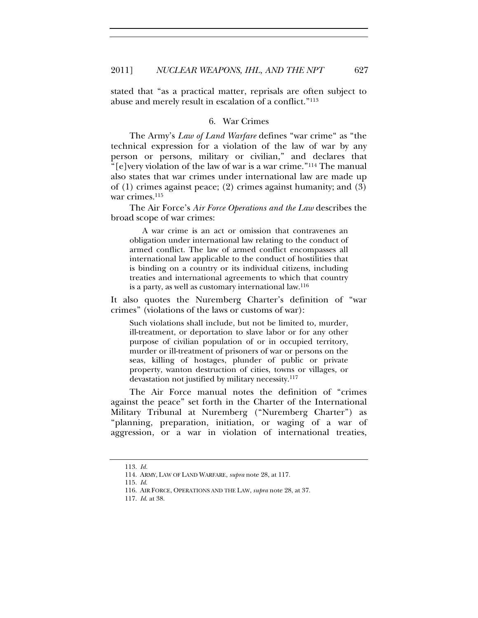stated that "as a practical matter, reprisals are often subject to abuse and merely result in escalation of a conflict."113

## 6. War Crimes

The Army's *Law of Land Warfare* defines "war crime" as "the technical expression for a violation of the law of war by any person or persons, military or civilian," and declares that "[e]very violation of the law of war is a war crime."114 The manual also states that war crimes under international law are made up of (1) crimes against peace; (2) crimes against humanity; and (3) war crimes.<sup>115</sup>

The Air Force's *Air Force Operations and the Law* describes the broad scope of war crimes:

A war crime is an act or omission that contravenes an obligation under international law relating to the conduct of armed conflict. The law of armed conflict encompasses all international law applicable to the conduct of hostilities that is binding on a country or its individual citizens, including treaties and international agreements to which that country is a party, as well as customary international law.116

It also quotes the Nuremberg Charter's definition of "war crimes" (violations of the laws or customs of war):

Such violations shall include, but not be limited to, murder, ill-treatment, or deportation to slave labor or for any other purpose of civilian population of or in occupied territory, murder or ill-treatment of prisoners of war or persons on the seas, killing of hostages, plunder of public or private property, wanton destruction of cities, towns or villages, or devastation not justified by military necessity.117

The Air Force manual notes the definition of "crimes against the peace" set forth in the Charter of the International Military Tribunal at Nuremberg ("Nuremberg Charter") as "planning, preparation, initiation, or waging of a war of aggression, or a war in violation of international treaties,

<sup>113.</sup> *Id.*

<sup>114.</sup> ARMY, LAW OF LAND WARFARE, *supra* note 28, at 117*.*

<sup>115.</sup> *Id*.

<sup>116.</sup> AIR FORCE, OPERATIONS AND THE LAW, *supra* note 28, at 37.

<sup>117.</sup> *Id*. at 38.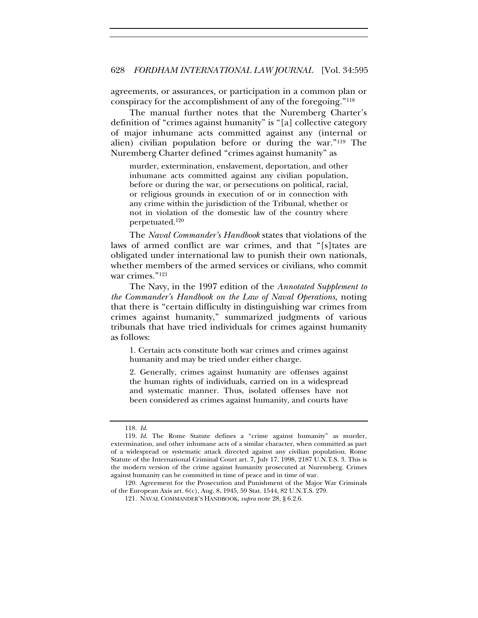agreements, or assurances, or participation in a common plan or conspiracy for the accomplishment of any of the foregoing."118

The manual further notes that the Nuremberg Charter's definition of "crimes against humanity" is "[a] collective category of major inhumane acts committed against any (internal or alien) civilian population before or during the war."119 The Nuremberg Charter defined "crimes against humanity" as

murder, extermination, enslavement, deportation, and other inhumane acts committed against any civilian population, before or during the war, or persecutions on political, racial, or religious grounds in execution of or in connection with any crime within the jurisdiction of the Tribunal, whether or not in violation of the domestic law of the country where perpetuated.120

The *Naval Commander's Handbook* states that violations of the laws of armed conflict are war crimes, and that "[s]tates are obligated under international law to punish their own nationals, whether members of the armed services or civilians, who commit war crimes."121

The Navy, in the 1997 edition of the *Annotated Supplement to the Commander's Handbook on the Law of Naval Operations*, noting that there is "certain difficulty in distinguishing war crimes from crimes against humanity," summarized judgments of various tribunals that have tried individuals for crimes against humanity as follows:

1. Certain acts constitute both war crimes and crimes against humanity and may be tried under either charge.

2. Generally, crimes against humanity are offenses against the human rights of individuals, carried on in a widespread and systematic manner. Thus, isolated offenses have not been considered as crimes against humanity, and courts have

<sup>118.</sup> *Id*.

<sup>119.</sup> *Id*. The Rome Statute defines a "crime against humanity" as murder, extermination, and other inhumane acts of a similar character, when committed as part of a widespread or systematic attack directed against any civilian population. Rome Statute of the International Criminal Court art. 7, July 17, 1998, 2187 U.N.T.S. 3. This is the modern version of the crime against humanity prosecuted at Nuremberg. Crimes against humanity can be committed in time of peace and in time of war.

<sup>120.</sup> Agreement for the Prosecution and Punishment of the Major War Criminals of the European Axis art. 6(c), Aug. 8, 1945, 59 Stat. 1544, 82 U.N.T.S. 279.

<sup>121.</sup> NAVAL COMMANDER'S HANDBOOK, *supra* note 28, § 6.2.6.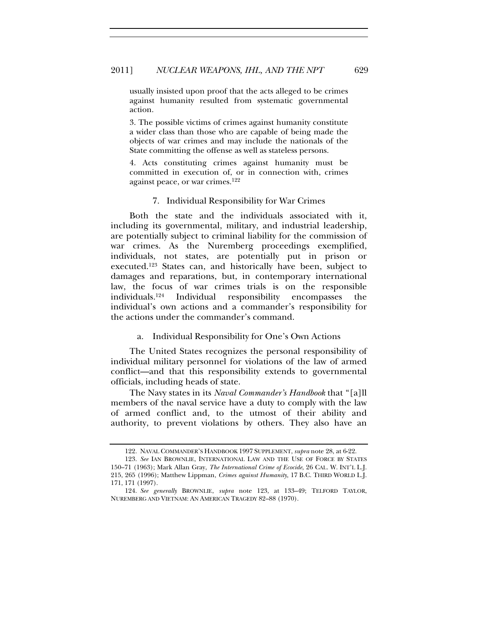usually insisted upon proof that the acts alleged to be crimes against humanity resulted from systematic governmental action.

3. The possible victims of crimes against humanity constitute a wider class than those who are capable of being made the objects of war crimes and may include the nationals of the State committing the offense as well as stateless persons.

4. Acts constituting crimes against humanity must be committed in execution of, or in connection with, crimes against peace, or war crimes.122

#### 7. Individual Responsibility for War Crimes

Both the state and the individuals associated with it, including its governmental, military, and industrial leadership, are potentially subject to criminal liability for the commission of war crimes. As the Nuremberg proceedings exemplified, individuals, not states, are potentially put in prison or executed.123 States can, and historically have been, subject to damages and reparations, but, in contemporary international law, the focus of war crimes trials is on the responsible individuals.124 Individual responsibility encompasses the individual's own actions and a commander's responsibility for the actions under the commander's command.

#### a. Individual Responsibility for One's Own Actions

The United States recognizes the personal responsibility of individual military personnel for violations of the law of armed conflict—and that this responsibility extends to governmental officials, including heads of state.

The Navy states in its *Naval Commander's Handbook* that "[a]ll members of the naval service have a duty to comply with the law of armed conflict and, to the utmost of their ability and authority, to prevent violations by others. They also have an

<sup>122.</sup> NAVAL COMMANDER'S HANDBOOK 1997 SUPPLEMENT, *supra* note 28, at 6-22.

<sup>123.</sup> *See* IAN BROWNLIE, INTERNATIONAL LAW AND THE USE OF FORCE BY STATES 150–71 (1963); Mark Allan Gray, *The International Crime of Ecocide*, 26 CAL. W. INT'L L.J. 215, 265 (1996); Matthew Lippman, *Crimes against Humanity*, 17 B.C. THIRD WORLD L.J. 171, 171 (1997).

<sup>124.</sup> *See generally* BROWNLIE, *supra* note 123, at 133–49; TELFORD TAYLOR, NUREMBERG AND VIETNAM: AN AMERICAN TRAGEDY 82–88 (1970).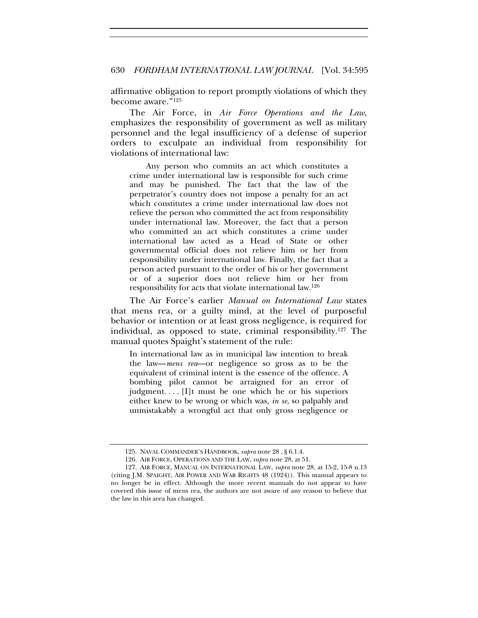affirmative obligation to report promptly violations of which they become aware."125

The Air Force, in *Air Force Operations and the Law*, emphasizes the responsibility of government as well as military personnel and the legal insufficiency of a defense of superior orders to exculpate an individual from responsibility for violations of international law:

Any person who commits an act which constitutes a crime under international law is responsible for such crime and may be punished. The fact that the law of the perpetrator's country does not impose a penalty for an act which constitutes a crime under international law does not relieve the person who committed the act from responsibility under international law. Moreover, the fact that a person who committed an act which constitutes a crime under international law acted as a Head of State or other governmental official does not relieve him or her from responsibility under international law. Finally, the fact that a person acted pursuant to the order of his or her government or of a superior does not relieve him or her from responsibility for acts that violate international law.126

The Air Force's earlier *Manual on International Law* states that mens rea, or a guilty mind, at the level of purposeful behavior or intention or at least gross negligence, is required for individual, as opposed to state, criminal responsibility.127 The manual quotes Spaight's statement of the rule:

In international law as in municipal law intention to break the law—*mens rea*—or negligence so gross as to be the equivalent of criminal intent is the essence of the offence. A bombing pilot cannot be arraigned for an error of judgment. . . . [I]t must be one which he or his superiors either knew to be wrong or which was, *in se*, so palpably and unmistakably a wrongful act that only gross negligence or

<sup>125.</sup> NAVAL COMMANDER'S HANDBOOK, *supra* note 28 , § 6.1.4.

<sup>126.</sup> AIR FORCE, OPERATIONS AND THE LAW, *supra* note 28, at 51.

<sup>127.</sup> AIR FORCE, MANUAL ON INTERNATIONAL LAW, *supra* note 28, at 15-2, 15-8 n.13 (citing J.M. SPAIGHT, AIR POWER AND WAR RIGHTS 48 (1924)). This manual appears to no longer be in effect. Although the more recent manuals do not appear to have covered this issue of mens rea*,* the authors are not aware of any reason to believe that the law in this area has changed.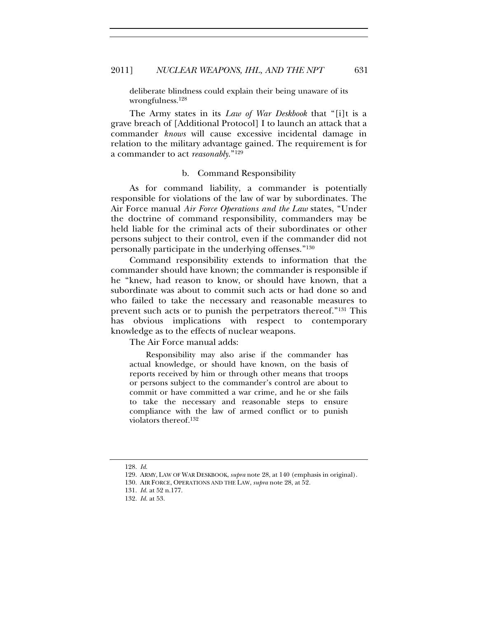deliberate blindness could explain their being unaware of its wrongfulness.128

The Army states in its *Law of War Deskbook* that "[i]t is a grave breach of [Additional Protocol] I to launch an attack that a commander *knows* will cause excessive incidental damage in relation to the military advantage gained. The requirement is for a commander to act *reasonably*."129

## b. Command Responsibility

As for command liability, a commander is potentially responsible for violations of the law of war by subordinates. The Air Force manual *Air Force Operations and the Law* states, "Under the doctrine of command responsibility, commanders may be held liable for the criminal acts of their subordinates or other persons subject to their control, even if the commander did not personally participate in the underlying offenses."130

Command responsibility extends to information that the commander should have known; the commander is responsible if he "knew, had reason to know, or should have known, that a subordinate was about to commit such acts or had done so and who failed to take the necessary and reasonable measures to prevent such acts or to punish the perpetrators thereof."131 This has obvious implications with respect to contemporary knowledge as to the effects of nuclear weapons.

The Air Force manual adds:

Responsibility may also arise if the commander has actual knowledge, or should have known, on the basis of reports received by him or through other means that troops or persons subject to the commander's control are about to commit or have committed a war crime, and he or she fails to take the necessary and reasonable steps to ensure compliance with the law of armed conflict or to punish violators thereof.132

<sup>128.</sup> *Id*.

<sup>129.</sup> ARMY, LAW OF WAR DESKBOOK, *supra* note 28, at 140 (emphasis in original).

<sup>130.</sup> AIR FORCE, OPERATIONS AND THE LAW, *supra* note 28, at 52*.*

<sup>131.</sup> *Id.* at 52 n.177.

<sup>132.</sup> *Id.* at 53.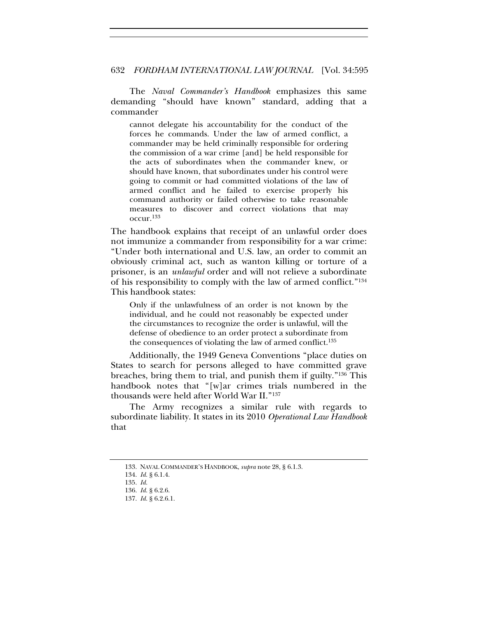The *Naval Commander's Handbook* emphasizes this same demanding "should have known" standard, adding that a commander

cannot delegate his accountability for the conduct of the forces he commands. Under the law of armed conflict, a commander may be held criminally responsible for ordering the commission of a war crime [and] be held responsible for the acts of subordinates when the commander knew, or should have known, that subordinates under his control were going to commit or had committed violations of the law of armed conflict and he failed to exercise properly his command authority or failed otherwise to take reasonable measures to discover and correct violations that may occur.133

The handbook explains that receipt of an unlawful order does not immunize a commander from responsibility for a war crime: "Under both international and U.S. law, an order to commit an obviously criminal act, such as wanton killing or torture of a prisoner, is an *unlawful* order and will not relieve a subordinate of his responsibility to comply with the law of armed conflict."134 This handbook states:

Only if the unlawfulness of an order is not known by the individual, and he could not reasonably be expected under the circumstances to recognize the order is unlawful, will the defense of obedience to an order protect a subordinate from the consequences of violating the law of armed conflict.135

Additionally, the 1949 Geneva Conventions "place duties on States to search for persons alleged to have committed grave breaches, bring them to trial, and punish them if guilty."136 This handbook notes that "[w]ar crimes trials numbered in the thousands were held after World War II."137

The Army recognizes a similar rule with regards to subordinate liability. It states in its 2010 *Operational Law Handbook* that

<sup>133.</sup> NAVAL COMMANDER'S HANDBOOK, *supra* note 28, § 6.1.3.

<sup>134.</sup> *Id.* § 6.1.4.

<sup>135.</sup> *Id.*

<sup>136.</sup> *Id.* § 6.2.6.

<sup>137.</sup> *Id.* § 6.2.6.1.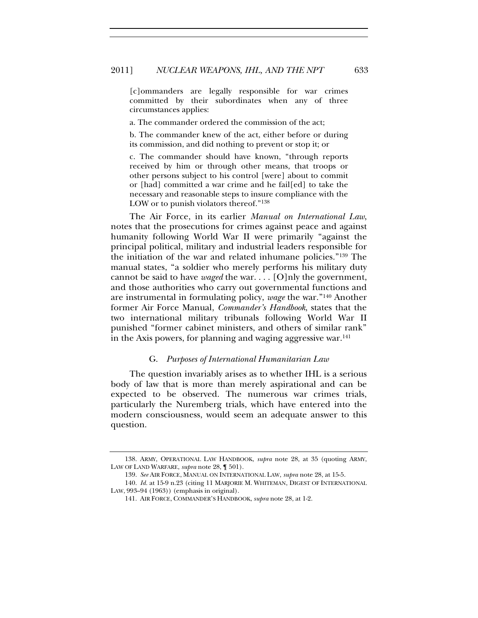[c]ommanders are legally responsible for war crimes committed by their subordinates when any of three circumstances applies:

a. The commander ordered the commission of the act;

b. The commander knew of the act, either before or during its commission, and did nothing to prevent or stop it; or

c. The commander should have known, "through reports received by him or through other means, that troops or other persons subject to his control [were] about to commit or [had] committed a war crime and he fail[ed] to take the necessary and reasonable steps to insure compliance with the LOW or to punish violators thereof."<sup>138</sup>

The Air Force, in its earlier *Manual on International Law*, notes that the prosecutions for crimes against peace and against humanity following World War II were primarily "against the principal political, military and industrial leaders responsible for the initiation of the war and related inhumane policies."139 The manual states, "a soldier who merely performs his military duty cannot be said to have *waged* the war. . . . [O]nly the government, and those authorities who carry out governmental functions and are instrumental in formulating policy, *wage* the war."140 Another former Air Force Manual, *Commander's Handbook*, states that the two international military tribunals following World War II punished "former cabinet ministers, and others of similar rank" in the Axis powers, for planning and waging aggressive war.141

#### G. *Purposes of International Humanitarian Law*

The question invariably arises as to whether IHL is a serious body of law that is more than merely aspirational and can be expected to be observed. The numerous war crimes trials, particularly the Nuremberg trials, which have entered into the modern consciousness, would seem an adequate answer to this question.

<sup>138.</sup> ARMY, OPERATIONAL LAW HANDBOOK, *supra* note 28, at 35 (quoting ARMY, LAW OF LAND WARFARE, *supra* note 28,  $\P$  501).

<sup>139.</sup> *See* AIR FORCE, MANUAL ON INTERNATIONAL LAW, *supra* note 28, at 15-5.

<sup>140.</sup> *Id.* at 15-9 n.23 (citing 11 MARJORIE M. WHITEMAN, DIGEST OF INTERNATIONAL LAW, 993–94 (1963)) (emphasis in original).

<sup>141.</sup> AIR FORCE, COMMANDER'S HANDBOOK, *supra* note 28, at 1-2.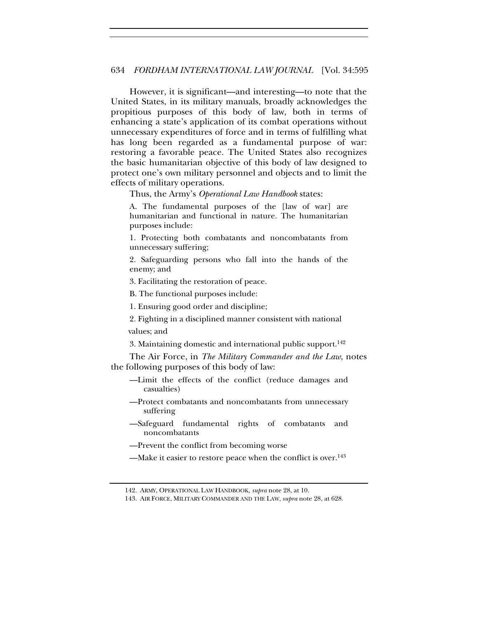However, it is significant—and interesting—to note that the United States, in its military manuals, broadly acknowledges the propitious purposes of this body of law, both in terms of enhancing a state's application of its combat operations without unnecessary expenditures of force and in terms of fulfilling what has long been regarded as a fundamental purpose of war: restoring a favorable peace. The United States also recognizes the basic humanitarian objective of this body of law designed to protect one's own military personnel and objects and to limit the effects of military operations.

Thus, the Army's *Operational Law Handbook* states:

A. The fundamental purposes of the [law of war] are humanitarian and functional in nature. The humanitarian purposes include:

1. Protecting both combatants and noncombatants from unnecessary suffering;

2. Safeguarding persons who fall into the hands of the enemy; and

3. Facilitating the restoration of peace.

B. The functional purposes include:

1. Ensuring good order and discipline;

2. Fighting in a disciplined manner consistent with national values; and

3. Maintaining domestic and international public support.142

The Air Force, in *The Military Commander and the Law*, notes the following purposes of this body of law:

- —Limit the effects of the conflict (reduce damages and casualties)
- —Protect combatants and noncombatants from unnecessary suffering
- —Safeguard fundamental rights of combatants and noncombatants
- —Prevent the conflict from becoming worse
- —Make it easier to restore peace when the conflict is over.<sup>143</sup>

<sup>142.</sup> ARMY, OPERATIONAL LAW HANDBOOK, *supra* note 28, at 10.

<sup>143.</sup> AIR FORCE, MILITARY COMMANDER AND THE LAW, *supra* note 28, at 628.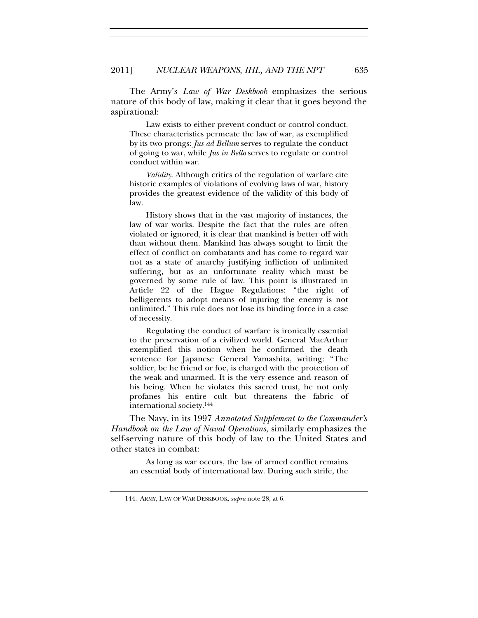The Army's *Law of War Deskbook* emphasizes the serious nature of this body of law, making it clear that it goes beyond the aspirational:

Law exists to either prevent conduct or control conduct. These characteristics permeate the law of war, as exemplified by its two prongs: *Jus ad Bellum* serves to regulate the conduct of going to war, while *Jus in Bello* serves to regulate or control conduct within war.

*Validity*. Although critics of the regulation of warfare cite historic examples of violations of evolving laws of war, history provides the greatest evidence of the validity of this body of law.

History shows that in the vast majority of instances, the law of war works. Despite the fact that the rules are often violated or ignored, it is clear that mankind is better off with than without them. Mankind has always sought to limit the effect of conflict on combatants and has come to regard war not as a state of anarchy justifying infliction of unlimited suffering, but as an unfortunate reality which must be governed by some rule of law. This point is illustrated in Article 22 of the Hague Regulations: "the right of belligerents to adopt means of injuring the enemy is not unlimited." This rule does not lose its binding force in a case of necessity.

Regulating the conduct of warfare is ironically essential to the preservation of a civilized world. General MacArthur exemplified this notion when he confirmed the death sentence for Japanese General Yamashita, writing: "The soldier, be he friend or foe, is charged with the protection of the weak and unarmed. It is the very essence and reason of his being. When he violates this sacred trust, he not only profanes his entire cult but threatens the fabric of international society.144

The Navy, in its 1997 *Annotated Supplement to the Commander's Handbook on the Law of Naval Operations*, similarly emphasizes the self-serving nature of this body of law to the United States and other states in combat:

As long as war occurs, the law of armed conflict remains an essential body of international law. During such strife, the

<sup>144.</sup> ARMY, LAW OF WAR DESKBOOK, *supra* note 28*,* at 6.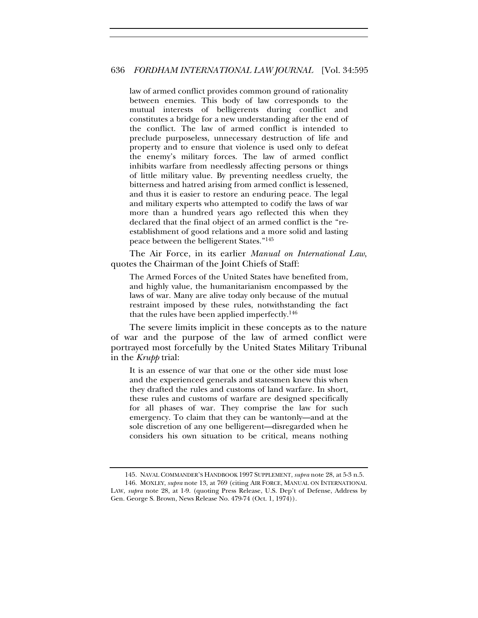law of armed conflict provides common ground of rationality between enemies. This body of law corresponds to the mutual interests of belligerents during conflict and constitutes a bridge for a new understanding after the end of the conflict. The law of armed conflict is intended to preclude purposeless, unnecessary destruction of life and property and to ensure that violence is used only to defeat the enemy's military forces. The law of armed conflict inhibits warfare from needlessly affecting persons or things of little military value. By preventing needless cruelty, the bitterness and hatred arising from armed conflict is lessened, and thus it is easier to restore an enduring peace. The legal and military experts who attempted to codify the laws of war more than a hundred years ago reflected this when they declared that the final object of an armed conflict is the "reestablishment of good relations and a more solid and lasting peace between the belligerent States."145

The Air Force, in its earlier *Manual on International Law*, quotes the Chairman of the Joint Chiefs of Staff:

The Armed Forces of the United States have benefited from, and highly value, the humanitarianism encompassed by the laws of war. Many are alive today only because of the mutual restraint imposed by these rules, notwithstanding the fact that the rules have been applied imperfectly.146

The severe limits implicit in these concepts as to the nature of war and the purpose of the law of armed conflict were portrayed most forcefully by the United States Military Tribunal in the *Krupp* trial:

It is an essence of war that one or the other side must lose and the experienced generals and statesmen knew this when they drafted the rules and customs of land warfare. In short, these rules and customs of warfare are designed specifically for all phases of war. They comprise the law for such emergency. To claim that they can be wantonly—and at the sole discretion of any one belligerent—disregarded when he considers his own situation to be critical, means nothing

<sup>145.</sup> NAVAL COMMANDER'S HANDBOOK 1997 SUPPLEMENT, *supra* note 28, at 5-3 n.5.

<sup>146.</sup> MOXLEY, *supra* note 13, at 769 (citing AIR FORCE, MANUAL ON INTERNATIONAL LAW, *supra* note 28, at 1-9. (quoting Press Release, U.S. Dep't of Defense, Address by Gen. George S. Brown, News Release No. 479-74 (Oct. 1, 1974)).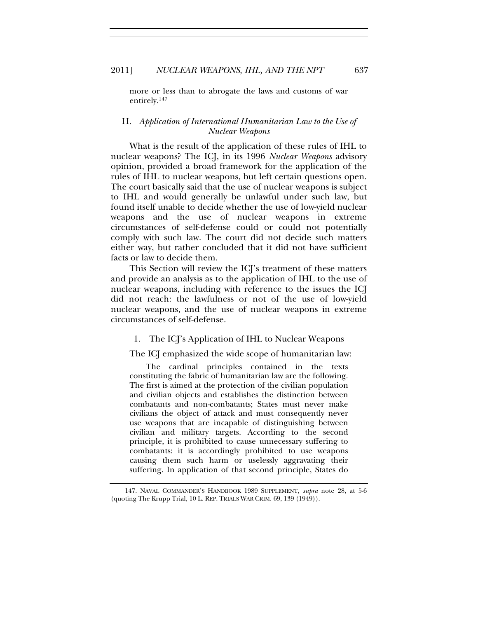more or less than to abrogate the laws and customs of war entirely.147

## H. *Application of International Humanitarian Law to the Use of Nuclear Weapons*

What is the result of the application of these rules of IHL to nuclear weapons? The ICJ, in its 1996 *Nuclear Weapons* advisory opinion, provided a broad framework for the application of the rules of IHL to nuclear weapons, but left certain questions open. The court basically said that the use of nuclear weapons is subject to IHL and would generally be unlawful under such law, but found itself unable to decide whether the use of low-yield nuclear weapons and the use of nuclear weapons in extreme circumstances of self-defense could or could not potentially comply with such law. The court did not decide such matters either way, but rather concluded that it did not have sufficient facts or law to decide them.

This Section will review the ICJ's treatment of these matters and provide an analysis as to the application of IHL to the use of nuclear weapons, including with reference to the issues the ICJ did not reach: the lawfulness or not of the use of low-yield nuclear weapons, and the use of nuclear weapons in extreme circumstances of self-defense.

# 1. The ICJ's Application of IHL to Nuclear Weapons

The ICJ emphasized the wide scope of humanitarian law:

The cardinal principles contained in the texts constituting the fabric of humanitarian law are the following. The first is aimed at the protection of the civilian population and civilian objects and establishes the distinction between combatants and non-combatants; States must never make civilians the object of attack and must consequently never use weapons that are incapable of distinguishing between civilian and military targets. According to the second principle, it is prohibited to cause unnecessary suffering to combatants: it is accordingly prohibited to use weapons causing them such harm or uselessly aggravating their suffering. In application of that second principle, States do

<sup>147.</sup> NAVAL COMMANDER'S HANDBOOK 1989 SUPPLEMENT, *supra* note 28, at 5-6 (quoting The Krupp Trial, 10 L. REP. TRIALS WAR CRIM. 69, 139 (1949)).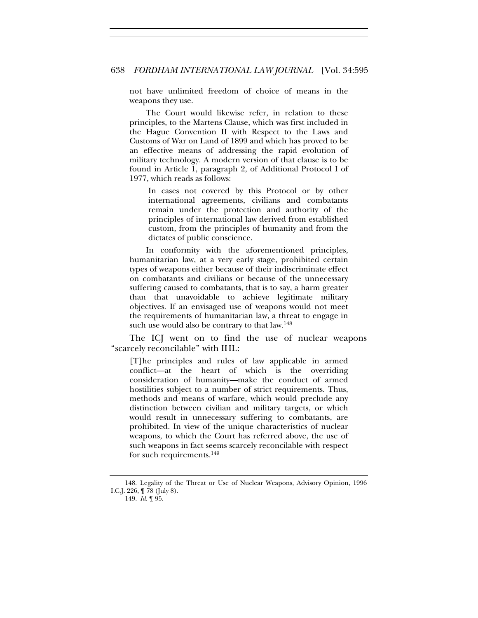not have unlimited freedom of choice of means in the weapons they use.

The Court would likewise refer, in relation to these principles, to the Martens Clause, which was first included in the Hague Convention II with Respect to the Laws and Customs of War on Land of 1899 and which has proved to be an effective means of addressing the rapid evolution of military technology. A modern version of that clause is to be found in Article 1, paragraph 2, of Additional Protocol I of 1977, which reads as follows:

In cases not covered by this Protocol or by other international agreements, civilians and combatants remain under the protection and authority of the principles of international law derived from established custom, from the principles of humanity and from the dictates of public conscience.

In conformity with the aforementioned principles, humanitarian law, at a very early stage, prohibited certain types of weapons either because of their indiscriminate effect on combatants and civilians or because of the unnecessary suffering caused to combatants, that is to say, a harm greater than that unavoidable to achieve legitimate military objectives. If an envisaged use of weapons would not meet the requirements of humanitarian law, a threat to engage in such use would also be contrary to that law.<sup>148</sup>

The ICJ went on to find the use of nuclear weapons "scarcely reconcilable" with IHL:

[T]he principles and rules of law applicable in armed conflict—at the heart of which is the overriding consideration of humanity—make the conduct of armed hostilities subject to a number of strict requirements. Thus, methods and means of warfare, which would preclude any distinction between civilian and military targets, or which would result in unnecessary suffering to combatants, are prohibited. In view of the unique characteristics of nuclear weapons, to which the Court has referred above, the use of such weapons in fact seems scarcely reconcilable with respect for such requirements.149

<sup>148.</sup> Legality of the Threat or Use of Nuclear Weapons, Advisory Opinion, 1996 I.C.J. 226, ¶ 78 (July 8).

<sup>149.</sup> *Id.* ¶ 95.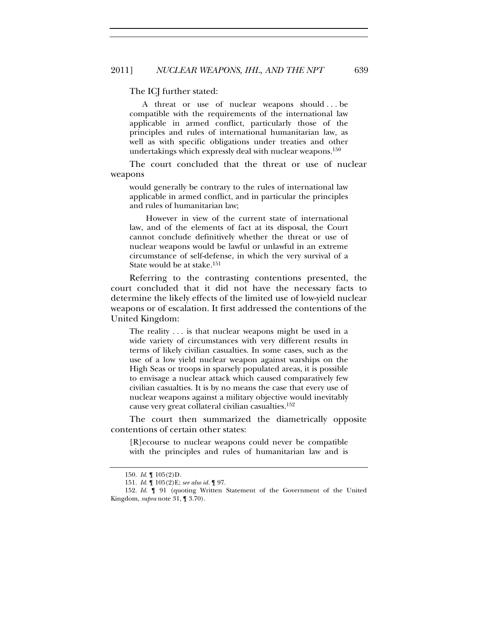The ICJ further stated:

A threat or use of nuclear weapons should ... be compatible with the requirements of the international law applicable in armed conflict, particularly those of the principles and rules of international humanitarian law, as well as with specific obligations under treaties and other undertakings which expressly deal with nuclear weapons.150

The court concluded that the threat or use of nuclear weapons

would generally be contrary to the rules of international law applicable in armed conflict, and in particular the principles and rules of humanitarian law;

However in view of the current state of international law, and of the elements of fact at its disposal, the Court cannot conclude definitively whether the threat or use of nuclear weapons would be lawful or unlawful in an extreme circumstance of self-defense, in which the very survival of a State would be at stake.151

Referring to the contrasting contentions presented, the court concluded that it did not have the necessary facts to determine the likely effects of the limited use of low-yield nuclear weapons or of escalation. It first addressed the contentions of the United Kingdom:

The reality . . . is that nuclear weapons might be used in a wide variety of circumstances with very different results in terms of likely civilian casualties. In some cases, such as the use of a low yield nuclear weapon against warships on the High Seas or troops in sparsely populated areas, it is possible to envisage a nuclear attack which caused comparatively few civilian casualties. It is by no means the case that every use of nuclear weapons against a military objective would inevitably cause very great collateral civilian casualties.152

The court then summarized the diametrically opposite contentions of certain other states:

[R]ecourse to nuclear weapons could never be compatible with the principles and rules of humanitarian law and is

<sup>150.</sup> *Id.* ¶ 105(2)D.

<sup>151.</sup> *Id.* ¶ 105(2)E; *see also id.* ¶ 97.

<sup>152.</sup> *Id.* ¶ 91 (quoting Written Statement of the Government of the United Kingdom, *supra* note 31, ¶ 3.70).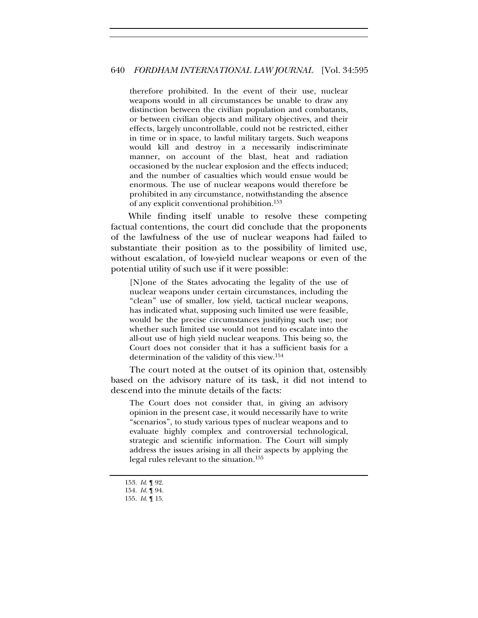therefore prohibited. In the event of their use, nuclear weapons would in all circumstances be unable to draw any distinction between the civilian population and combatants, or between civilian objects and military objectives, and their effects, largely uncontrollable, could not be restricted, either in time or in space, to lawful military targets. Such weapons would kill and destroy in a necessarily indiscriminate manner, on account of the blast, heat and radiation occasioned by the nuclear explosion and the effects induced; and the number of casualties which would ensue would be enormous. The use of nuclear weapons would therefore be prohibited in any circumstance, notwithstanding the absence of any explicit conventional prohibition.153

While finding itself unable to resolve these competing factual contentions, the court did conclude that the proponents of the lawfulness of the use of nuclear weapons had failed to substantiate their position as to the possibility of limited use, without escalation, of low-yield nuclear weapons or even of the potential utility of such use if it were possible:

[N]one of the States advocating the legality of the use of nuclear weapons under certain circumstances, including the "clean" use of smaller, low yield, tactical nuclear weapons, has indicated what, supposing such limited use were feasible, would be the precise circumstances justifying such use; nor whether such limited use would not tend to escalate into the all-out use of high yield nuclear weapons. This being so, the Court does not consider that it has a sufficient basis for a determination of the validity of this view.154

The court noted at the outset of its opinion that, ostensibly based on the advisory nature of its task, it did not intend to descend into the minute details of the facts:

The Court does not consider that, in giving an advisory opinion in the present case, it would necessarily have to write "scenarios", to study various types of nuclear weapons and to evaluate highly complex and controversial technological, strategic and scientific information. The Court will simply address the issues arising in all their aspects by applying the legal rules relevant to the situation.155

153. *Id.* ¶ 92.

155. *Id.* ¶ 15.

<sup>154.</sup> *Id.* ¶ 94.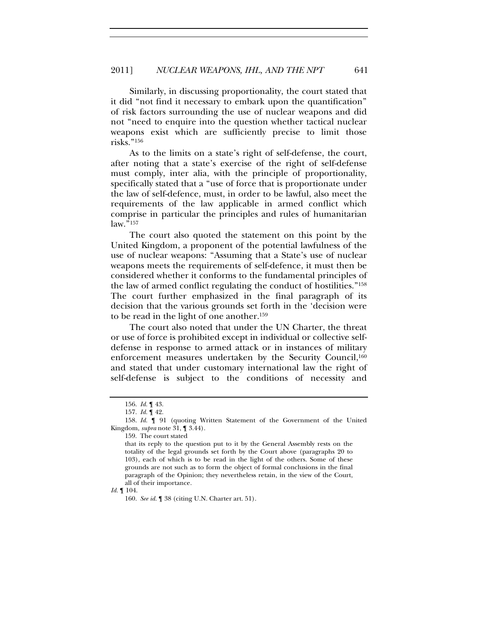Similarly, in discussing proportionality, the court stated that it did "not find it necessary to embark upon the quantification" of risk factors surrounding the use of nuclear weapons and did not "need to enquire into the question whether tactical nuclear weapons exist which are sufficiently precise to limit those risks."156

As to the limits on a state's right of self-defense, the court, after noting that a state's exercise of the right of self-defense must comply, inter alia, with the principle of proportionality, specifically stated that a "use of force that is proportionate under the law of self-defence, must, in order to be lawful, also meet the requirements of the law applicable in armed conflict which comprise in particular the principles and rules of humanitarian law."157

The court also quoted the statement on this point by the United Kingdom, a proponent of the potential lawfulness of the use of nuclear weapons: "Assuming that a State's use of nuclear weapons meets the requirements of self-defence, it must then be considered whether it conforms to the fundamental principles of the law of armed conflict regulating the conduct of hostilities."158 The court further emphasized in the final paragraph of its decision that the various grounds set forth in the 'decision were to be read in the light of one another.159

The court also noted that under the UN Charter, the threat or use of force is prohibited except in individual or collective selfdefense in response to armed attack or in instances of military enforcement measures undertaken by the Security Council,<sup>160</sup> and stated that under customary international law the right of self-defense is subject to the conditions of necessity and

*Id.* ¶ 104.

160. *See id.* ¶ 38 (citing U.N. Charter art. 51).

<sup>156.</sup> *Id.* ¶ 43.

<sup>157.</sup> *Id.* ¶ 42.

<sup>158.</sup> *Id.* ¶ 91 (quoting Written Statement of the Government of the United Kingdom, *supra* note 31, ¶ 3.44).

<sup>159.</sup> The court stated

that its reply to the question put to it by the General Assembly rests on the totality of the legal grounds set forth by the Court above (paragraphs 20 to 103), each of which is to be read in the light of the others. Some of these grounds are not such as to form the object of formal conclusions in the final paragraph of the Opinion; they nevertheless retain, in the view of the Court, all of their importance.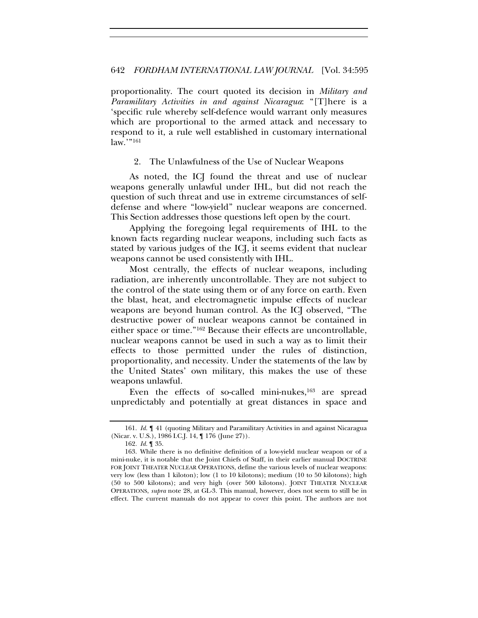proportionality. The court quoted its decision in *Military and Paramilitary Activities in and against Nicaragua*: "[T]here is a 'specific rule whereby self-defence would warrant only measures which are proportional to the armed attack and necessary to respond to it, a rule well established in customary international law."<sup>161</sup>

2. The Unlawfulness of the Use of Nuclear Weapons

As noted, the ICJ found the threat and use of nuclear weapons generally unlawful under IHL, but did not reach the question of such threat and use in extreme circumstances of selfdefense and where "low-yield" nuclear weapons are concerned. This Section addresses those questions left open by the court.

Applying the foregoing legal requirements of IHL to the known facts regarding nuclear weapons, including such facts as stated by various judges of the ICJ, it seems evident that nuclear weapons cannot be used consistently with IHL.

Most centrally, the effects of nuclear weapons, including radiation, are inherently uncontrollable. They are not subject to the control of the state using them or of any force on earth. Even the blast, heat, and electromagnetic impulse effects of nuclear weapons are beyond human control. As the ICJ observed, "The destructive power of nuclear weapons cannot be contained in either space or time."162 Because their effects are uncontrollable, nuclear weapons cannot be used in such a way as to limit their effects to those permitted under the rules of distinction, proportionality, and necessity. Under the statements of the law by the United States' own military, this makes the use of these weapons unlawful.

Even the effects of so-called mini-nukes, $163$  are spread unpredictably and potentially at great distances in space and

<sup>161.</sup> *Id.* ¶ 41 (quoting Military and Paramilitary Activities in and against Nicaragua (Nicar. v. U.S.), 1986 I.C.J. 14, ¶ 176 (June 27)).

<sup>162.</sup> *Id.* ¶ 35.

<sup>163.</sup> While there is no definitive definition of a low-yield nuclear weapon or of a mini-nuke, it is notable that the Joint Chiefs of Staff, in their earlier manual DOCTRINE FOR JOINT THEATER NUCLEAR OPERATIONS, define the various levels of nuclear weapons: very low (less than 1 kiloton); low (1 to 10 kilotons); medium (10 to 50 kilotons); high (50 to 500 kilotons); and very high (over 500 kilotons). JOINT THEATER NUCLEAR OPERATIONS, *supra* note 28, at GL-3. This manual, however, does not seem to still be in effect. The current manuals do not appear to cover this point. The authors are not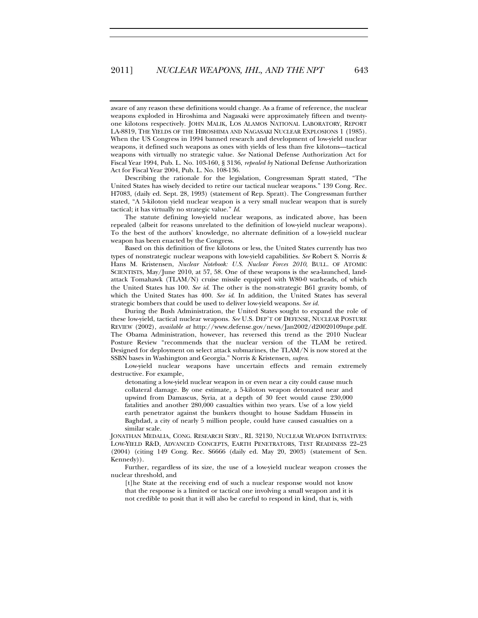aware of any reason these definitions would change. As a frame of reference, the nuclear weapons exploded in Hiroshima and Nagasaki were approximately fifteen and twentyone kilotons respectively. JOHN MALIK, LOS ALAMOS NATIONAL LABORATORY, REPORT LA-8819, THE YIELDS OF THE HIROSHIMA AND NAGASAKI NUCLEAR EXPLOSIONS 1 (1985). When the US Congress in 1994 banned research and development of low-yield nuclear weapons, it defined such weapons as ones with yields of less than five kilotons—tactical weapons with virtually no strategic value. *See* National Defense Authorization Act for Fiscal Year 1994, Pub. L. No. 103-160, § 3136, *repealed by* National Defense Authorization Act for Fiscal Year 2004, Pub. L. No. 108-136.

Describing the rationale for the legislation, Congressman Spratt stated, "The United States has wisely decided to retire our tactical nuclear weapons." 139 Cong. Rec. H7083, (daily ed. Sept. 28, 1993) (statement of Rep. Spratt). The Congressman further stated, "A 5-kiloton yield nuclear weapon is a very small nuclear weapon that is surely tactical; it has virtually no strategic value." *Id*.

The statute defining low-yield nuclear weapons, as indicated above, has been repealed (albeit for reasons unrelated to the definition of low-yield nuclear weapons). To the best of the authors' knowledge, no alternate definition of a low-yield nuclear weapon has been enacted by the Congress.

Based on this definition of five kilotons or less, the United States currently has two types of nonstrategic nuclear weapons with low-yield capabilities. *See* Robert S. Norris & Hans M. Kristensen, *Nuclear Notebook: U.S. Nuclear Forces 2010*, BULL. OF ATOMIC SCIENTISTS, May/June 2010, at 57, 58. One of these weapons is the sea-launched, landattack Tomahawk (TLAM/N) cruise missile equipped with W80-0 warheads, of which the United States has 100. *See id*. The other is the non-strategic B61 gravity bomb, of which the United States has 400. *See id*. In addition, the United States has several strategic bombers that could be used to deliver low-yield weapons. *See id.*

During the Bush Administration, the United States sought to expand the role of these low-yield, tactical nuclear weapons. *See* U.S. DEP'T OF DEFENSE, NUCLEAR POSTURE REVIEW (2002), *available at* http://www.defense.gov/news/Jan2002/d20020109npr.pdf. The Obama Administration, however, has reversed this trend as the 2010 Nuclear Posture Review "recommends that the nuclear version of the TLAM be retired. Designed for deployment on select attack submarines, the TLAM/N is now stored at the SSBN bases in Washington and Georgia." Norris & Kristensen, *supra*.

Low-yield nuclear weapons have uncertain effects and remain extremely destructive. For example,

detonating a low-yield nuclear weapon in or even near a city could cause much collateral damage. By one estimate, a 5-kiloton weapon detonated near and upwind from Damascus, Syria, at a depth of 30 feet would cause 230,000 fatalities and another 280,000 casualties within two years. Use of a low yield earth penetrator against the bunkers thought to house Saddam Hussein in Baghdad, a city of nearly 5 million people, could have caused casualties on a similar scale.

JONATHAN MEDALIA, CONG. RESEARCH SERV., RL 32130, NUCLEAR WEAPON INITIATIVES: LOW-YIELD R&D, ADVANCED CONCEPTS, EARTH PENETRATORS, TEST READINESS 22–23 (2004) (citing 149 Cong. Rec. S6666 (daily ed. May 20, 2003) (statement of Sen. Kennedy)).

Further, regardless of its size, the use of a low-yield nuclear weapon crosses the nuclear threshold, and

[t]he State at the receiving end of such a nuclear response would not know that the response is a limited or tactical one involving a small weapon and it is not credible to posit that it will also be careful to respond in kind, that is, with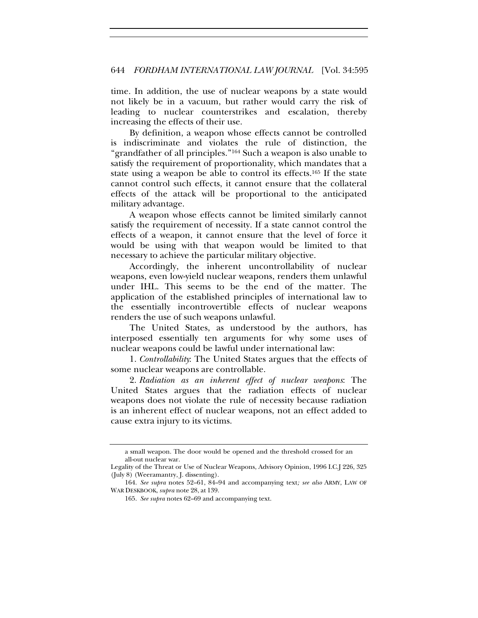time. In addition, the use of nuclear weapons by a state would not likely be in a vacuum, but rather would carry the risk of leading to nuclear counterstrikes and escalation, thereby increasing the effects of their use.

By definition, a weapon whose effects cannot be controlled is indiscriminate and violates the rule of distinction, the "grandfather of all principles."164 Such a weapon is also unable to satisfy the requirement of proportionality, which mandates that a state using a weapon be able to control its effects.165 If the state cannot control such effects, it cannot ensure that the collateral effects of the attack will be proportional to the anticipated military advantage.

A weapon whose effects cannot be limited similarly cannot satisfy the requirement of necessity. If a state cannot control the effects of a weapon, it cannot ensure that the level of force it would be using with that weapon would be limited to that necessary to achieve the particular military objective.

Accordingly, the inherent uncontrollability of nuclear weapons, even low-yield nuclear weapons, renders them unlawful under IHL. This seems to be the end of the matter. The application of the established principles of international law to the essentially incontrovertible effects of nuclear weapons renders the use of such weapons unlawful.

The United States, as understood by the authors, has interposed essentially ten arguments for why some uses of nuclear weapons could be lawful under international law:

1. *Controllability*: The United States argues that the effects of some nuclear weapons are controllable.

2. *Radiation as an inherent effect of nuclear weapons*: The United States argues that the radiation effects of nuclear weapons does not violate the rule of necessity because radiation is an inherent effect of nuclear weapons, not an effect added to cause extra injury to its victims.

a small weapon. The door would be opened and the threshold crossed for an all-out nuclear war.

Legality of the Threat or Use of Nuclear Weapons, Advisory Opinion, 1996 I.C.J 226, 325 (July 8) (Weeramantry, J. dissenting).

<sup>164.</sup> *See supra* notes 52–61, 84–94 and accompanying text*; see also* ARMY, LAW OF WAR DESKBOOK, *supra* note 28, at 139.

<sup>165.</sup> *See supra* notes 62–69 and accompanying text.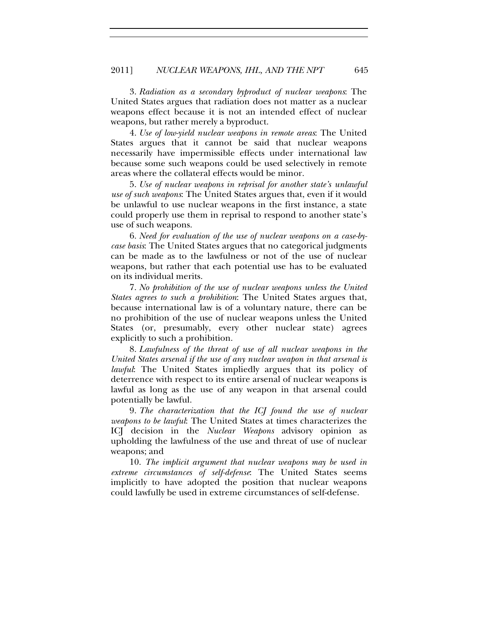3. *Radiation as a secondary byproduct of nuclear weapons*: The United States argues that radiation does not matter as a nuclear weapons effect because it is not an intended effect of nuclear weapons, but rather merely a byproduct.

4. *Use of low-yield nuclear weapons in remote areas*: The United States argues that it cannot be said that nuclear weapons necessarily have impermissible effects under international law because some such weapons could be used selectively in remote areas where the collateral effects would be minor.

5. *Use of nuclear weapons in reprisal for another state's unlawful use of such weapons*: The United States argues that, even if it would be unlawful to use nuclear weapons in the first instance, a state could properly use them in reprisal to respond to another state's use of such weapons.

6. *Need for evaluation of the use of nuclear weapons on a case-bycase basis*: The United States argues that no categorical judgments can be made as to the lawfulness or not of the use of nuclear weapons, but rather that each potential use has to be evaluated on its individual merits.

7. *No prohibition of the use of nuclear weapons unless the United States agrees to such a prohibition*: The United States argues that, because international law is of a voluntary nature, there can be no prohibition of the use of nuclear weapons unless the United States (or, presumably, every other nuclear state) agrees explicitly to such a prohibition.

8. *Lawfulness of the threat of use of all nuclear weapons in the United States arsenal if the use of any nuclear weapon in that arsenal is lawful*: The United States impliedly argues that its policy of deterrence with respect to its entire arsenal of nuclear weapons is lawful as long as the use of any weapon in that arsenal could potentially be lawful.

9. *The characterization that the ICJ found the use of nuclear weapons to be lawful*: The United States at times characterizes the ICJ decision in the *Nuclear Weapons* advisory opinion as upholding the lawfulness of the use and threat of use of nuclear weapons; and

10. *The implicit argument that nuclear weapons may be used in extreme circumstances of self-defense*: The United States seems implicitly to have adopted the position that nuclear weapons could lawfully be used in extreme circumstances of self-defense.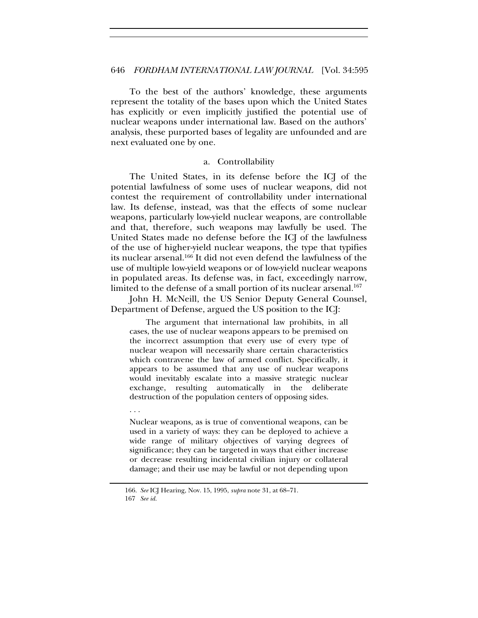To the best of the authors' knowledge, these arguments represent the totality of the bases upon which the United States has explicitly or even implicitly justified the potential use of nuclear weapons under international law. Based on the authors' analysis, these purported bases of legality are unfounded and are next evaluated one by one.

#### a. Controllability

The United States, in its defense before the ICJ of the potential lawfulness of some uses of nuclear weapons, did not contest the requirement of controllability under international law. Its defense, instead, was that the effects of some nuclear weapons, particularly low-yield nuclear weapons, are controllable and that, therefore, such weapons may lawfully be used. The United States made no defense before the ICJ of the lawfulness of the use of higher-yield nuclear weapons, the type that typifies its nuclear arsenal.166 It did not even defend the lawfulness of the use of multiple low-yield weapons or of low-yield nuclear weapons in populated areas. Its defense was, in fact, exceedingly narrow, limited to the defense of a small portion of its nuclear arsenal.<sup>167</sup>

John H. McNeill, the US Senior Deputy General Counsel, Department of Defense, argued the US position to the ICJ:

The argument that international law prohibits, in all cases, the use of nuclear weapons appears to be premised on the incorrect assumption that every use of every type of nuclear weapon will necessarily share certain characteristics which contravene the law of armed conflict. Specifically, it appears to be assumed that any use of nuclear weapons would inevitably escalate into a massive strategic nuclear exchange, resulting automatically in the deliberate destruction of the population centers of opposing sides.

Nuclear weapons, as is true of conventional weapons, can be used in a variety of ways: they can be deployed to achieve a wide range of military objectives of varying degrees of significance; they can be targeted in ways that either increase or decrease resulting incidental civilian injury or collateral damage; and their use may be lawful or not depending upon

. . .

<sup>166.</sup> *See* ICJ Hearing, Nov. 15, 1995, *supra* note 31, at 68–71.

<sup>167</sup> *See id.*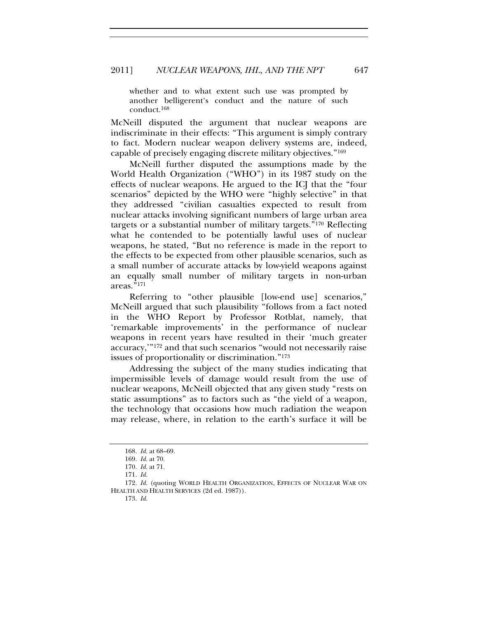whether and to what extent such use was prompted by another belligerent's conduct and the nature of such conduct.168

McNeill disputed the argument that nuclear weapons are indiscriminate in their effects: "This argument is simply contrary to fact. Modern nuclear weapon delivery systems are, indeed, capable of precisely engaging discrete military objectives."169

McNeill further disputed the assumptions made by the World Health Organization ("WHO") in its 1987 study on the effects of nuclear weapons. He argued to the ICJ that the "four scenarios" depicted by the WHO were "highly selective" in that they addressed "civilian casualties expected to result from nuclear attacks involving significant numbers of large urban area targets or a substantial number of military targets."170 Reflecting what he contended to be potentially lawful uses of nuclear weapons, he stated, "But no reference is made in the report to the effects to be expected from other plausible scenarios, such as a small number of accurate attacks by low-yield weapons against an equally small number of military targets in non-urban areas. $^{\overline{7}171}$ 

Referring to "other plausible [low-end use] scenarios," McNeill argued that such plausibility "follows from a fact noted in the WHO Report by Professor Rotblat, namely, that 'remarkable improvements' in the performance of nuclear weapons in recent years have resulted in their 'much greater accuracy,'"172 and that such scenarios "would not necessarily raise issues of proportionality or discrimination."173

Addressing the subject of the many studies indicating that impermissible levels of damage would result from the use of nuclear weapons, McNeill objected that any given study "rests on static assumptions" as to factors such as "the yield of a weapon, the technology that occasions how much radiation the weapon may release, where, in relation to the earth's surface it will be

<sup>168.</sup> *Id.* at 68–69.

<sup>169.</sup> *Id.* at 70.

<sup>170.</sup> *Id.* at 71.

<sup>171.</sup> *Id.*

<sup>172.</sup> *Id.* (quoting WORLD HEALTH ORGANIZATION, EFFECTS OF NUCLEAR WAR ON HEALTH AND HEALTH SERVICES (2d ed. 1987)).

<sup>173.</sup> *Id.*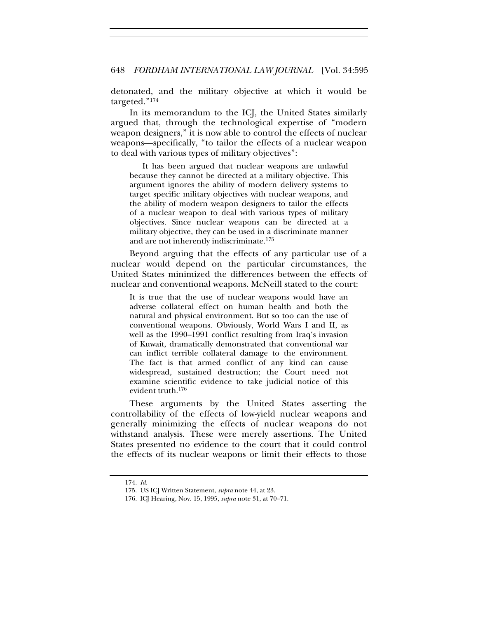detonated, and the military objective at which it would be targeted."174

In its memorandum to the ICJ, the United States similarly argued that, through the technological expertise of "modern weapon designers," it is now able to control the effects of nuclear weapons—specifically, "to tailor the effects of a nuclear weapon to deal with various types of military objectives":

It has been argued that nuclear weapons are unlawful because they cannot be directed at a military objective. This argument ignores the ability of modern delivery systems to target specific military objectives with nuclear weapons, and the ability of modern weapon designers to tailor the effects of a nuclear weapon to deal with various types of military objectives. Since nuclear weapons can be directed at a military objective, they can be used in a discriminate manner and are not inherently indiscriminate.175

Beyond arguing that the effects of any particular use of a nuclear would depend on the particular circumstances, the United States minimized the differences between the effects of nuclear and conventional weapons. McNeill stated to the court:

It is true that the use of nuclear weapons would have an adverse collateral effect on human health and both the natural and physical environment. But so too can the use of conventional weapons. Obviously, World Wars I and II, as well as the 1990–1991 conflict resulting from Iraq's invasion of Kuwait, dramatically demonstrated that conventional war can inflict terrible collateral damage to the environment. The fact is that armed conflict of any kind can cause widespread, sustained destruction; the Court need not examine scientific evidence to take judicial notice of this evident truth.176

These arguments by the United States asserting the controllability of the effects of low-yield nuclear weapons and generally minimizing the effects of nuclear weapons do not withstand analysis. These were merely assertions. The United States presented no evidence to the court that it could control the effects of its nuclear weapons or limit their effects to those

<sup>174.</sup> *Id.*

<sup>175.</sup> US ICJ Written Statement, *supra* note 44, at 23.

<sup>176.</sup> ICJ Hearing, Nov. 15, 1995, *supra* note 31, at 70–71.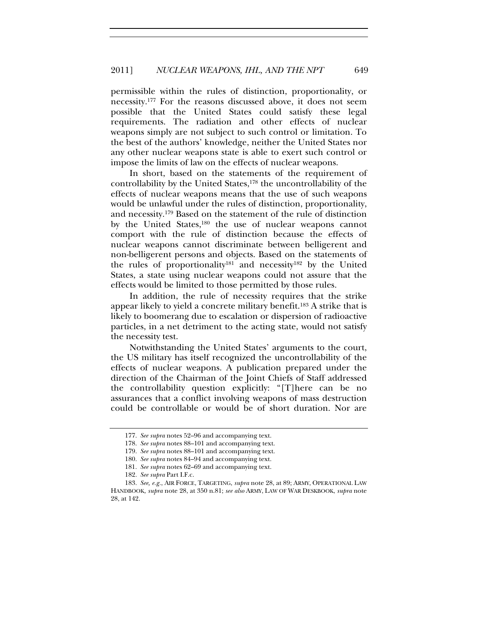permissible within the rules of distinction, proportionality, or necessity.177 For the reasons discussed above, it does not seem possible that the United States could satisfy these legal requirements. The radiation and other effects of nuclear weapons simply are not subject to such control or limitation. To the best of the authors' knowledge, neither the United States nor any other nuclear weapons state is able to exert such control or impose the limits of law on the effects of nuclear weapons.

In short, based on the statements of the requirement of controllability by the United States,178 the uncontrollability of the effects of nuclear weapons means that the use of such weapons would be unlawful under the rules of distinction, proportionality, and necessity.179 Based on the statement of the rule of distinction by the United States,180 the use of nuclear weapons cannot comport with the rule of distinction because the effects of nuclear weapons cannot discriminate between belligerent and non-belligerent persons and objects. Based on the statements of the rules of proportionality<sup>181</sup> and necessity<sup>182</sup> by the United States, a state using nuclear weapons could not assure that the effects would be limited to those permitted by those rules.

In addition, the rule of necessity requires that the strike appear likely to yield a concrete military benefit.183 A strike that is likely to boomerang due to escalation or dispersion of radioactive particles, in a net detriment to the acting state, would not satisfy the necessity test.

Notwithstanding the United States' arguments to the court, the US military has itself recognized the uncontrollability of the effects of nuclear weapons. A publication prepared under the direction of the Chairman of the Joint Chiefs of Staff addressed the controllability question explicitly: "[T]here can be no assurances that a conflict involving weapons of mass destruction could be controllable or would be of short duration. Nor are

<sup>177.</sup> *See supra* notes 52–96 and accompanying text.

<sup>178.</sup> *See supra* notes 88–101 and accompanying text.

<sup>179.</sup> *See supra* notes 88–101 and accompanying text.

<sup>180.</sup> *See supra* notes 84–94 and accompanying text.

<sup>181.</sup> *See supra* notes 62–69 and accompanying text.

<sup>182.</sup> *See supra* Part I.F.c.

<sup>183.</sup> *See, e.g.*, AIR FORCE, TARGETING, *supra* note 28, at 89; ARMY, OPERATIONAL LAW HANDBOOK*, supra* note 28, at 350 n.81; *see also* ARMY, LAW OF WAR DESKBOOK, *supra* note 28, at 142.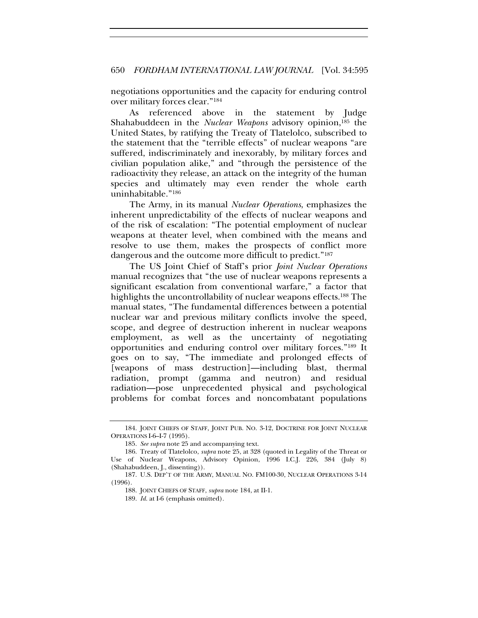negotiations opportunities and the capacity for enduring control over military forces clear."184

As referenced above in the statement by Judge Shahabuddeen in the *Nuclear Weapons* advisory opinion,185 the United States, by ratifying the Treaty of Tlatelolco, subscribed to the statement that the "terrible effects" of nuclear weapons "are suffered, indiscriminately and inexorably, by military forces and civilian population alike," and "through the persistence of the radioactivity they release, an attack on the integrity of the human species and ultimately may even render the whole earth uninhabitable."186

The Army, in its manual *Nuclear Operations*, emphasizes the inherent unpredictability of the effects of nuclear weapons and of the risk of escalation: "The potential employment of nuclear weapons at theater level, when combined with the means and resolve to use them, makes the prospects of conflict more dangerous and the outcome more difficult to predict."<sup>187</sup>

The US Joint Chief of Staff's prior *Joint Nuclear Operations* manual recognizes that "the use of nuclear weapons represents a significant escalation from conventional warfare," a factor that highlights the uncontrollability of nuclear weapons effects.<sup>188</sup> The manual states, "The fundamental differences between a potential nuclear war and previous military conflicts involve the speed, scope, and degree of destruction inherent in nuclear weapons employment, as well as the uncertainty of negotiating opportunities and enduring control over military forces."189 It goes on to say, "The immediate and prolonged effects of [weapons of mass destruction]—including blast, thermal radiation, prompt (gamma and neutron) and residual radiation—pose unprecedented physical and psychological problems for combat forces and noncombatant populations

<sup>184.</sup> JOINT CHIEFS OF STAFF, JOINT PUB. NO. 3-12, DOCTRINE FOR JOINT NUCLEAR OPERATIONS I-6–I-7 (1995).

<sup>185.</sup> *See supra* note 25 and accompanying text.

<sup>186.</sup> Treaty of Tlatelolco, *supra* note 25, at 328 (quoted in Legality of the Threat or Use of Nuclear Weapons, Advisory Opinion, 1996 I.C.J. 226, 384 (July 8) (Shahabuddeen, J., dissenting)).

<sup>187.</sup> U.S. DEP'T OF THE ARMY, MANUAL NO. FM100-30, NUCLEAR OPERATIONS 3-14 (1996).

<sup>188.</sup> JOINT CHIEFS OF STAFF, *supra* note 184, at II-1.

<sup>189.</sup> *Id.* at I-6 (emphasis omitted).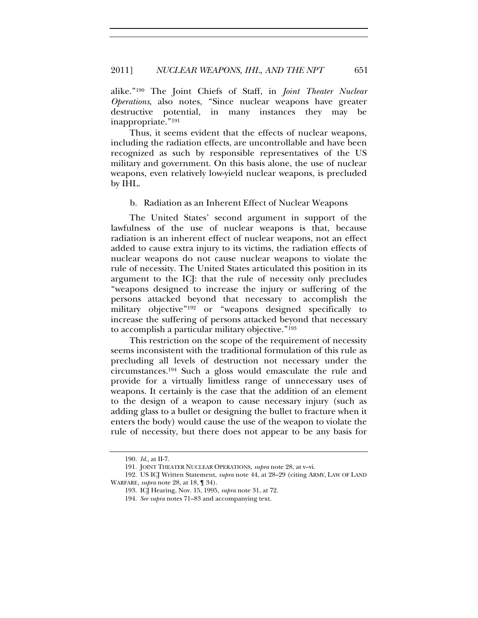alike."190 The Joint Chiefs of Staff, in *Joint Theater Nuclear Operations*, also notes, "Since nuclear weapons have greater destructive potential, in many instances they may be inappropriate."191

Thus, it seems evident that the effects of nuclear weapons, including the radiation effects, are uncontrollable and have been recognized as such by responsible representatives of the US military and government. On this basis alone, the use of nuclear weapons, even relatively low-yield nuclear weapons, is precluded by IHL.

### b. Radiation as an Inherent Effect of Nuclear Weapons

The United States' second argument in support of the lawfulness of the use of nuclear weapons is that, because radiation is an inherent effect of nuclear weapons, not an effect added to cause extra injury to its victims, the radiation effects of nuclear weapons do not cause nuclear weapons to violate the rule of necessity. The United States articulated this position in its argument to the ICJ: that the rule of necessity only precludes "weapons designed to increase the injury or suffering of the persons attacked beyond that necessary to accomplish the military objective"192 or "weapons designed specifically to increase the suffering of persons attacked beyond that necessary to accomplish a particular military objective."193

This restriction on the scope of the requirement of necessity seems inconsistent with the traditional formulation of this rule as precluding all levels of destruction not necessary under the circumstances.194 Such a gloss would emasculate the rule and provide for a virtually limitless range of unnecessary uses of weapons. It certainly is the case that the addition of an element to the design of a weapon to cause necessary injury (such as adding glass to a bullet or designing the bullet to fracture when it enters the body) would cause the use of the weapon to violate the rule of necessity, but there does not appear to be any basis for

<sup>190.</sup> *Id*., at II-7.

<sup>191.</sup> JOINT THEATER NUCLEAR OPERATIONS, *supra* note 28, at v–vi.

<sup>192.</sup> US ICJ Written Statement, *supra* note 44, at 28–29 (citing ARMY, LAW OF LAND WARFARE, *supra* note 28, at 18, ¶ 34).

<sup>193.</sup> ICJ Hearing, Nov. 15, 1995, *supra* note 31, at 72.

<sup>194.</sup> *See supra* notes 71–83 and accompanying text.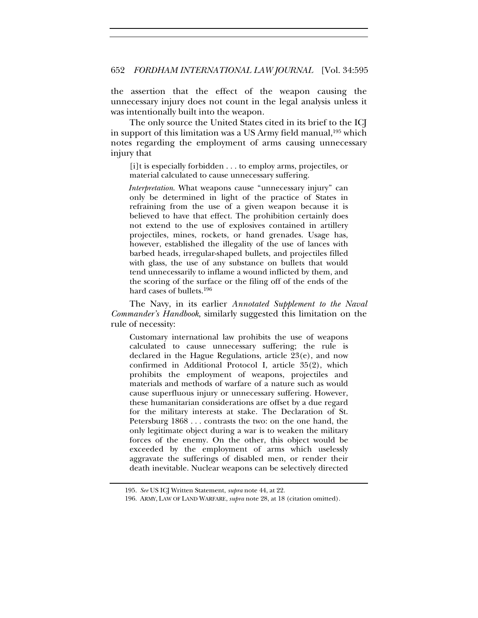the assertion that the effect of the weapon causing the unnecessary injury does not count in the legal analysis unless it was intentionally built into the weapon.

The only source the United States cited in its brief to the ICJ in support of this limitation was a US Army field manual,<sup>195</sup> which notes regarding the employment of arms causing unnecessary injury that

[i]t is especially forbidden . . . to employ arms, projectiles, or material calculated to cause unnecessary suffering.

*Interpretation*. What weapons cause "unnecessary injury" can only be determined in light of the practice of States in refraining from the use of a given weapon because it is believed to have that effect. The prohibition certainly does not extend to the use of explosives contained in artillery projectiles, mines, rockets, or hand grenades. Usage has, however, established the illegality of the use of lances with barbed heads, irregular-shaped bullets, and projectiles filled with glass, the use of any substance on bullets that would tend unnecessarily to inflame a wound inflicted by them, and the scoring of the surface or the filing off of the ends of the hard cases of bullets.196

The Navy, in its earlier *Annotated Supplement to the Naval Commander's Handbook*, similarly suggested this limitation on the rule of necessity:

Customary international law prohibits the use of weapons calculated to cause unnecessary suffering; the rule is declared in the Hague Regulations, article 23(e), and now confirmed in Additional Protocol I, article 35(2), which prohibits the employment of weapons, projectiles and materials and methods of warfare of a nature such as would cause superfluous injury or unnecessary suffering. However, these humanitarian considerations are offset by a due regard for the military interests at stake. The Declaration of St. Petersburg 1868 . . . contrasts the two: on the one hand, the only legitimate object during a war is to weaken the military forces of the enemy. On the other, this object would be exceeded by the employment of arms which uselessly aggravate the sufferings of disabled men, or render their death inevitable. Nuclear weapons can be selectively directed

<sup>195.</sup> *See* US ICJ Written Statement, *supra* note 44, at 22.

<sup>196.</sup> ARMY, LAW OF LAND WARFARE, *supra* note 28, at 18 (citation omitted).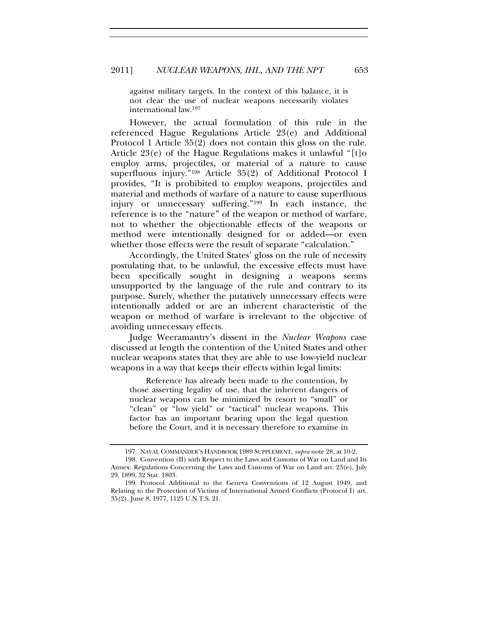against military targets. In the context of this balance, it is not clear the use of nuclear weapons necessarily violates international law.197

However, the actual formulation of this rule in the referenced Hague Regulations Article 23(e) and Additional Protocol 1 Article 35(2) does not contain this gloss on the rule. Article 23(e) of the Hague Regulations makes it unlawful "[t]o employ arms, projectiles, or material of a nature to cause superfluous injury."198 Article 35(2) of Additional Protocol I provides, "It is prohibited to employ weapons, projectiles and material and methods of warfare of a nature to cause superfluous injury or unnecessary suffering."199 In each instance, the reference is to the "nature" of the weapon or method of warfare, not to whether the objectionable effects of the weapons or method were intentionally designed for or added—or even whether those effects were the result of separate "calculation."

Accordingly, the United States' gloss on the rule of necessity postulating that, to be unlawful, the excessive effects must have been specifically sought in designing a weapons seems unsupported by the language of the rule and contrary to its purpose. Surely, whether the putatively unnecessary effects were intentionally added or are an inherent characteristic of the weapon or method of warfare is irrelevant to the objective of avoiding unnecessary effects.

Judge Weeramantry's dissent in the *Nuclear Weapons* case discussed at length the contention of the United States and other nuclear weapons states that they are able to use low-yield nuclear weapons in a way that keeps their effects within legal limits:

Reference has already been made to the contention, by those asserting legality of use, that the inherent dangers of nuclear weapons can be minimized by resort to "small" or "clean" or "low yield" or "tactical" nuclear weapons. This factor has an important bearing upon the legal question before the Court, and it is necessary therefore to examine in

<sup>197.</sup> NAVAL COMMANDER'S HANDBOOK 1989 SUPPLEMENT, *supra* note 28, at 10-2.

<sup>198.</sup> Convention (II) with Respect to the Laws and Customs of War on Land and Its Annex: Regulations Concerning the Laws and Customs of War on Land art. 23(e), July 29, 1899, 32 Stat. 1803.

<sup>199.</sup> Protocol Additional to the Geneva Conventions of 12 August 1949, and Relating to the Protection of Victims of International Armed Conflicts (Protocol I) art. 35(2), June 8, 1977, 1125 U.N.T.S. 21.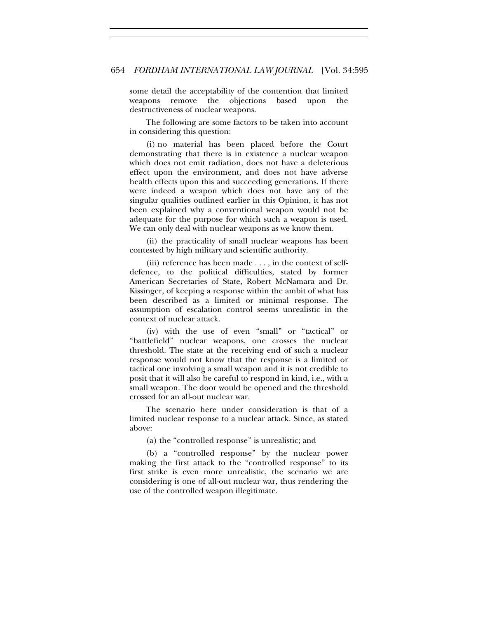some detail the acceptability of the contention that limited weapons remove the objections based upon the destructiveness of nuclear weapons.

The following are some factors to be taken into account in considering this question:

(i) no material has been placed before the Court demonstrating that there is in existence a nuclear weapon which does not emit radiation, does not have a deleterious effect upon the environment, and does not have adverse health effects upon this and succeeding generations. If there were indeed a weapon which does not have any of the singular qualities outlined earlier in this Opinion, it has not been explained why a conventional weapon would not be adequate for the purpose for which such a weapon is used. We can only deal with nuclear weapons as we know them.

(ii) the practicality of small nuclear weapons has been contested by high military and scientific authority.

(iii) reference has been made . . . , in the context of selfdefence, to the political difficulties, stated by former American Secretaries of State, Robert McNamara and Dr. Kissinger, of keeping a response within the ambit of what has been described as a limited or minimal response. The assumption of escalation control seems unrealistic in the context of nuclear attack.

(iv) with the use of even "small" or "tactical" or "battlefield" nuclear weapons, one crosses the nuclear threshold. The state at the receiving end of such a nuclear response would not know that the response is a limited or tactical one involving a small weapon and it is not credible to posit that it will also be careful to respond in kind, i.e., with a small weapon. The door would be opened and the threshold crossed for an all-out nuclear war.

The scenario here under consideration is that of a limited nuclear response to a nuclear attack. Since, as stated above:

(a) the "controlled response" is unrealistic; and

(b) a "controlled response" by the nuclear power making the first attack to the "controlled response" to its first strike is even more unrealistic, the scenario we are considering is one of all-out nuclear war, thus rendering the use of the controlled weapon illegitimate.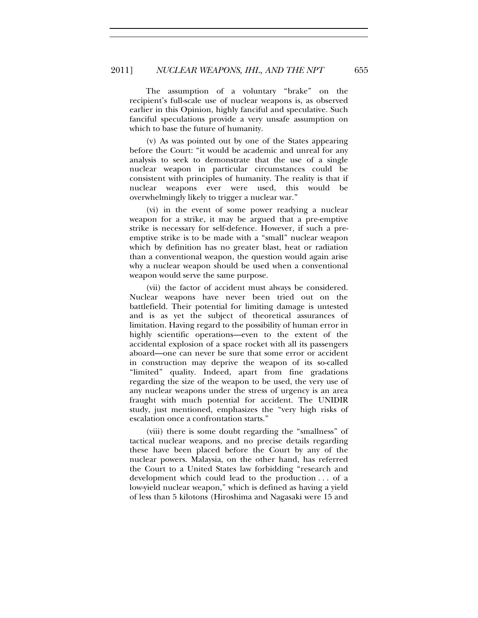The assumption of a voluntary "brake" on the recipient's full-scale use of nuclear weapons is, as observed earlier in this Opinion, highly fanciful and speculative. Such fanciful speculations provide a very unsafe assumption on which to base the future of humanity.

(v) As was pointed out by one of the States appearing before the Court: "it would be academic and unreal for any analysis to seek to demonstrate that the use of a single nuclear weapon in particular circumstances could be consistent with principles of humanity. The reality is that if nuclear weapons ever were used, this would be overwhelmingly likely to trigger a nuclear war."

(vi) in the event of some power readying a nuclear weapon for a strike, it may be argued that a pre-emptive strike is necessary for self-defence. However, if such a preemptive strike is to be made with a "small" nuclear weapon which by definition has no greater blast, heat or radiation than a conventional weapon, the question would again arise why a nuclear weapon should be used when a conventional weapon would serve the same purpose.

(vii) the factor of accident must always be considered. Nuclear weapons have never been tried out on the battlefield. Their potential for limiting damage is untested and is as yet the subject of theoretical assurances of limitation. Having regard to the possibility of human error in highly scientific operations—even to the extent of the accidental explosion of a space rocket with all its passengers aboard—one can never be sure that some error or accident in construction may deprive the weapon of its so-called "limited" quality. Indeed, apart from fine gradations regarding the size of the weapon to be used, the very use of any nuclear weapons under the stress of urgency is an area fraught with much potential for accident. The UNIDIR study, just mentioned, emphasizes the "very high risks of escalation once a confrontation starts."

(viii) there is some doubt regarding the "smallness" of tactical nuclear weapons, and no precise details regarding these have been placed before the Court by any of the nuclear powers. Malaysia, on the other hand, has referred the Court to a United States law forbidding "research and development which could lead to the production . . . of a low-yield nuclear weapon," which is defined as having a yield of less than 5 kilotons (Hiroshima and Nagasaki were 15 and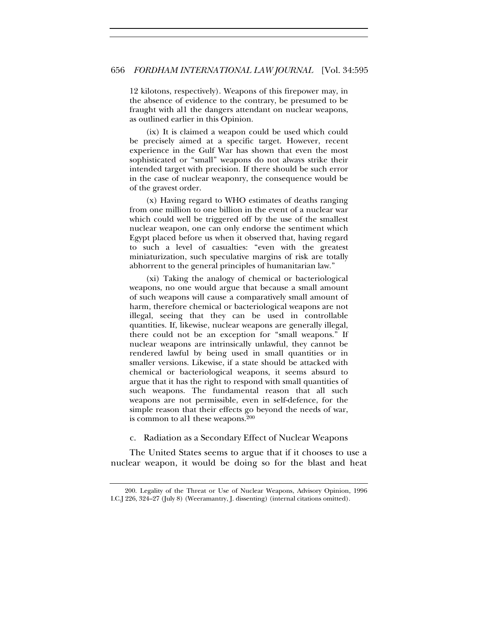12 kilotons, respectively). Weapons of this firepower may, in the absence of evidence to the contrary, be presumed to be fraught with al1 the dangers attendant on nuclear weapons, as outlined earlier in this Opinion.

(ix) It is claimed a weapon could be used which could be precisely aimed at a specific target. However, recent experience in the Gulf War has shown that even the most sophisticated or "small" weapons do not always strike their intended target with precision. If there should be such error in the case of nuclear weaponry, the consequence would be of the gravest order.

(x) Having regard to WHO estimates of deaths ranging from one million to one billion in the event of a nuclear war which could well be triggered off by the use of the smallest nuclear weapon, one can only endorse the sentiment which Egypt placed before us when it observed that, having regard to such a level of casualties: "even with the greatest miniaturization, such speculative margins of risk are totally abhorrent to the general principles of humanitarian law."

(xi) Taking the analogy of chemical or bacteriological weapons, no one would argue that because a small amount of such weapons will cause a comparatively small amount of harm, therefore chemical or bacteriological weapons are not illegal, seeing that they can be used in controllable quantities. If, likewise, nuclear weapons are generally illegal, there could not be an exception for "small weapons." If nuclear weapons are intrinsically unlawful, they cannot be rendered lawful by being used in small quantities or in smaller versions. Likewise, if a state should be attacked with chemical or bacteriological weapons, it seems absurd to argue that it has the right to respond with small quantities of such weapons. The fundamental reason that all such weapons are not permissible, even in self-defence, for the simple reason that their effects go beyond the needs of war, is common to al1 these weapons.200

c. Radiation as a Secondary Effect of Nuclear Weapons

The United States seems to argue that if it chooses to use a nuclear weapon, it would be doing so for the blast and heat

<sup>200.</sup> Legality of the Threat or Use of Nuclear Weapons, Advisory Opinion, 1996 I.C.J 226, 324–27 (July 8) (Weeramantry, J. dissenting) (internal citations omitted).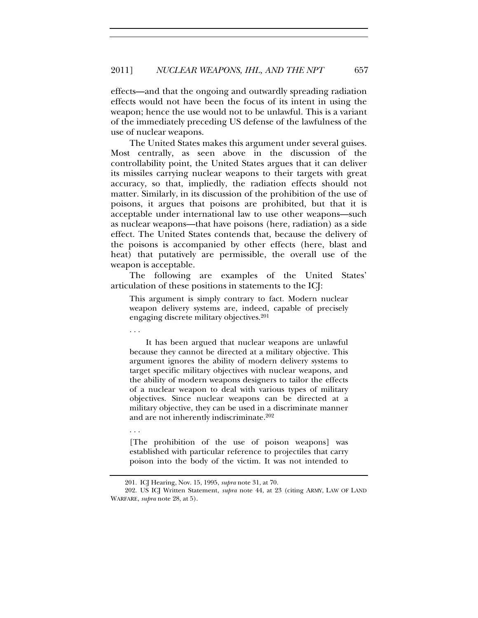effects**—**and that the ongoing and outwardly spreading radiation effects would not have been the focus of its intent in using the weapon; hence the use would not to be unlawful. This is a variant of the immediately preceding US defense of the lawfulness of the use of nuclear weapons.

The United States makes this argument under several guises. Most centrally, as seen above in the discussion of the controllability point, the United States argues that it can deliver its missiles carrying nuclear weapons to their targets with great accuracy, so that, impliedly, the radiation effects should not matter. Similarly, in its discussion of the prohibition of the use of poisons, it argues that poisons are prohibited, but that it is acceptable under international law to use other weapons—such as nuclear weapons—that have poisons (here, radiation) as a side effect. The United States contends that, because the delivery of the poisons is accompanied by other effects (here, blast and heat) that putatively are permissible, the overall use of the weapon is acceptable.

The following are examples of the United States' articulation of these positions in statements to the ICJ:

This argument is simply contrary to fact. Modern nuclear weapon delivery systems are, indeed, capable of precisely engaging discrete military objectives.201

. . .

It has been argued that nuclear weapons are unlawful because they cannot be directed at a military objective. This argument ignores the ability of modern delivery systems to target specific military objectives with nuclear weapons, and the ability of modern weapons designers to tailor the effects of a nuclear weapon to deal with various types of military objectives. Since nuclear weapons can be directed at a military objective, they can be used in a discriminate manner and are not inherently indiscriminate.202

. . .

[The prohibition of the use of poison weapons] was established with particular reference to projectiles that carry poison into the body of the victim. It was not intended to

<sup>201.</sup> ICJ Hearing, Nov. 15, 1995, *supra* note 31, at 70.

<sup>202.</sup> US ICJ Written Statement, *supra* note 44, at 23 (citing ARMY, LAW OF LAND WARFARE, *supra* note 28, at 5).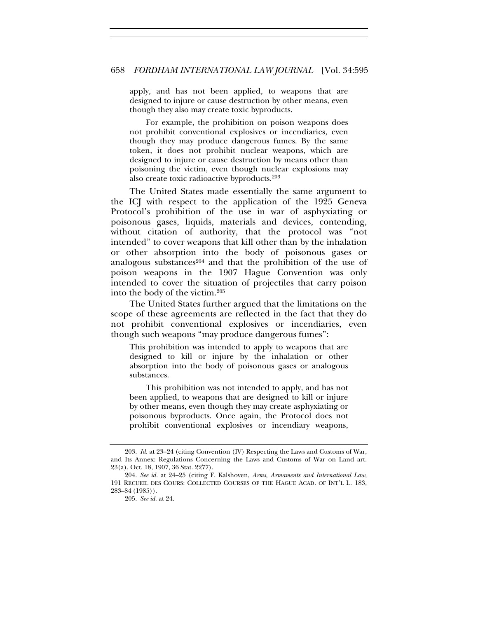apply, and has not been applied, to weapons that are designed to injure or cause destruction by other means, even though they also may create toxic byproducts.

For example, the prohibition on poison weapons does not prohibit conventional explosives or incendiaries, even though they may produce dangerous fumes. By the same token, it does not prohibit nuclear weapons, which are designed to injure or cause destruction by means other than poisoning the victim, even though nuclear explosions may also create toxic radioactive byproducts.203

The United States made essentially the same argument to the ICJ with respect to the application of the 1925 Geneva Protocol's prohibition of the use in war of asphyxiating or poisonous gases, liquids, materials and devices, contending, without citation of authority, that the protocol was "not intended" to cover weapons that kill other than by the inhalation or other absorption into the body of poisonous gases or analogous substances<sup>204</sup> and that the prohibition of the use of poison weapons in the 1907 Hague Convention was only intended to cover the situation of projectiles that carry poison into the body of the victim.205

The United States further argued that the limitations on the scope of these agreements are reflected in the fact that they do not prohibit conventional explosives or incendiaries, even though such weapons "may produce dangerous fumes":

This prohibition was intended to apply to weapons that are designed to kill or injure by the inhalation or other absorption into the body of poisonous gases or analogous substances.

This prohibition was not intended to apply, and has not been applied, to weapons that are designed to kill or injure by other means, even though they may create asphyxiating or poisonous byproducts. Once again, the Protocol does not prohibit conventional explosives or incendiary weapons,

<sup>203.</sup> *Id.* at 23–24 (citing Convention (IV) Respecting the Laws and Customs of War, and Its Annex: Regulations Concerning the Laws and Customs of War on Land art. 23(a), Oct. 18, 1907, 36 Stat. 2277).

<sup>204.</sup> *See id.* at 24–25 (citing F. Kalshoven, *Arms, Armaments and International Law*, 191 RECUEIL DES COURS: COLLECTED COURSES OF THE HAGUE ACAD. OF INT'L L. 183, 283–84 (1985)).

<sup>205.</sup> *See id.* at 24.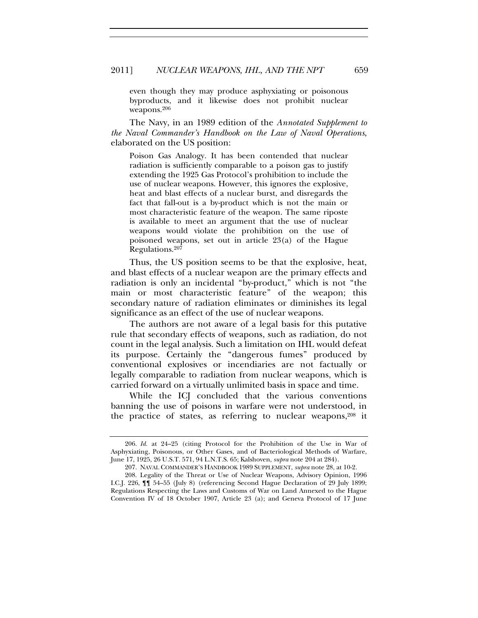even though they may produce asphyxiating or poisonous byproducts, and it likewise does not prohibit nuclear weapons.206

The Navy, in an 1989 edition of the *Annotated Supplement to the Naval Commander's Handbook on the Law of Naval Operations*, elaborated on the US position:

Poison Gas Analogy. It has been contended that nuclear radiation is sufficiently comparable to a poison gas to justify extending the 1925 Gas Protocol's prohibition to include the use of nuclear weapons. However, this ignores the explosive, heat and blast effects of a nuclear burst, and disregards the fact that fall-out is a by-product which is not the main or most characteristic feature of the weapon. The same riposte is available to meet an argument that the use of nuclear weapons would violate the prohibition on the use of poisoned weapons, set out in article 23(a) of the Hague Regulations.207

Thus, the US position seems to be that the explosive, heat, and blast effects of a nuclear weapon are the primary effects and radiation is only an incidental "by-product," which is not "the main or most characteristic feature" of the weapon; this secondary nature of radiation eliminates or diminishes its legal significance as an effect of the use of nuclear weapons.

The authors are not aware of a legal basis for this putative rule that secondary effects of weapons, such as radiation, do not count in the legal analysis. Such a limitation on IHL would defeat its purpose. Certainly the "dangerous fumes" produced by conventional explosives or incendiaries are not factually or legally comparable to radiation from nuclear weapons, which is carried forward on a virtually unlimited basis in space and time.

While the ICJ concluded that the various conventions banning the use of poisons in warfare were not understood, in the practice of states, as referring to nuclear weapons, $208$  it

<sup>206.</sup> *Id.* at 24–25 (citing Protocol for the Prohibition of the Use in War of Asphyxiating, Poisonous, or Other Gases, and of Bacteriological Methods of Warfare, June 17, 1925, 26 U.S.T. 571, 94 L.N.T.S. 65; Kalshoven, *supra* note 204 at 284).

<sup>207.</sup> NAVAL COMMANDER'S HANDBOOK 1989 SUPPLEMENT, *supra* note 28, at 10-2.

<sup>208.</sup> Legality of the Threat or Use of Nuclear Weapons, Advisory Opinion, 1996 I.C.J. 226, ¶¶ 54–55 (July 8) (referencing Second Hague Declaration of 29 July 1899; Regulations Respecting the Laws and Customs of War on Land Annexed to the Hague Convention IV of 18 October 1907, Article 23 (a); and Geneva Protocol of 17 June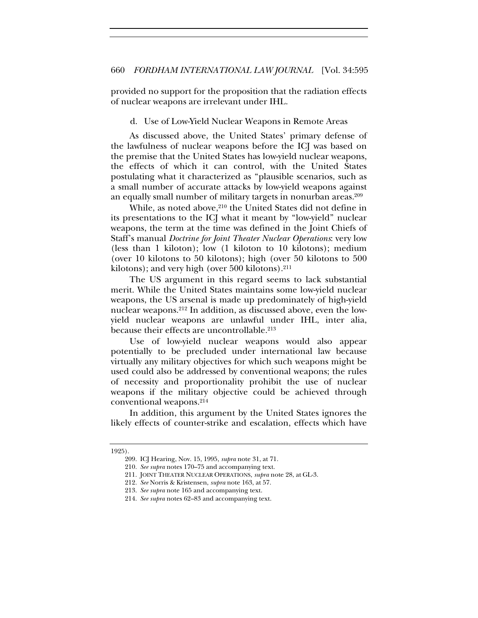provided no support for the proposition that the radiation effects of nuclear weapons are irrelevant under IHL.

## d. Use of Low-Yield Nuclear Weapons in Remote Areas

As discussed above, the United States' primary defense of the lawfulness of nuclear weapons before the ICJ was based on the premise that the United States has low-yield nuclear weapons, the effects of which it can control, with the United States postulating what it characterized as "plausible scenarios, such as a small number of accurate attacks by low-yield weapons against an equally small number of military targets in nonurban areas.<sup>209</sup>

While, as noted above, <sup>210</sup> the United States did not define in its presentations to the ICJ what it meant by "low-yield" nuclear weapons, the term at the time was defined in the Joint Chiefs of Staff's manual *Doctrine for Joint Theater Nuclear Operations*: very low (less than 1 kiloton); low (1 kiloton to 10 kilotons); medium (over 10 kilotons to 50 kilotons); high (over 50 kilotons to 500 kilotons); and very high (over 500 kilotons).211

The US argument in this regard seems to lack substantial merit. While the United States maintains some low-yield nuclear weapons, the US arsenal is made up predominately of high-yield nuclear weapons.212 In addition, as discussed above, even the lowyield nuclear weapons are unlawful under IHL, inter alia, because their effects are uncontrollable.<sup>213</sup>

Use of low-yield nuclear weapons would also appear potentially to be precluded under international law because virtually any military objectives for which such weapons might be used could also be addressed by conventional weapons; the rules of necessity and proportionality prohibit the use of nuclear weapons if the military objective could be achieved through conventional weapons.214

In addition, this argument by the United States ignores the likely effects of counter-strike and escalation, effects which have

<sup>1925).</sup> 

<sup>209.</sup> ICJ Hearing, Nov. 15, 1995, *supra* note 31, at 71.

<sup>210.</sup> *See supra* notes 170–75 and accompanying text.

<sup>211.</sup> JOINT THEATER NUCLEAR OPERATIONS, *supra* note 28, at GL-3.

<sup>212.</sup> *See* Norris & Kristensen, *supra* note 163, at 57.

<sup>213.</sup> *See supra* note 165 and accompanying text.

<sup>214.</sup> *See supra* notes 62–83 and accompanying text.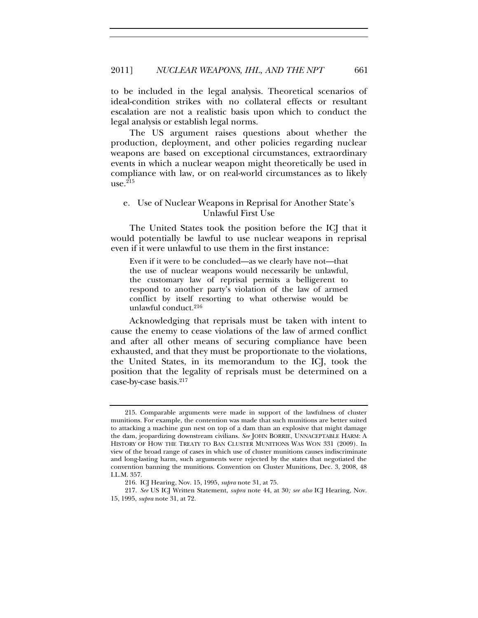to be included in the legal analysis. Theoretical scenarios of ideal-condition strikes with no collateral effects or resultant escalation are not a realistic basis upon which to conduct the legal analysis or establish legal norms.

The US argument raises questions about whether the production, deployment, and other policies regarding nuclear weapons are based on exceptional circumstances, extraordinary events in which a nuclear weapon might theoretically be used in compliance with law, or on real-world circumstances as to likely  $use.$ <sup>215</sup>

# e. Use of Nuclear Weapons in Reprisal for Another State's Unlawful First Use

The United States took the position before the ICJ that it would potentially be lawful to use nuclear weapons in reprisal even if it were unlawful to use them in the first instance:

Even if it were to be concluded—as we clearly have not—that the use of nuclear weapons would necessarily be unlawful, the customary law of reprisal permits a belligerent to respond to another party's violation of the law of armed conflict by itself resorting to what otherwise would be unlawful conduct.216

Acknowledging that reprisals must be taken with intent to cause the enemy to cease violations of the law of armed conflict and after all other means of securing compliance have been exhausted, and that they must be proportionate to the violations, the United States, in its memorandum to the ICJ, took the position that the legality of reprisals must be determined on a case-by-case basis.217

<sup>215.</sup> Comparable arguments were made in support of the lawfulness of cluster munitions. For example, the contention was made that such munitions are better suited to attacking a machine gun nest on top of a dam than an explosive that might damage the dam, jeopardizing downstream civilians. *See* JOHN BORRIE, UNNACEPTABLE HARM: A HISTORY OF HOW THE TREATY TO BAN CLUSTER MUNITIONS WAS WON 331 (2009). In view of the broad range of cases in which use of cluster munitions causes indiscriminate and long-lasting harm, such arguments were rejected by the states that negotiated the convention banning the munitions. Convention on Cluster Munitions, Dec. 3, 2008, 48 I.L.M. 357.

<sup>216.</sup> ICJ Hearing, Nov. 15, 1995, *supra* note 31, at 75.

<sup>217.</sup> *See* US ICJ Written Statement, *supra* note 44, at 30*; see also* ICJ Hearing, Nov. 15, 1995, *supra* note 31, at 72.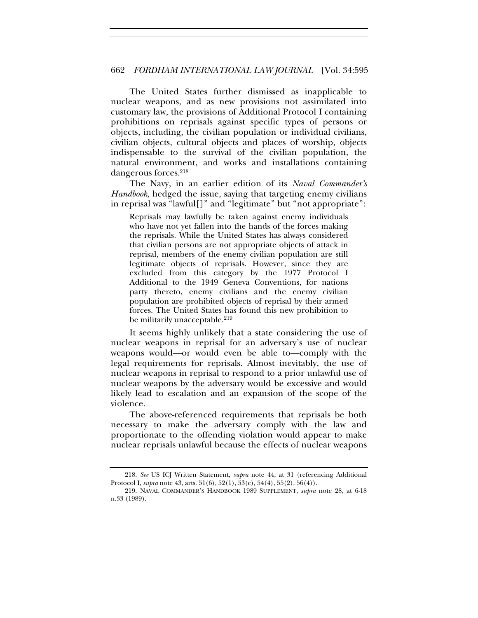The United States further dismissed as inapplicable to nuclear weapons, and as new provisions not assimilated into customary law, the provisions of Additional Protocol I containing prohibitions on reprisals against specific types of persons or objects, including, the civilian population or individual civilians, civilian objects, cultural objects and places of worship, objects indispensable to the survival of the civilian population, the natural environment, and works and installations containing dangerous forces.218

The Navy, in an earlier edition of its *Naval Commander's Handbook*, hedged the issue, saying that targeting enemy civilians in reprisal was "lawful[]" and "legitimate" but "not appropriate":

Reprisals may lawfully be taken against enemy individuals who have not yet fallen into the hands of the forces making the reprisals. While the United States has always considered that civilian persons are not appropriate objects of attack in reprisal, members of the enemy civilian population are still legitimate objects of reprisals. However, since they are excluded from this category by the 1977 Protocol I Additional to the 1949 Geneva Conventions, for nations party thereto, enemy civilians and the enemy civilian population are prohibited objects of reprisal by their armed forces. The United States has found this new prohibition to be militarily unacceptable.<sup>219</sup>

It seems highly unlikely that a state considering the use of nuclear weapons in reprisal for an adversary's use of nuclear weapons would—or would even be able to—comply with the legal requirements for reprisals. Almost inevitably, the use of nuclear weapons in reprisal to respond to a prior unlawful use of nuclear weapons by the adversary would be excessive and would likely lead to escalation and an expansion of the scope of the violence.

The above-referenced requirements that reprisals be both necessary to make the adversary comply with the law and proportionate to the offending violation would appear to make nuclear reprisals unlawful because the effects of nuclear weapons

<sup>218.</sup> *See* US ICJ Written Statement, *supra* note 44, at 31 (referencing Additional Protocol I, *supra* note 43, arts. 51(6), 52(1), 53(c), 54(4), 55(2), 56(4)).

<sup>219.</sup> NAVAL COMMANDER'S HANDBOOK 1989 SUPPLEMENT, *supra* note 28, at 6-18 n.33 (1989).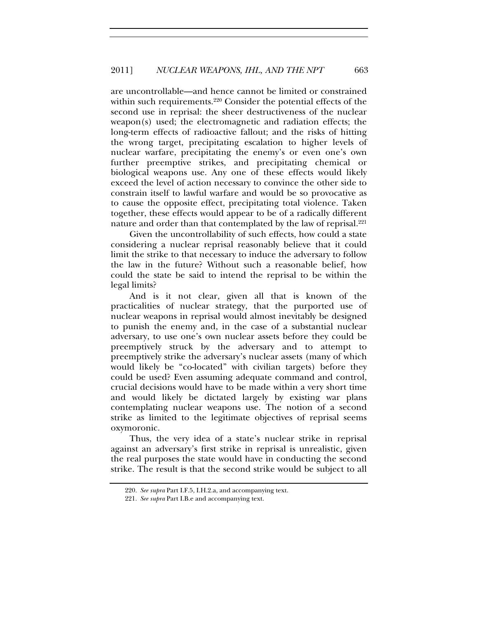are uncontrollable—and hence cannot be limited or constrained within such requirements.<sup>220</sup> Consider the potential effects of the second use in reprisal: the sheer destructiveness of the nuclear weapon(s) used; the electromagnetic and radiation effects; the long-term effects of radioactive fallout; and the risks of hitting the wrong target, precipitating escalation to higher levels of nuclear warfare, precipitating the enemy's or even one's own further preemptive strikes, and precipitating chemical or biological weapons use. Any one of these effects would likely exceed the level of action necessary to convince the other side to constrain itself to lawful warfare and would be so provocative as to cause the opposite effect, precipitating total violence. Taken together, these effects would appear to be of a radically different nature and order than that contemplated by the law of reprisal.<sup>221</sup>

Given the uncontrollability of such effects, how could a state considering a nuclear reprisal reasonably believe that it could limit the strike to that necessary to induce the adversary to follow the law in the future? Without such a reasonable belief, how could the state be said to intend the reprisal to be within the legal limits?

And is it not clear, given all that is known of the practicalities of nuclear strategy, that the purported use of nuclear weapons in reprisal would almost inevitably be designed to punish the enemy and, in the case of a substantial nuclear adversary, to use one's own nuclear assets before they could be preemptively struck by the adversary and to attempt to preemptively strike the adversary's nuclear assets (many of which would likely be "co-located" with civilian targets) before they could be used? Even assuming adequate command and control, crucial decisions would have to be made within a very short time and would likely be dictated largely by existing war plans contemplating nuclear weapons use. The notion of a second strike as limited to the legitimate objectives of reprisal seems oxymoronic.

Thus, the very idea of a state's nuclear strike in reprisal against an adversary's first strike in reprisal is unrealistic, given the real purposes the state would have in conducting the second strike. The result is that the second strike would be subject to all

<sup>220.</sup> *See supra* Part I.F.5, I.H.2.a, and accompanying text.

<sup>221.</sup> *See supra* Part I.B.e and accompanying text.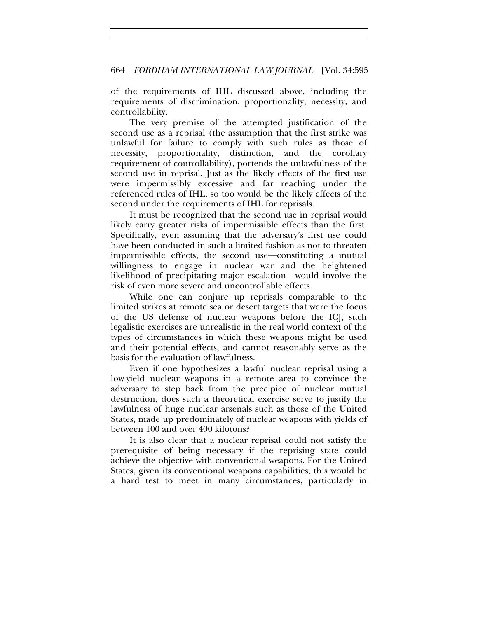of the requirements of IHL discussed above, including the requirements of discrimination, proportionality, necessity, and controllability.

The very premise of the attempted justification of the second use as a reprisal (the assumption that the first strike was unlawful for failure to comply with such rules as those of necessity, proportionality, distinction, and the corollary requirement of controllability), portends the unlawfulness of the second use in reprisal. Just as the likely effects of the first use were impermissibly excessive and far reaching under the referenced rules of IHL, so too would be the likely effects of the second under the requirements of IHL for reprisals.

It must be recognized that the second use in reprisal would likely carry greater risks of impermissible effects than the first. Specifically, even assuming that the adversary's first use could have been conducted in such a limited fashion as not to threaten impermissible effects, the second use—constituting a mutual willingness to engage in nuclear war and the heightened likelihood of precipitating major escalation—would involve the risk of even more severe and uncontrollable effects.

While one can conjure up reprisals comparable to the limited strikes at remote sea or desert targets that were the focus of the US defense of nuclear weapons before the ICJ, such legalistic exercises are unrealistic in the real world context of the types of circumstances in which these weapons might be used and their potential effects, and cannot reasonably serve as the basis for the evaluation of lawfulness.

Even if one hypothesizes a lawful nuclear reprisal using a low-yield nuclear weapons in a remote area to convince the adversary to step back from the precipice of nuclear mutual destruction, does such a theoretical exercise serve to justify the lawfulness of huge nuclear arsenals such as those of the United States, made up predominately of nuclear weapons with yields of between 100 and over 400 kilotons?

It is also clear that a nuclear reprisal could not satisfy the prerequisite of being necessary if the reprising state could achieve the objective with conventional weapons. For the United States, given its conventional weapons capabilities, this would be a hard test to meet in many circumstances, particularly in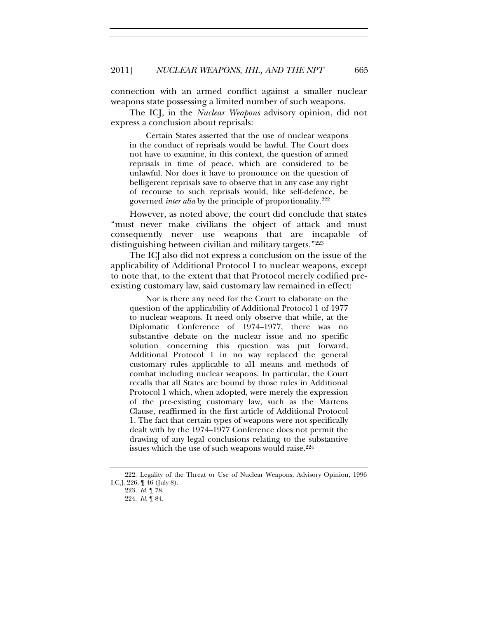connection with an armed conflict against a smaller nuclear weapons state possessing a limited number of such weapons.

The ICJ, in the *Nuclear Weapons* advisory opinion, did not express a conclusion about reprisals:

Certain States asserted that the use of nuclear weapons in the conduct of reprisals would be lawful. The Court does not have to examine, in this context, the question of armed reprisals in time of peace, which are considered to be unlawful. Nor does it have to pronounce on the question of belligerent reprisals save to observe that in any case any right of recourse to such reprisals would, like self-defence, be governed *inter alia* by the principle of proportionality.222

However, as noted above, the court did conclude that states "must never make civilians the object of attack and must consequently never use weapons that are incapable distinguishing between civilian and military targets."223

The ICJ also did not express a conclusion on the issue of the applicability of Additional Protocol I to nuclear weapons, except to note that, to the extent that that Protocol merely codified preexisting customary law, said customary law remained in effect:

Nor is there any need for the Court to elaborate on the question of the applicability of Additional Protocol 1 of 1977 to nuclear weapons. It need only observe that while, at the Diplomatic Conference of 1974–1977, there was no substantive debate on the nuclear issue and no specific solution concerning this question was put forward, Additional Protocol 1 in no way replaced the general customary rules applicable to al1 means and methods of combat including nuclear weapons. In particular, the Court recalls that all States are bound by those rules in Additional Protocol 1 which, when adopted, were merely the expression of the pre-existing customary law, such as the Martens Clause, reaffirmed in the first article of Additional Protocol 1. The fact that certain types of weapons were not specifically dealt with by the 1974–1977 Conference does not permit the drawing of any legal conclusions relating to the substantive issues which the use of such weapons would raise.<sup>224</sup>

<sup>222.</sup> Legality of the Threat or Use of Nuclear Weapons, Advisory Opinion, 1996 I.C.J. 226, ¶ 46 (July 8).

<sup>223.</sup> *Id.* ¶ 78.

<sup>224.</sup> *Id.* ¶ 84.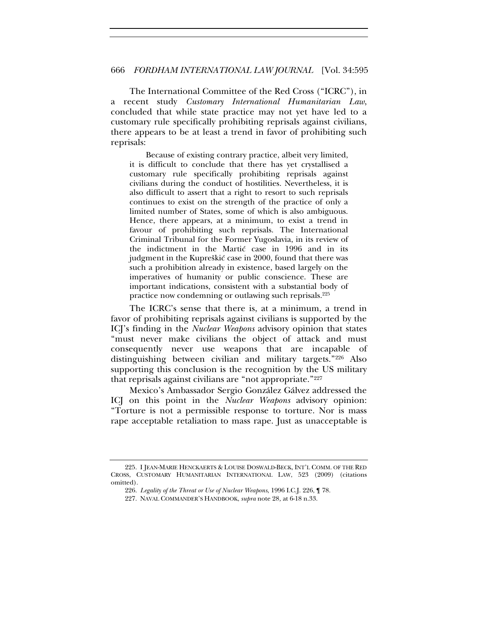The International Committee of the Red Cross ("ICRC"), in a recent study *Customary International Humanitarian Law*, concluded that while state practice may not yet have led to a customary rule specifically prohibiting reprisals against civilians, there appears to be at least a trend in favor of prohibiting such reprisals:

Because of existing contrary practice, albeit very limited, it is difficult to conclude that there has yet crystallised a customary rule specifically prohibiting reprisals against civilians during the conduct of hostilities. Nevertheless, it is also difficult to assert that a right to resort to such reprisals continues to exist on the strength of the practice of only a limited number of States, some of which is also ambiguous. Hence, there appears, at a minimum, to exist a trend in favour of prohibiting such reprisals. The International Criminal Tribunal for the Former Yugoslavia, in its review of the indictment in the Martić case in 1996 and in its judgment in the Kupreškić case in 2000, found that there was such a prohibition already in existence, based largely on the imperatives of humanity or public conscience. These are important indications, consistent with a substantial body of practice now condemning or outlawing such reprisals.225

The ICRC's sense that there is, at a minimum, a trend in favor of prohibiting reprisals against civilians is supported by the ICJ's finding in the *Nuclear Weapons* advisory opinion that states "must never make civilians the object of attack and must consequently never use weapons that are incapable of distinguishing between civilian and military targets."226 Also supporting this conclusion is the recognition by the US military that reprisals against civilians are "not appropriate."227

Mexico's Ambassador Sergio González Gálvez addressed the ICJ on this point in the *Nuclear Weapons* advisory opinion: "Torture is not a permissible response to torture. Nor is mass rape acceptable retaliation to mass rape. Just as unacceptable is

<sup>225.</sup> I JEAN-MARIE HENCKAERTS & LOUISE DOSWALD-BECK, INT'L COMM. OF THE RED CROSS, CUSTOMARY HUMANITARIAN INTERNATIONAL LAW, 523 (2009) (citations omitted).

<sup>226.</sup> *Legality of the Threat or Use of Nuclear Weapons*, 1996 I.C.J. 226, ¶ 78.

<sup>227.</sup> NAVAL COMMANDER'S HANDBOOK, *supra* note 28*,* at 6-18 n.33.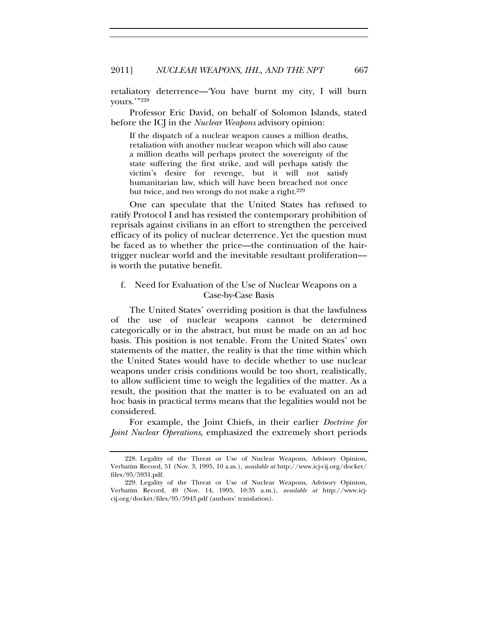retaliatory deterrence—'You have burnt my city, I will burn yours.'"228

Professor Eric David, on behalf of Solomon Islands, stated before the ICJ in the *Nuclear Weapons* advisory opinion:

If the dispatch of a nuclear weapon causes a million deaths, retaliation with another nuclear weapon which will also cause a million deaths will perhaps protect the sovereignty of the state suffering the first strike, and will perhaps satisfy the victim's desire for revenge, but it will not satisfy humanitarian law, which will have been breached not once but twice, and two wrongs do not make a right.<sup>229</sup>

One can speculate that the United States has refused to ratify Protocol I and has resisted the contemporary prohibition of reprisals against civilians in an effort to strengthen the perceived efficacy of its policy of nuclear deterrence. Yet the question must be faced as to whether the price—the continuation of the hairtrigger nuclear world and the inevitable resultant proliferation is worth the putative benefit.

## f. Need for Evaluation of the Use of Nuclear Weapons on a Case-by-Case Basis

The United States' overriding position is that the lawfulness of the use of nuclear weapons cannot be determined categorically or in the abstract, but must be made on an ad hoc basis. This position is not tenable. From the United States' own statements of the matter, the reality is that the time within which the United States would have to decide whether to use nuclear weapons under crisis conditions would be too short, realistically, to allow sufficient time to weigh the legalities of the matter. As a result, the position that the matter is to be evaluated on an ad hoc basis in practical terms means that the legalities would not be considered.

For example, the Joint Chiefs, in their earlier *Doctrine for Joint Nuclear Operations*, emphasized the extremely short periods

<sup>228.</sup> Legality of the Threat or Use of Nuclear Weapons, Advisory Opinion, Verbatim Record, 51 (Nov. 3, 1995, 10 a.m.), *available at* http://www.icj-cij.org/docket/ files/95/5931.pdf.

<sup>229.</sup> Legality of the Threat or Use of Nuclear Weapons, Advisory Opinion, Verbatim Record, 49 (Nov. 14, 1995, 10:35 a.m.), *available at* http://www.icjcij.org/docket/files/95/5943.pdf (authors' translation).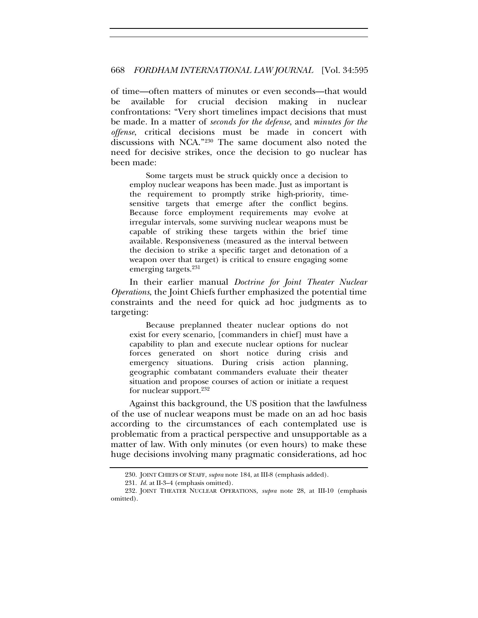of time—often matters of minutes or even seconds—that would be available for crucial decision making in nuclear confrontations: "Very short timelines impact decisions that must be made. In a matter of *seconds for the defense*, and *minutes for the offense*, critical decisions must be made in concert with discussions with NCA."230 The same document also noted the need for decisive strikes, once the decision to go nuclear has been made:

Some targets must be struck quickly once a decision to employ nuclear weapons has been made. Just as important is the requirement to promptly strike high-priority, timesensitive targets that emerge after the conflict begins. Because force employment requirements may evolve at irregular intervals, some surviving nuclear weapons must be capable of striking these targets within the brief time available. Responsiveness (measured as the interval between the decision to strike a specific target and detonation of a weapon over that target) is critical to ensure engaging some emerging targets.231

In their earlier manual *Doctrine for Joint Theater Nuclear Operations*, the Joint Chiefs further emphasized the potential time constraints and the need for quick ad hoc judgments as to targeting:

Because preplanned theater nuclear options do not exist for every scenario, [commanders in chief] must have a capability to plan and execute nuclear options for nuclear forces generated on short notice during crisis and emergency situations. During crisis action planning, geographic combatant commanders evaluate their theater situation and propose courses of action or initiate a request for nuclear support.232

Against this background, the US position that the lawfulness of the use of nuclear weapons must be made on an ad hoc basis according to the circumstances of each contemplated use is problematic from a practical perspective and unsupportable as a matter of law. With only minutes (or even hours) to make these huge decisions involving many pragmatic considerations, ad hoc

<sup>230.</sup> JOINT CHIEFS OF STAFF, *supra* note 184, at III-8 (emphasis added).

<sup>231.</sup> *Id.* at II-3–4 (emphasis omitted).

<sup>232.</sup> JOINT THEATER NUCLEAR OPERATIONS*, supra* note 28, at III-10 (emphasis omitted).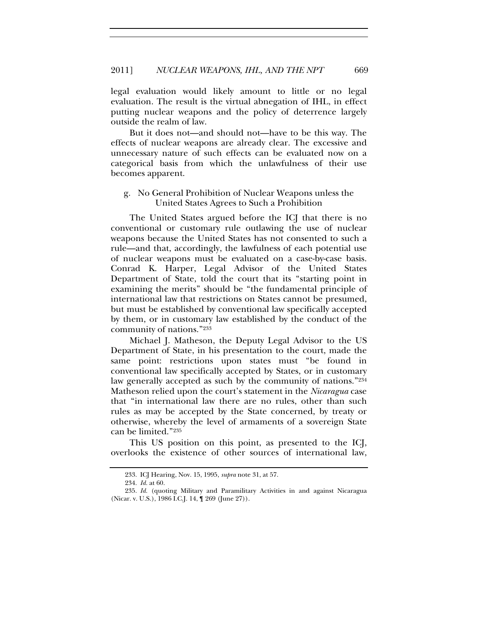legal evaluation would likely amount to little or no legal evaluation. The result is the virtual abnegation of IHL, in effect putting nuclear weapons and the policy of deterrence largely outside the realm of law.

But it does not—and should not—have to be this way. The effects of nuclear weapons are already clear. The excessive and unnecessary nature of such effects can be evaluated now on a categorical basis from which the unlawfulness of their use becomes apparent.

## g. No General Prohibition of Nuclear Weapons unless the United States Agrees to Such a Prohibition

The United States argued before the ICJ that there is no conventional or customary rule outlawing the use of nuclear weapons because the United States has not consented to such a rule—and that, accordingly, the lawfulness of each potential use of nuclear weapons must be evaluated on a case-by-case basis. Conrad K. Harper, Legal Advisor of the United States Department of State, told the court that its "starting point in examining the merits" should be "the fundamental principle of international law that restrictions on States cannot be presumed, but must be established by conventional law specifically accepted by them, or in customary law established by the conduct of the community of nations."233

Michael J. Matheson, the Deputy Legal Advisor to the US Department of State, in his presentation to the court, made the same point: restrictions upon states must "be found in conventional law specifically accepted by States, or in customary law generally accepted as such by the community of nations."234 Matheson relied upon the court's statement in the *Nicaragua* case that "in international law there are no rules, other than such rules as may be accepted by the State concerned, by treaty or otherwise, whereby the level of armaments of a sovereign State can be limited."235

This US position on this point, as presented to the ICJ, overlooks the existence of other sources of international law,

<sup>233.</sup> ICJ Hearing, Nov. 15, 1995, *supra* note 31, at 57.

<sup>234.</sup> *Id.* at 60.

<sup>235.</sup> *Id.* (quoting Military and Paramilitary Activities in and against Nicaragua (Nicar. v. U.S.), 1986 I.C.J. 14, ¶ 269 (June 27)).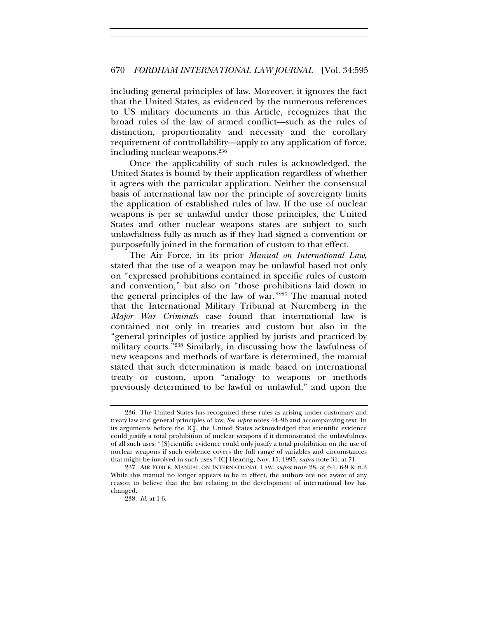including general principles of law. Moreover, it ignores the fact that the United States, as evidenced by the numerous references to US military documents in this Article, recognizes that the broad rules of the law of armed conflict—such as the rules of distinction, proportionality and necessity and the corollary requirement of controllability—apply to any application of force, including nuclear weapons.236

Once the applicability of such rules is acknowledged, the United States is bound by their application regardless of whether it agrees with the particular application. Neither the consensual basis of international law nor the principle of sovereignty limits the application of established rules of law. If the use of nuclear weapons is per se unlawful under those principles, the United States and other nuclear weapons states are subject to such unlawfulness fully as much as if they had signed a convention or purposefully joined in the formation of custom to that effect.

The Air Force, in its prior *Manual on International Law*, stated that the use of a weapon may be unlawful based not only on "expressed prohibitions contained in specific rules of custom and convention," but also on "those prohibitions laid down in the general principles of the law of war."237 The manual noted that the International Military Tribunal at Nuremberg in the *Major War Criminals* case found that international law is contained not only in treaties and custom but also in the "general principles of justice applied by jurists and practiced by military courts."238 Similarly, in discussing how the lawfulness of new weapons and methods of warfare is determined, the manual stated that such determination is made based on international treaty or custom, upon "analogy to weapons or methods previously determined to be lawful or unlawful," and upon the

<sup>236.</sup> The United States has recognized these rules as arising under customary and treaty law and general principles of law. *See supra* notes 44–96 and accompanying text. In its arguments before the ICJ, the United States acknowledged that scientific evidence could justify a total prohibition of nuclear weapons if it demonstrated the unlawfulness of all such uses: "[S]cientific evidence could only justify a total prohibition on the use of nuclear weapons if such evidence covers the full range of variables and circumstances that might be involved in such uses." ICJ Hearing, Nov. 15, 1995, *supra* note 31, at 71.

<sup>237.</sup> AIR FORCE, MANUAL ON INTERNATIONAL LAW, *supra* note 28, at 6-1, 6-9 & n.3 While this manual no longer appears to be in effect, the authors are not aware of any reason to believe that the law relating to the development of international law has changed.

<sup>238.</sup> *Id.* at 1-6.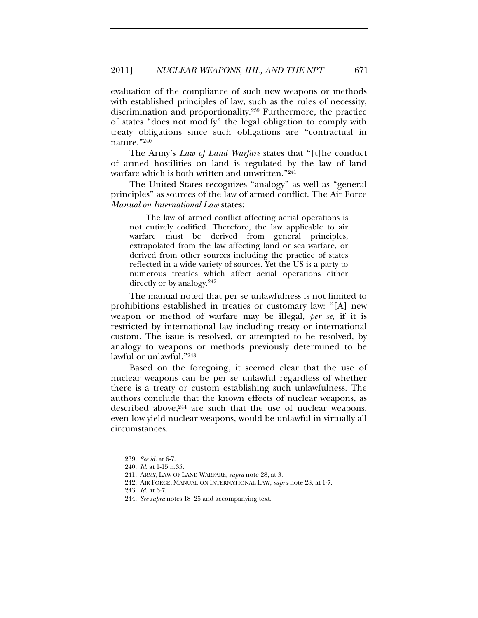evaluation of the compliance of such new weapons or methods with established principles of law, such as the rules of necessity, discrimination and proportionality.239 Furthermore, the practice of states "does not modify" the legal obligation to comply with treaty obligations since such obligations are "contractual in nature."240

The Army's *Law of Land Warfare* states that "[t]he conduct of armed hostilities on land is regulated by the law of land warfare which is both written and unwritten."241

The United States recognizes "analogy" as well as "general principles" as sources of the law of armed conflict. The Air Force *Manual on International Law* states:

The law of armed conflict affecting aerial operations is not entirely codified. Therefore, the law applicable to air warfare must be derived from general principles, extrapolated from the law affecting land or sea warfare, or derived from other sources including the practice of states reflected in a wide variety of sources. Yet the US is a party to numerous treaties which affect aerial operations either directly or by analogy.242

The manual noted that per se unlawfulness is not limited to prohibitions established in treaties or customary law: "[A] new weapon or method of warfare may be illegal, *per se*, if it is restricted by international law including treaty or international custom. The issue is resolved, or attempted to be resolved, by analogy to weapons or methods previously determined to be lawful or unlawful."243

Based on the foregoing, it seemed clear that the use of nuclear weapons can be per se unlawful regardless of whether there is a treaty or custom establishing such unlawfulness. The authors conclude that the known effects of nuclear weapons, as described above,<sup>244</sup> are such that the use of nuclear weapons, even low-yield nuclear weapons, would be unlawful in virtually all circumstances.

<sup>239.</sup> *See id.* at 6-7.

<sup>240.</sup> *Id.* at 1-15 n.35.

<sup>241.</sup> ARMY, LAW OF LAND WARFARE, *supra* note 28, at 3.

<sup>242.</sup> AIR FORCE, MANUAL ON INTERNATIONAL LAW, *supra* note 28, at 1-7.

<sup>243.</sup> *Id.* at 6-7.

<sup>244.</sup> *See supra* notes 18–25 and accompanying text.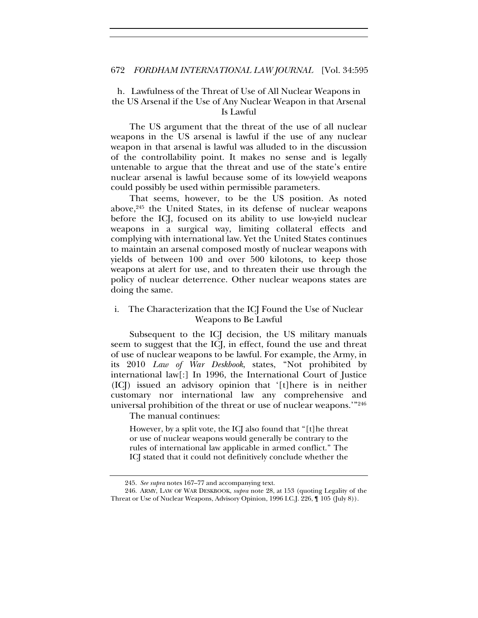h. Lawfulness of the Threat of Use of All Nuclear Weapons in the US Arsenal if the Use of Any Nuclear Weapon in that Arsenal Is Lawful

The US argument that the threat of the use of all nuclear weapons in the US arsenal is lawful if the use of any nuclear weapon in that arsenal is lawful was alluded to in the discussion of the controllability point. It makes no sense and is legally untenable to argue that the threat and use of the state's entire nuclear arsenal is lawful because some of its low-yield weapons could possibly be used within permissible parameters.

That seems, however, to be the US position. As noted above, $245$  the United States, in its defense of nuclear weapons before the ICJ, focused on its ability to use low-yield nuclear weapons in a surgical way, limiting collateral effects and complying with international law. Yet the United States continues to maintain an arsenal composed mostly of nuclear weapons with yields of between 100 and over 500 kilotons, to keep those weapons at alert for use, and to threaten their use through the policy of nuclear deterrence. Other nuclear weapons states are doing the same.

# i. The Characterization that the ICJ Found the Use of Nuclear Weapons to Be Lawful

Subsequent to the ICJ decision, the US military manuals seem to suggest that the ICJ, in effect, found the use and threat of use of nuclear weapons to be lawful. For example, the Army, in its 2010 *Law of War Deskbook*, states, "Not prohibited by international law[:] In 1996, the International Court of Justice (ICJ) issued an advisory opinion that '[t]here is in neither customary nor international law any comprehensive and universal prohibition of the threat or use of nuclear weapons.'"246

The manual continues:

However, by a split vote, the ICJ also found that "[t]he threat or use of nuclear weapons would generally be contrary to the rules of international law applicable in armed conflict." The ICJ stated that it could not definitively conclude whether the

<sup>245.</sup> *See supra* notes 167–77 and accompanying text.

<sup>246.</sup> ARMY, LAW OF WAR DESKBOOK, *supra* note 28, at 153 (quoting Legality of the Threat or Use of Nuclear Weapons, Advisory Opinion, 1996 I.C.J. 226, ¶ 105 (July 8)).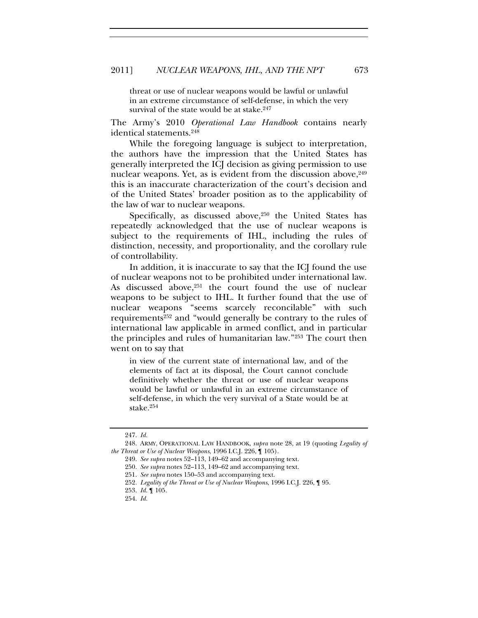threat or use of nuclear weapons would be lawful or unlawful in an extreme circumstance of self-defense, in which the very survival of the state would be at stake. $247$ 

The Army's 2010 *Operational Law Handbook* contains nearly identical statements.248

While the foregoing language is subject to interpretation, the authors have the impression that the United States has generally interpreted the ICJ decision as giving permission to use nuclear weapons. Yet, as is evident from the discussion above,  $249$ this is an inaccurate characterization of the court's decision and of the United States' broader position as to the applicability of the law of war to nuclear weapons.

Specifically, as discussed above,<sup>250</sup> the United States has repeatedly acknowledged that the use of nuclear weapons is subject to the requirements of IHL, including the rules of distinction, necessity, and proportionality, and the corollary rule of controllability.

In addition, it is inaccurate to say that the ICJ found the use of nuclear weapons not to be prohibited under international law. As discussed above,<sup>251</sup> the court found the use of nuclear weapons to be subject to IHL. It further found that the use of nuclear weapons "seems scarcely reconcilable" with such requirements<sup>252</sup> and "would generally be contrary to the rules of international law applicable in armed conflict, and in particular the principles and rules of humanitarian law."253 The court then went on to say that

in view of the current state of international law, and of the elements of fact at its disposal, the Court cannot conclude definitively whether the threat or use of nuclear weapons would be lawful or unlawful in an extreme circumstance of self-defense, in which the very survival of a State would be at stake.<sup>254</sup>

<sup>247.</sup> *Id.*

<sup>248.</sup> ARMY, OPERATIONAL LAW HANDBOOK, *supra* note 28, at 19 (quoting *Legality of the Threat or Use of Nuclear Weapons*, 1996 I.C.J. 226, ¶ 105).

<sup>249.</sup> *See supra* notes 52–113, 149–62 and accompanying text.

<sup>250.</sup> *See supra* notes 52–113, 149–62 and accompanying text.

<sup>251.</sup> *See supra* notes 150–53 and accompanying text.

<sup>252.</sup> *Legality of the Threat or Use of Nuclear Weapons*, 1996 I.C.J. 226, ¶ 95.

<sup>253.</sup> *Id.* ¶ 105.

<sup>254.</sup> *Id.*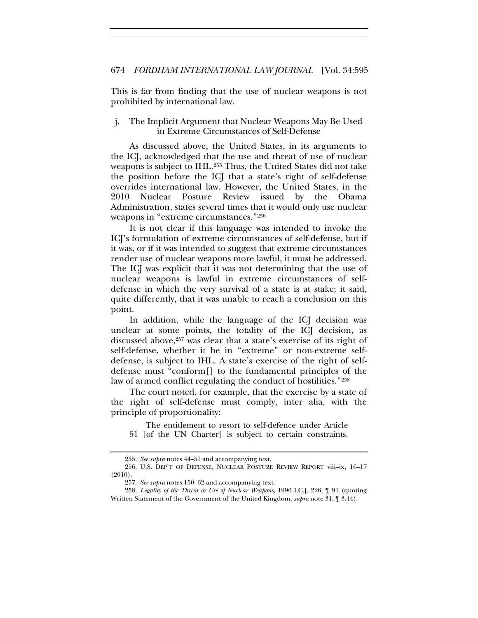This is far from finding that the use of nuclear weapons is not prohibited by international law.

# j. The Implicit Argument that Nuclear Weapons May Be Used in Extreme Circumstances of Self-Defense

As discussed above, the United States, in its arguments to the ICJ, acknowledged that the use and threat of use of nuclear weapons is subject to IHL.255 Thus, the United States did not take the position before the ICJ that a state's right of self-defense overrides international law. However, the United States, in the 2010 Nuclear Posture Review issued by the Obama Administration, states several times that it would only use nuclear weapons in "extreme circumstances."256

It is not clear if this language was intended to invoke the ICJ's formulation of extreme circumstances of self-defense, but if it was, or if it was intended to suggest that extreme circumstances render use of nuclear weapons more lawful, it must be addressed. The ICJ was explicit that it was not determining that the use of nuclear weapons is lawful in extreme circumstances of selfdefense in which the very survival of a state is at stake; it said, quite differently, that it was unable to reach a conclusion on this point.

In addition, while the language of the ICJ decision was unclear at some points, the totality of the ICJ decision, as discussed above,<sup>257</sup> was clear that a state's exercise of its right of self-defense, whether it be in "extreme" or non-extreme selfdefense, is subject to IHL. A state's exercise of the right of selfdefense must "conform[] to the fundamental principles of the law of armed conflict regulating the conduct of hostilities."258

The court noted, for example, that the exercise by a state of the right of self-defense must comply, inter alia, with the principle of proportionality:

The entitlement to resort to self-defence under Article 51 [of the UN Charter] is subject to certain constraints.

<sup>255.</sup> See supra notes 44-51 and accompanying text.

<sup>256.</sup> U.S. DEP'T OF DEFENSE, NUCLEAR POSTURE REVIEW REPORT viii–ix, 16–17 (2010).

<sup>257.</sup> *See supra* notes 150–62 and accompanying text.

<sup>258.</sup> *Legality of the Threat or Use of Nuclear Weapons*, 1996 I.C.J. 226, ¶ 91 (quoting Written Statement of the Government of the United Kingdom, *supra* note 31, ¶ 3.44).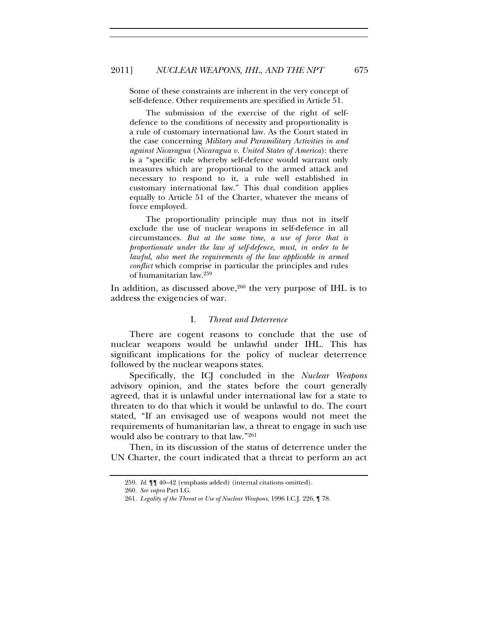Some of these constraints are inherent in the very concept of self-defence. Other requirements are specified in Article 51.

The submission of the exercise of the right of selfdefence to the conditions of necessity and proportionality is a rule of customary international law. As the Court stated in the case concerning *Military and Paramilitary Activities in and against Nicaragua* (*Nicaragua v. United States of America*): there is a "specific rule whereby self-defence would warrant only measures which are proportional to the armed attack and necessary to respond to it, a rule well established in customary international law." This dual condition applies equally to Article 51 of the Charter, whatever the means of force employed.

The proportionality principle may thus not in itself exclude the use of nuclear weapons in self-defence in all circumstances. *But at the same time, a use of force that is proportionate under the law of self-defence, must, in order to be lawful, also meet the requirements of the law applicable in armed conflict* which comprise in particular the principles and rules of humanitarian law.259

In addition, as discussed above, $260$  the very purpose of IHL is to address the exigencies of war.

#### I. *Threat and Deterrence*

There are cogent reasons to conclude that the use of nuclear weapons would be unlawful under IHL. This has significant implications for the policy of nuclear deterrence followed by the nuclear weapons states.

Specifically, the ICJ concluded in the *Nuclear Weapons* advisory opinion, and the states before the court generally agreed, that it is unlawful under international law for a state to threaten to do that which it would be unlawful to do. The court stated, "If an envisaged use of weapons would not meet the requirements of humanitarian law, a threat to engage in such use would also be contrary to that law."261

Then, in its discussion of the status of deterrence under the UN Charter, the court indicated that a threat to perform an act

<sup>259.</sup> *Id.* ¶¶ 40–42 (emphasis added) (internal citations omitted).

<sup>260.</sup> *See supra* Part I.G.

<sup>261.</sup> *Legality of the Threat or Use of Nuclear Weapons*, 1996 I.C.J. 226, ¶ 78.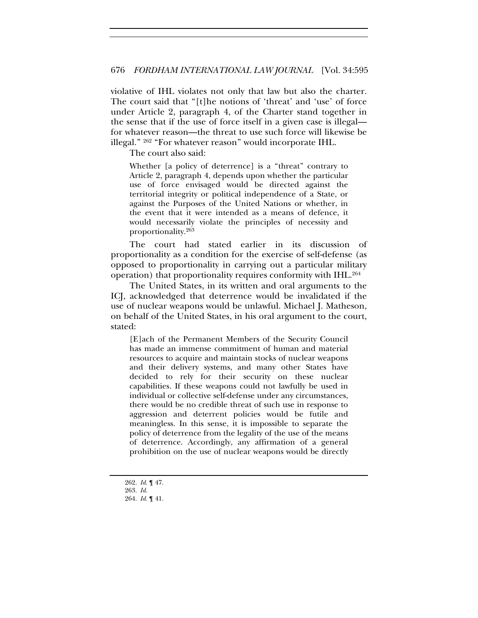violative of IHL violates not only that law but also the charter. The court said that "[t]he notions of 'threat' and 'use' of force under Article 2, paragraph 4, of the Charter stand together in the sense that if the use of force itself in a given case is illegal for whatever reason—the threat to use such force will likewise be illegal." 262 "For whatever reason" would incorporate IHL.

The court also said:

Whether [a policy of deterrence] is a "threat" contrary to Article 2, paragraph 4, depends upon whether the particular use of force envisaged would be directed against the territorial integrity or political independence of a State, or against the Purposes of the United Nations or whether, in the event that it were intended as a means of defence, it would necessarily violate the principles of necessity and proportionality.263

The court had stated earlier in its discussion of proportionality as a condition for the exercise of self-defense (as opposed to proportionality in carrying out a particular military operation) that proportionality requires conformity with IHL.264

The United States, in its written and oral arguments to the ICJ, acknowledged that deterrence would be invalidated if the use of nuclear weapons would be unlawful. Michael J. Matheson, on behalf of the United States, in his oral argument to the court, stated:

[E]ach of the Permanent Members of the Security Council has made an immense commitment of human and material resources to acquire and maintain stocks of nuclear weapons and their delivery systems, and many other States have decided to rely for their security on these nuclear capabilities. If these weapons could not lawfully be used in individual or collective self-defense under any circumstances, there would be no credible threat of such use in response to aggression and deterrent policies would be futile and meaningless. In this sense, it is impossible to separate the policy of deterrence from the legality of the use of the means of deterrence. Accordingly, any affirmation of a general prohibition on the use of nuclear weapons would be directly

<sup>262.</sup> *Id.* ¶ 47.

<sup>263.</sup> *Id.*

<sup>264.</sup> *Id.* ¶ 41.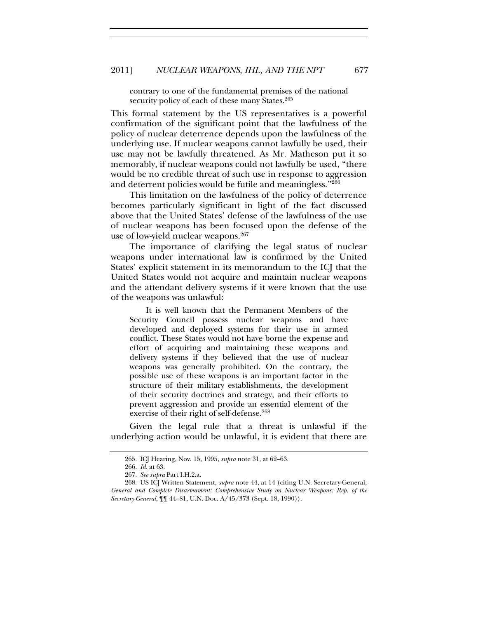contrary to one of the fundamental premises of the national security policy of each of these many States.<sup>265</sup>

This formal statement by the US representatives is a powerful confirmation of the significant point that the lawfulness of the policy of nuclear deterrence depends upon the lawfulness of the underlying use. If nuclear weapons cannot lawfully be used, their use may not be lawfully threatened. As Mr. Matheson put it so memorably, if nuclear weapons could not lawfully be used, "there would be no credible threat of such use in response to aggression and deterrent policies would be futile and meaningless."266

This limitation on the lawfulness of the policy of deterrence becomes particularly significant in light of the fact discussed above that the United States' defense of the lawfulness of the use of nuclear weapons has been focused upon the defense of the use of low-yield nuclear weapons.<sup>267</sup>

The importance of clarifying the legal status of nuclear weapons under international law is confirmed by the United States' explicit statement in its memorandum to the ICJ that the United States would not acquire and maintain nuclear weapons and the attendant delivery systems if it were known that the use of the weapons was unlawful:

It is well known that the Permanent Members of the Security Council possess nuclear weapons and have developed and deployed systems for their use in armed conflict. These States would not have borne the expense and effort of acquiring and maintaining these weapons and delivery systems if they believed that the use of nuclear weapons was generally prohibited. On the contrary, the possible use of these weapons is an important factor in the structure of their military establishments, the development of their security doctrines and strategy, and their efforts to prevent aggression and provide an essential element of the exercise of their right of self-defense.<sup>268</sup>

Given the legal rule that a threat is unlawful if the underlying action would be unlawful, it is evident that there are

<sup>265.</sup> ICJ Hearing, Nov. 15, 1995, *supra* note 31, at 62–63.

<sup>266.</sup> *Id.* at 63.

<sup>267.</sup> *See supra* Part I.H.2.a.

<sup>268.</sup> US ICJ Written Statement, *supra* note 44, at 14 (citing U.N. Secretary-General, *General and Complete Disarmament: Comprehensive Study on Nuclear Weapons: Rep. of the Secretary-General*, ¶¶ 44–81, U.N. Doc. A/45/373 (Sept. 18, 1990)).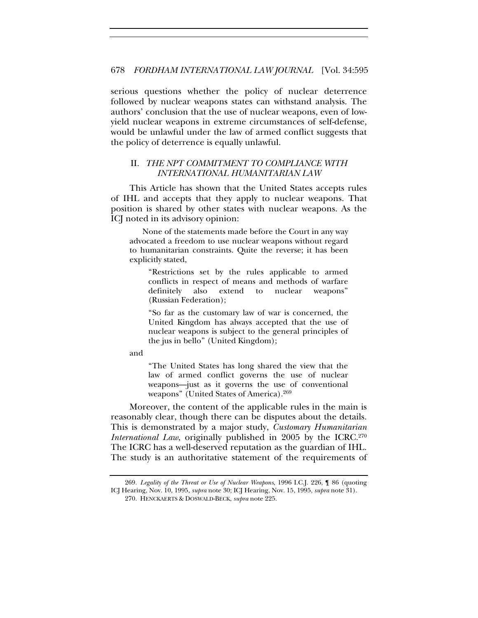serious questions whether the policy of nuclear deterrence followed by nuclear weapons states can withstand analysis. The authors' conclusion that the use of nuclear weapons, even of lowyield nuclear weapons in extreme circumstances of self-defense, would be unlawful under the law of armed conflict suggests that the policy of deterrence is equally unlawful.

# II. *THE NPT COMMITMENT TO COMPLIANCE WITH INTERNATIONAL HUMANITARIAN LAW*

This Article has shown that the United States accepts rules of IHL and accepts that they apply to nuclear weapons. That position is shared by other states with nuclear weapons. As the ICJ noted in its advisory opinion:

None of the statements made before the Court in any way advocated a freedom to use nuclear weapons without regard to humanitarian constraints. Quite the reverse; it has been explicitly stated,

"Restrictions set by the rules applicable to armed conflicts in respect of means and methods of warfare definitely also extend to nuclear weapons" (Russian Federation);

"So far as the customary law of war is concerned, the United Kingdom has always accepted that the use of nuclear weapons is subject to the general principles of the jus in bello" (United Kingdom);

and

"The United States has long shared the view that the law of armed conflict governs the use of nuclear weapons—just as it governs the use of conventional weapons" (United States of America).269

Moreover, the content of the applicable rules in the main is reasonably clear, though there can be disputes about the details. This is demonstrated by a major study, *Customary Humanitarian International Law*, originally published in 2005 by the ICRC.<sup>270</sup> The ICRC has a well-deserved reputation as the guardian of IHL. The study is an authoritative statement of the requirements of

<sup>269.</sup> *Legality of the Threat or Use of Nuclear Weapons*, 1996 I.C.J. 226, ¶ 86 (quoting ICJ Hearing, Nov. 10, 1995, *supra* note 30; ICJ Hearing, Nov. 15, 1995, *supra* note 31).

<sup>270.</sup> HENCKAERTS & DOSWALD-BECK, *supra* note 225.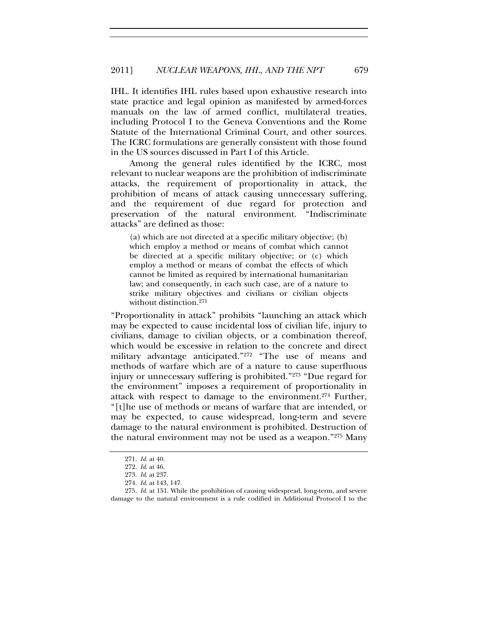IHL. It identifies IHL rules based upon exhaustive research into state practice and legal opinion as manifested by armed-forces manuals on the law of armed conflict, multilateral treaties, including Protocol I to the Geneva Conventions and the Rome Statute of the International Criminal Court, and other sources. The ICRC formulations are generally consistent with those found in the US sources discussed in Part I of this Article.

Among the general rules identified by the ICRC, most relevant to nuclear weapons are the prohibition of indiscriminate attacks, the requirement of proportionality in attack, the prohibition of means of attack causing unnecessary suffering, and the requirement of due regard for protection and preservation of the natural environment. "Indiscriminate attacks" are defined as those:

(a) which are not directed at a specific military objective; (b) which employ a method or means of combat which cannot be directed at a specific military objective; or (c) which employ a method or means of combat the effects of which cannot be limited as required by international humanitarian law; and consequently, in each such case, are of a nature to strike military objectives and civilians or civilian objects without distinction.<sup>271</sup>

"Proportionality in attack" prohibits "launching an attack which may be expected to cause incidental loss of civilian life, injury to civilians, damage to civilian objects, or a combination thereof, which would be excessive in relation to the concrete and direct military advantage anticipated."272 "The use of means and methods of warfare which are of a nature to cause superfluous injury or unnecessary suffering is prohibited."273 "Due regard for the environment" imposes a requirement of proportionality in attack with respect to damage to the environment.274 Further, "[t]he use of methods or means of warfare that are intended, or may be expected, to cause widespread, long-term and severe damage to the natural environment is prohibited. Destruction of the natural environment may not be used as a weapon."275 Many

<sup>271.</sup> *Id.* at 40.

<sup>272.</sup> *Id*. at 46.

<sup>273.</sup> *Id*. at 237.

<sup>274.</sup> *Id*. at 143, 147.

<sup>275.</sup> *Id*. at 151. While the prohibition of causing widespread, long-term, and severe damage to the natural environment is a rule codified in Additional Protocol I to the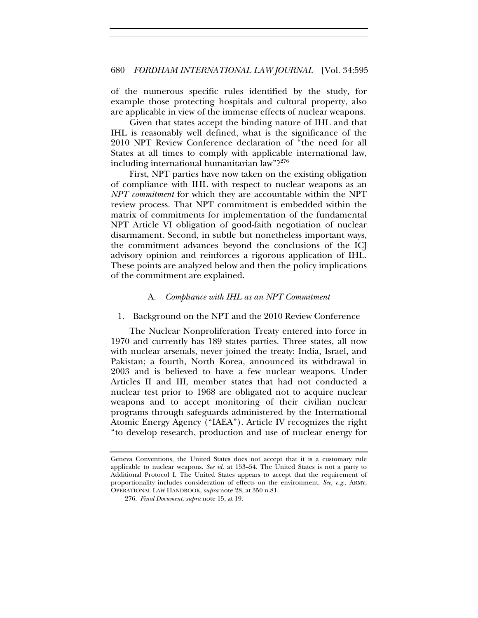of the numerous specific rules identified by the study, for example those protecting hospitals and cultural property, also are applicable in view of the immense effects of nuclear weapons.

Given that states accept the binding nature of IHL and that IHL is reasonably well defined, what is the significance of the 2010 NPT Review Conference declaration of "the need for all States at all times to comply with applicable international law, including international humanitarian law"?<sup>276</sup>

First, NPT parties have now taken on the existing obligation of compliance with IHL with respect to nuclear weapons as an *NPT commitment* for which they are accountable within the NPT review process. That NPT commitment is embedded within the matrix of commitments for implementation of the fundamental NPT Article VI obligation of good-faith negotiation of nuclear disarmament. Second, in subtle but nonetheless important ways, the commitment advances beyond the conclusions of the ICJ advisory opinion and reinforces a rigorous application of IHL. These points are analyzed below and then the policy implications of the commitment are explained.

### A. *Compliance with IHL as an NPT Commitment*

#### 1. Background on the NPT and the 2010 Review Conference

The Nuclear Nonproliferation Treaty entered into force in 1970 and currently has 189 states parties. Three states, all now with nuclear arsenals, never joined the treaty: India, Israel, and Pakistan; a fourth, North Korea, announced its withdrawal in 2003 and is believed to have a few nuclear weapons. Under Articles II and III, member states that had not conducted a nuclear test prior to 1968 are obligated not to acquire nuclear weapons and to accept monitoring of their civilian nuclear programs through safeguards administered by the International Atomic Energy Agency ("IAEA"). Article IV recognizes the right "to develop research, production and use of nuclear energy for

Geneva Conventions, the United States does not accept that it is a customary rule applicable to nuclear weapons. *See id.* at 153–54. The United States is not a party to Additional Protocol I. The United States appears to accept that the requirement of proportionality includes consideration of effects on the environment. *See*, *e.g.*, ARMY, OPERATIONAL LAW HANDBOOK, *supra* note 28, at 350 n.81.

<sup>276.</sup> *Final Document*, *supra* note 15, at 19.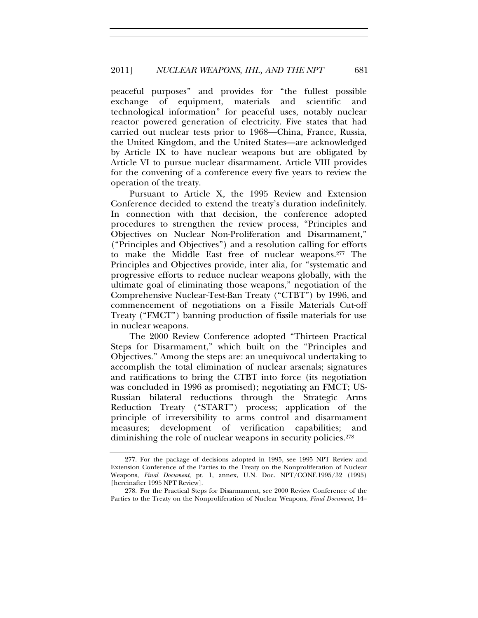peaceful purposes" and provides for "the fullest possible exchange of equipment, materials and scientific and technological information" for peaceful uses, notably nuclear reactor powered generation of electricity. Five states that had carried out nuclear tests prior to 1968—China, France, Russia, the United Kingdom, and the United States—are acknowledged by Article IX to have nuclear weapons but are obligated by Article VI to pursue nuclear disarmament. Article VIII provides for the convening of a conference every five years to review the operation of the treaty.

Pursuant to Article X, the 1995 Review and Extension Conference decided to extend the treaty's duration indefinitely. In connection with that decision, the conference adopted procedures to strengthen the review process, "Principles and Objectives on Nuclear Non-Proliferation and Disarmament," ("Principles and Objectives") and a resolution calling for efforts to make the Middle East free of nuclear weapons.277 The Principles and Objectives provide, inter alia, for "systematic and progressive efforts to reduce nuclear weapons globally, with the ultimate goal of eliminating those weapons," negotiation of the Comprehensive Nuclear-Test-Ban Treaty ("CTBT") by 1996, and commencement of negotiations on a Fissile Materials Cut-off Treaty ("FMCT") banning production of fissile materials for use in nuclear weapons.

The 2000 Review Conference adopted "Thirteen Practical Steps for Disarmament," which built on the "Principles and Objectives." Among the steps are: an unequivocal undertaking to accomplish the total elimination of nuclear arsenals; signatures and ratifications to bring the CTBT into force (its negotiation was concluded in 1996 as promised); negotiating an FMCT; US-Russian bilateral reductions through the Strategic Arms Reduction Treaty ("START") process; application of the principle of irreversibility to arms control and disarmament measures; development of verification capabilities; and diminishing the role of nuclear weapons in security policies.<sup>278</sup>

<sup>277.</sup> For the package of decisions adopted in 1995, see 1995 NPT Review and Extension Conference of the Parties to the Treaty on the Nonproliferation of Nuclear Weapons, *Final Document*, pt. 1, annex, U.N. Doc. NPT/CONF.1995/32 (1995) [hereinafter 1995 NPT Review].

<sup>278.</sup> For the Practical Steps for Disarmament, see 2000 Review Conference of the Parties to the Treaty on the Nonproliferation of Nuclear Weapons, *Final Document*, 14–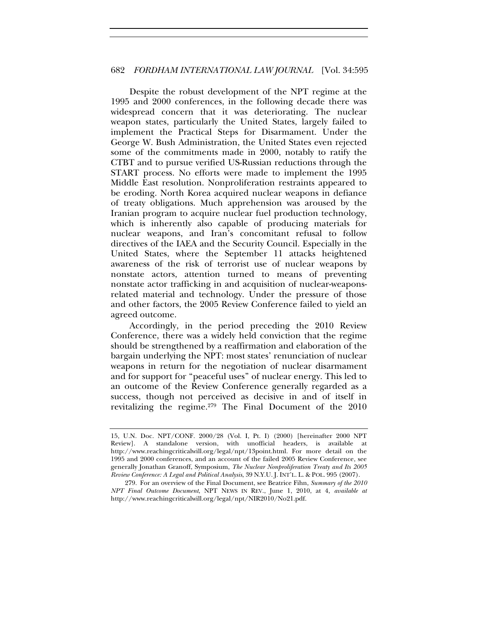Despite the robust development of the NPT regime at the 1995 and 2000 conferences, in the following decade there was widespread concern that it was deteriorating. The nuclear weapon states, particularly the United States, largely failed to implement the Practical Steps for Disarmament. Under the George W. Bush Administration, the United States even rejected some of the commitments made in 2000, notably to ratify the CTBT and to pursue verified US-Russian reductions through the START process. No efforts were made to implement the 1995 Middle East resolution. Nonproliferation restraints appeared to be eroding. North Korea acquired nuclear weapons in defiance of treaty obligations. Much apprehension was aroused by the Iranian program to acquire nuclear fuel production technology, which is inherently also capable of producing materials for nuclear weapons, and Iran's concomitant refusal to follow directives of the IAEA and the Security Council. Especially in the United States, where the September 11 attacks heightened awareness of the risk of terrorist use of nuclear weapons by nonstate actors, attention turned to means of preventing nonstate actor trafficking in and acquisition of nuclear-weaponsrelated material and technology. Under the pressure of those and other factors, the 2005 Review Conference failed to yield an agreed outcome.

Accordingly, in the period preceding the 2010 Review Conference, there was a widely held conviction that the regime should be strengthened by a reaffirmation and elaboration of the bargain underlying the NPT: most states' renunciation of nuclear weapons in return for the negotiation of nuclear disarmament and for support for "peaceful uses" of nuclear energy. This led to an outcome of the Review Conference generally regarded as a success, though not perceived as decisive in and of itself in revitalizing the regime.279 The Final Document of the 2010

<sup>15,</sup> U.N. Doc. NPT/CONF. 2000/28 (Vol. I, Pt. I) (2000) [hereinafter 2000 NPT Review]. A standalone version, with unofficial headers, is available at http://www.reachingcriticalwill.org/legal/npt/13point.html. For more detail on the 1995 and 2000 conferences, and an account of the failed 2005 Review Conference, see generally Jonathan Granoff, Symposium, *The Nuclear Nonproliferation Treaty and Its 2005 Review Conference: A Legal and Political Analysis*, 39 N.Y.U. J. INT'L. L. & POL. 995 (2007).

<sup>279.</sup> For an overview of the Final Document, see Beatrice Fihn, *Summary of the 2010 NPT Final Outcome Document*, NPT NEWS IN REV., June 1, 2010, at 4, *available at*  http://www.reachingcriticalwill.org/legal/npt/NIR2010/No21.pdf.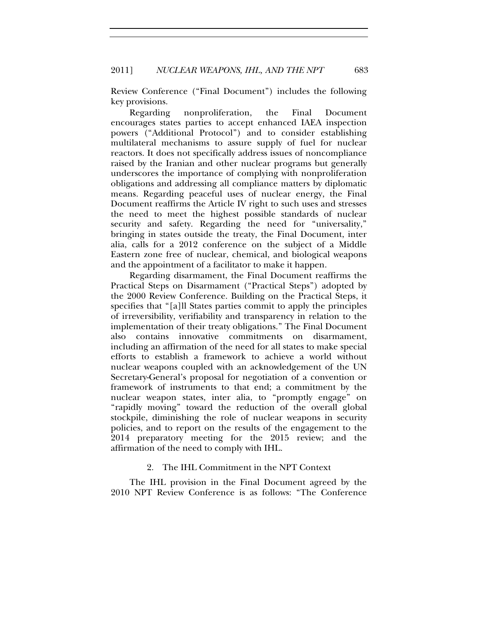Review Conference ("Final Document") includes the following key provisions.

Regarding nonproliferation, the Final Document encourages states parties to accept enhanced IAEA inspection powers ("Additional Protocol") and to consider establishing multilateral mechanisms to assure supply of fuel for nuclear reactors. It does not specifically address issues of noncompliance raised by the Iranian and other nuclear programs but generally underscores the importance of complying with nonproliferation obligations and addressing all compliance matters by diplomatic means. Regarding peaceful uses of nuclear energy, the Final Document reaffirms the Article IV right to such uses and stresses the need to meet the highest possible standards of nuclear security and safety. Regarding the need for "universality," bringing in states outside the treaty, the Final Document, inter alia, calls for a 2012 conference on the subject of a Middle Eastern zone free of nuclear, chemical, and biological weapons and the appointment of a facilitator to make it happen.

Regarding disarmament, the Final Document reaffirms the Practical Steps on Disarmament ("Practical Steps") adopted by the 2000 Review Conference. Building on the Practical Steps, it specifies that "[a]ll States parties commit to apply the principles of irreversibility, verifiability and transparency in relation to the implementation of their treaty obligations." The Final Document also contains innovative commitments on disarmament, including an affirmation of the need for all states to make special efforts to establish a framework to achieve a world without nuclear weapons coupled with an acknowledgement of the UN Secretary-General's proposal for negotiation of a convention or framework of instruments to that end; a commitment by the nuclear weapon states, inter alia, to "promptly engage" on "rapidly moving" toward the reduction of the overall global stockpile, diminishing the role of nuclear weapons in security policies, and to report on the results of the engagement to the 2014 preparatory meeting for the 2015 review; and the affirmation of the need to comply with IHL.

## 2. The IHL Commitment in the NPT Context

The IHL provision in the Final Document agreed by the 2010 NPT Review Conference is as follows: "The Conference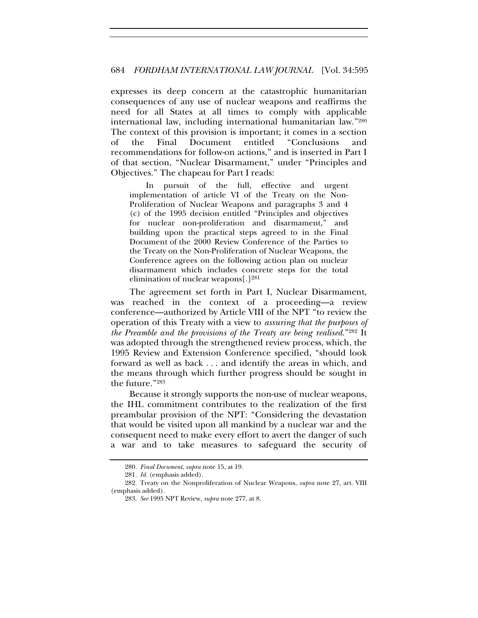expresses its deep concern at the catastrophic humanitarian consequences of any use of nuclear weapons and reaffirms the need for all States at all times to comply with applicable international law, including international humanitarian law."280 The context of this provision is important; it comes in a section of the Final Document entitled "Conclusions and recommendations for follow-on actions," and is inserted in Part I of that section, "Nuclear Disarmament," under "Principles and Objectives." The chapeau for Part I reads:

In pursuit of the full, effective and urgent implementation of article VI of the Treaty on the Non-Proliferation of Nuclear Weapons and paragraphs 3 and 4 (c) of the 1995 decision entitled "Principles and objectives for nuclear non-proliferation and disarmament," and building upon the practical steps agreed to in the Final Document of the 2000 Review Conference of the Parties to the Treaty on the Non-Proliferation of Nuclear Weapons, the Conference agrees on the following action plan on nuclear disarmament which includes concrete steps for the total elimination of nuclear weapons[.]281

The agreement set forth in Part I, Nuclear Disarmament, was reached in the context of a proceeding—a review conference—authorized by Article VIII of the NPT "to review the operation of this Treaty with a view to *assuring that the purposes of the Preamble and the provisions of the Treaty are being realised*."282 It was adopted through the strengthened review process, which, the 1995 Review and Extension Conference specified, "should look forward as well as back . . . and identify the areas in which, and the means through which further progress should be sought in the future."283

Because it strongly supports the non-use of nuclear weapons, the IHL commitment contributes to the realization of the first preambular provision of the NPT: "Considering the devastation that would be visited upon all mankind by a nuclear war and the consequent need to make every effort to avert the danger of such a war and to take measures to safeguard the security of

<sup>280.</sup> *Final Document*, *supra* note 15, at 19.

<sup>281.</sup> *Id.* (emphasis added).

<sup>282.</sup> Treaty on the Nonproliferation of Nuclear Weapons, *supra* note 27, art. VIII (emphasis added).

<sup>283.</sup> *See* 1995 NPT Review, *supra* note 277, at 8.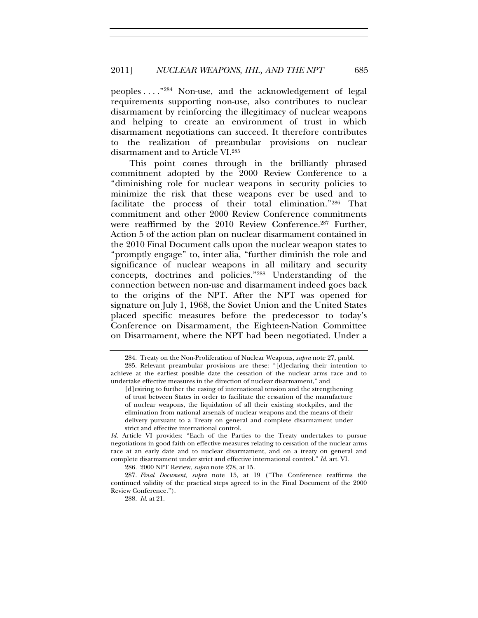peoples . . . ."284 Non-use, and the acknowledgement of legal requirements supporting non-use, also contributes to nuclear disarmament by reinforcing the illegitimacy of nuclear weapons and helping to create an environment of trust in which disarmament negotiations can succeed. It therefore contributes to the realization of preambular provisions on nuclear disarmament and to Article VI.285

This point comes through in the brilliantly phrased commitment adopted by the 2000 Review Conference to a "diminishing role for nuclear weapons in security policies to minimize the risk that these weapons ever be used and to facilitate the process of their total elimination."286 That commitment and other 2000 Review Conference commitments were reaffirmed by the 2010 Review Conference.<sup>287</sup> Further, Action 5 of the action plan on nuclear disarmament contained in the 2010 Final Document calls upon the nuclear weapon states to "promptly engage" to, inter alia, "further diminish the role and significance of nuclear weapons in all military and security concepts, doctrines and policies."288 Understanding of the connection between non-use and disarmament indeed goes back to the origins of the NPT. After the NPT was opened for signature on July 1, 1968, the Soviet Union and the United States placed specific measures before the predecessor to today's Conference on Disarmament, the Eighteen-Nation Committee on Disarmament, where the NPT had been negotiated. Under a

286. 2000 NPT Review, *supra* note 278, at 15.

<sup>284.</sup> Treaty on the Non-Proliferation of Nuclear Weapons, *supra* note 27, pmbl.

<sup>285.</sup> Relevant preambular provisions are these: "[d]eclaring their intention to achieve at the earliest possible date the cessation of the nuclear arms race and to undertake effective measures in the direction of nuclear disarmament," and

<sup>[</sup>d]esiring to further the easing of international tension and the strengthening of trust between States in order to facilitate the cessation of the manufacture of nuclear weapons, the liquidation of all their existing stockpiles, and the elimination from national arsenals of nuclear weapons and the means of their delivery pursuant to a Treaty on general and complete disarmament under strict and effective international control.

*Id.* Article VI provides: "Each of the Parties to the Treaty undertakes to pursue negotiations in good faith on effective measures relating to cessation of the nuclear arms race at an early date and to nuclear disarmament, and on a treaty on general and complete disarmament under strict and effective international control." *Id.* art. VI.

<sup>287.</sup> *Final Document*, *supra* note 15, at 19 ("The Conference reaffirms the continued validity of the practical steps agreed to in the Final Document of the 2000 Review Conference.").

<sup>288.</sup> *Id*. at 21.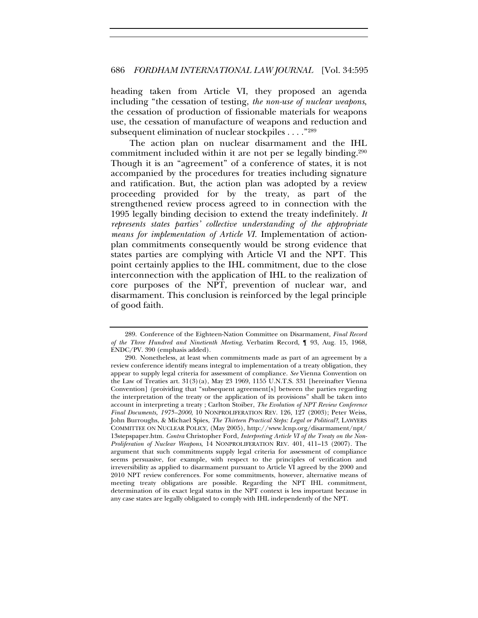heading taken from Article VI, they proposed an agenda including "the cessation of testing, *the non-use of nuclear weapons*, the cessation of production of fissionable materials for weapons use, the cessation of manufacture of weapons and reduction and subsequent elimination of nuclear stockpiles . . . ."289

The action plan on nuclear disarmament and the IHL commitment included within it are not per se legally binding.290 Though it is an "agreement" of a conference of states, it is not accompanied by the procedures for treaties including signature and ratification. But, the action plan was adopted by a review proceeding provided for by the treaty, as part of the strengthened review process agreed to in connection with the 1995 legally binding decision to extend the treaty indefinitely. *It represents states parties' collective understanding of the appropriate means for implementation of Article VI.* Implementation of actionplan commitments consequently would be strong evidence that states parties are complying with Article VI and the NPT. This point certainly applies to the IHL commitment, due to the close interconnection with the application of IHL to the realization of core purposes of the NPT, prevention of nuclear war, and disarmament. This conclusion is reinforced by the legal principle of good faith.

<sup>289.</sup> Conference of the Eighteen-Nation Committee on Disarmament, *Final Record of the Three Hundred and Ninetienth Meeting*, Verbatim Record, ¶ 93, Aug. 15, 1968, ENDC/PV. 390 (emphasis added).

<sup>290.</sup> Nonetheless, at least when commitments made as part of an agreement by a review conference identify means integral to implementation of a treaty obligation, they appear to supply legal criteria for assessment of compliance. *See* Vienna Convention on the Law of Treaties art. 31(3)(a), May 23 1969, 1155 U.N.T.S. 331 [hereinafter Vienna Convention] (proividing that "subsequent agreement[s] between the parties regarding the interpretation of the treaty or the application of its provisions" shall be taken into account in interpreting a treaty ; Carlton Stoiber, *The Evolution of NPT Review Conference Final Documents, 1975–2000*, 10 NONPROLIFERATION REV. 126, 127 (2003); Peter Weiss, John Burroughs, & Michael Spies, *The Thirteen Practical Steps: Legal or Political?*, LAWYERS COMMITTEE ON NUCLEAR POLICY, (May 2005), http://www.lcnp.org/disarmament/npt/ 13stepspaper.htm. *Contra* Christopher Ford, *Interpreting Article VI of the Treaty on the Non-Proliferation of Nuclear Weapons*, 14 NONPROLIFERATION REV. 401, 411–13 (2007). The argument that such commitments supply legal criteria for assessment of compliance seems persuasive, for example, with respect to the principles of verification and irreversibility as applied to disarmament pursuant to Article VI agreed by the 2000 and 2010 NPT review conferences. For some commitments, however, alternative means of meeting treaty obligations are possible. Regarding the NPT IHL commitment, determination of its exact legal status in the NPT context is less important because in any case states are legally obligated to comply with IHL independently of the NPT.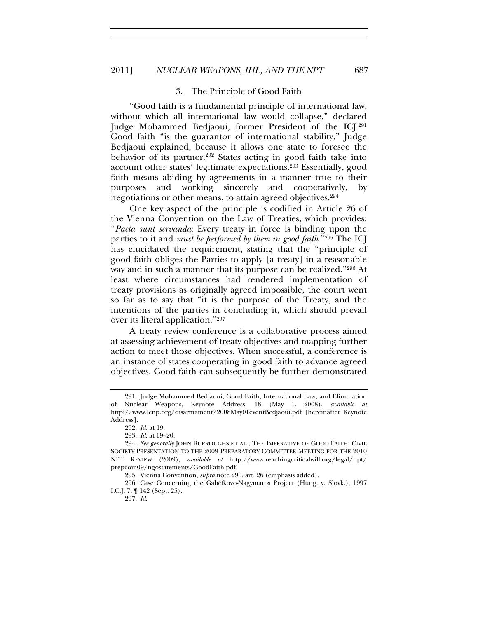#### 3. The Principle of Good Faith

"Good faith is a fundamental principle of international law, without which all international law would collapse," declared Judge Mohammed Bedjaoui, former President of the ICJ.291 Good faith "is the guarantor of international stability," Judge Bedjaoui explained, because it allows one state to foresee the behavior of its partner.<sup>292</sup> States acting in good faith take into account other states' legitimate expectations.293 Essentially, good faith means abiding by agreements in a manner true to their purposes and working sincerely and cooperatively, negotiations or other means, to attain agreed objectives.294

One key aspect of the principle is codified in Article 26 of the Vienna Convention on the Law of Treaties, which provides: "*Pacta sunt servanda*: Every treaty in force is binding upon the parties to it and *must be performed by them in good faith*."295 The ICJ has elucidated the requirement, stating that the "principle of good faith obliges the Parties to apply [a treaty] in a reasonable way and in such a manner that its purpose can be realized."296 At least where circumstances had rendered implementation of treaty provisions as originally agreed impossible, the court went so far as to say that "it is the purpose of the Treaty, and the intentions of the parties in concluding it, which should prevail over its literal application."297

A treaty review conference is a collaborative process aimed at assessing achievement of treaty objectives and mapping further action to meet those objectives. When successful, a conference is an instance of states cooperating in good faith to advance agreed objectives. Good faith can subsequently be further demonstrated

<sup>291.</sup> Judge Mohammed Bedjaoui, Good Faith, International Law, and Elimination of Nuclear Weapons, Keynote Address, 18 (May 1, 2008), *available at*  http://www.lcnp.org/disarmament/2008May01eventBedjaoui.pdf [hereinafter Keynote Address].

<sup>292.</sup> *Id.* at 19.

<sup>293.</sup> *Id*. at 19–20.

<sup>294.</sup> *See generally* JOHN BURROUGHS ET AL*.*, THE IMPERATIVE OF GOOD FAITH: CIVIL SOCIETY PRESENTATION TO THE 2009 PREPARATORY COMMITTEE MEETING FOR THE 2010 NPT REVIEW (2009), *available at* http://www.reachingcriticalwill.org/legal/npt/ prepcom09/ngostatements/GoodFaith.pdf.

<sup>295.</sup> Vienna Convention, *supra* note 290, art. 26 (emphasis added).

<sup>296.</sup> Case Concerning the Gabčíkovo-Nagymaros Project (Hung. v. Slovk.), 1997 I.C.J. 7, ¶ 142 (Sept. 25).

<sup>297.</sup> *Id*.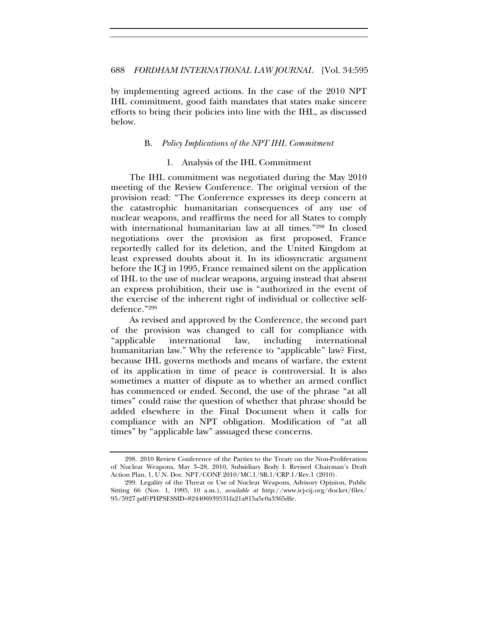by implementing agreed actions. In the case of the 2010 NPT IHL commitment, good faith mandates that states make sincere efforts to bring their policies into line with the IHL, as discussed below.

### B. *Policy Implications of the NPT IHL Commitment*

### 1. Analysis of the IHL Commitment

The IHL commitment was negotiated during the May 2010 meeting of the Review Conference. The original version of the provision read: "The Conference expresses its deep concern at the catastrophic humanitarian consequences of any use of nuclear weapons, and reaffirms the need for all States to comply with international humanitarian law at all times."298 In closed negotiations over the provision as first proposed, France reportedly called for its deletion, and the United Kingdom at least expressed doubts about it. In its idiosyncratic argument before the ICJ in 1995, France remained silent on the application of IHL to the use of nuclear weapons, arguing instead that absent an express prohibition, their use is "authorized in the event of the exercise of the inherent right of individual or collective selfdefence."299

As revised and approved by the Conference, the second part of the provision was changed to call for compliance with "applicable international law, including international humanitarian law." Why the reference to "applicable" law? First, because IHL governs methods and means of warfare, the extent of its application in time of peace is controversial. It is also sometimes a matter of dispute as to whether an armed conflict has commenced or ended. Second, the use of the phrase "at all times" could raise the question of whether that phrase should be added elsewhere in the Final Document when it calls for compliance with an NPT obligation. Modification of "at all times" by "applicable law" assuaged these concerns.

<sup>298. 2010</sup> Review Conference of the Parties to the Treaty on the Non-Proliferation of Nuclear Weapons, May 3–28, 2010, Subsidiary Body I: Revised Chairman's Draft Action Plan, 1, U.N. Doc. NPT/CONF.2010/MC.1/SB.1/CRP.1/Rev.1 (2010).

<sup>299.</sup> Legality of the Threat or Use of Nuclear Weapons, Advisory Opinion, Public Sitting 66 (Nov. 1, 1995, 10 a.m.), *available at* http://www.icj-cij.org/docket/files/ 95/5927.pdf?PHPSESSID=824406939531fa21a815a5c0a3365dfe.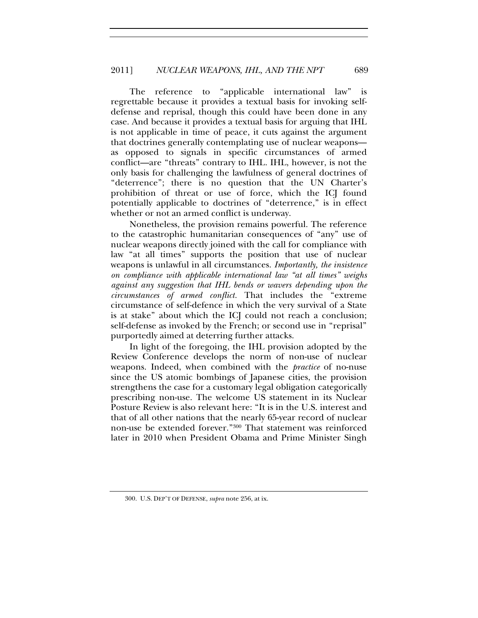The reference to "applicable international law" is regrettable because it provides a textual basis for invoking selfdefense and reprisal, though this could have been done in any case. And because it provides a textual basis for arguing that IHL is not applicable in time of peace, it cuts against the argument that doctrines generally contemplating use of nuclear weapons as opposed to signals in specific circumstances of armed conflict—are "threats" contrary to IHL. IHL, however, is not the only basis for challenging the lawfulness of general doctrines of "deterrence"; there is no question that the UN Charter's prohibition of threat or use of force, which the ICJ found potentially applicable to doctrines of "deterrence," is in effect whether or not an armed conflict is underway.

Nonetheless, the provision remains powerful. The reference to the catastrophic humanitarian consequences of "any" use of nuclear weapons directly joined with the call for compliance with law "at all times" supports the position that use of nuclear weapons is unlawful in all circumstances. *Importantly, the insistence on compliance with applicable international law "at all times" weighs against any suggestion that IHL bends or wavers depending upon the circumstances of armed conflict.* That includes the "extreme circumstance of self-defence in which the very survival of a State is at stake" about which the ICJ could not reach a conclusion; self-defense as invoked by the French; or second use in "reprisal" purportedly aimed at deterring further attacks.

In light of the foregoing, the IHL provision adopted by the Review Conference develops the norm of non-use of nuclear weapons. Indeed, when combined with the *practice* of no-nuse since the US atomic bombings of Japanese cities, the provision strengthens the case for a customary legal obligation categorically prescribing non-use. The welcome US statement in its Nuclear Posture Review is also relevant here: "It is in the U.S. interest and that of all other nations that the nearly 65-year record of nuclear non-use be extended forever."300 That statement was reinforced later in 2010 when President Obama and Prime Minister Singh

<sup>300.</sup> U.S. DEP'T OF DEFENSE, *supra* note 256, at ix.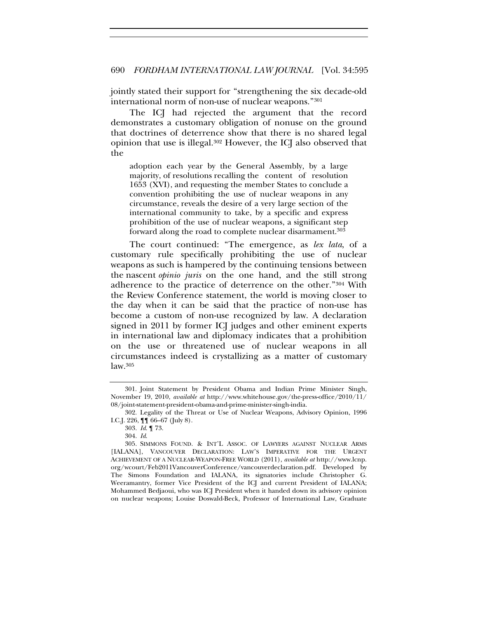jointly stated their support for "strengthening the six decade-old international norm of non-use of nuclear weapons."301

The ICJ had rejected the argument that the record demonstrates a customary obligation of nonuse on the ground that doctrines of deterrence show that there is no shared legal opinion that use is illegal.302 However, the ICJ also observed that the

adoption each year by the General Assembly, by a large majority, of resolutions recalling the content of resolution 1653 (XVI), and requesting the member States to conclude a convention prohibiting the use of nuclear weapons in any circumstance, reveals the desire of a very large section of the international community to take, by a specific and express prohibition of the use of nuclear weapons, a significant step forward along the road to complete nuclear disarmament.<sup>303</sup>

The court continued: "The emergence, as *lex lata*, of a customary rule specifically prohibiting the use of nuclear weapons as such is hampered by the continuing tensions between the nascent *opinio juris* on the one hand, and the still strong adherence to the practice of deterrence on the other."304 With the Review Conference statement, the world is moving closer to the day when it can be said that the practice of non-use has become a custom of non-use recognized by law. A declaration signed in 2011 by former ICJ judges and other eminent experts in international law and diplomacy indicates that a prohibition on the use or threatened use of nuclear weapons in all circumstances indeed is crystallizing as a matter of customary law.305

<sup>301.</sup> Joint Statement by President Obama and Indian Prime Minister Singh, November 19, 2010, *available at* http://www.whitehouse.gov/the-press-office/2010/11/ 08/joint-statement-president-obama-and-prime-minister-singh-india.

<sup>302.</sup> Legality of the Threat or Use of Nuclear Weapons, Advisory Opinion, 1996 I.C.J. 226, ¶¶ 66–67 (July 8).

<sup>303.</sup> *Id*. ¶ 73.

<sup>304.</sup> *Id*.

<sup>305.</sup> SIMMONS FOUND. & INT'L ASSOC. OF LAWYERS AGAINST NUCLEAR ARMS [IALANA], VANCOUVER DECLARATION: LAW'S IMPERATIVE FOR THE URGENT ACHIEVEMENT OF A NUCLEAR-WEAPON-FREE WORLD (2011), *available at* http://www.lcnp. org/wcourt/Feb2011VancouverConference/vancouverdeclaration.pdf. Developed by The Simons Foundation and IALANA, its signatories include Christopher G. Weeramantry, former Vice President of the ICJ and current President of IALANA; Mohammed Bedjaoui, who was ICJ President when it handed down its advisory opinion on nuclear weapons; Louise Doswald-Beck, Professor of International Law, Graduate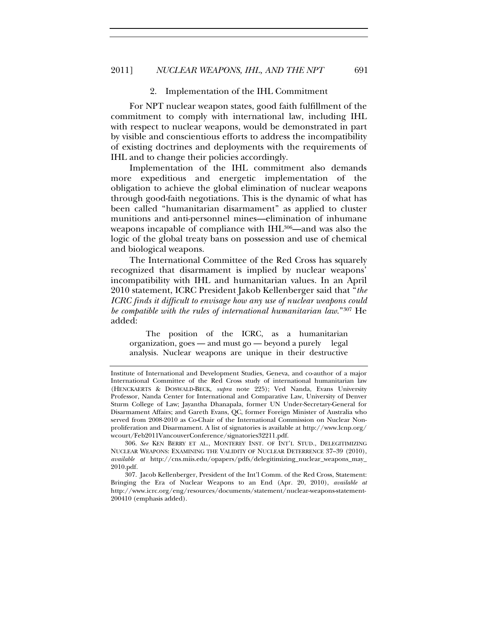#### 2. Implementation of the IHL Commitment

For NPT nuclear weapon states, good faith fulfillment of the commitment to comply with international law, including IHL with respect to nuclear weapons, would be demonstrated in part by visible and conscientious efforts to address the incompatibility of existing doctrines and deployments with the requirements of IHL and to change their policies accordingly.

Implementation of the IHL commitment also demands more expeditious and energetic implementation of the obligation to achieve the global elimination of nuclear weapons through good-faith negotiations. This is the dynamic of what has been called "humanitarian disarmament" as applied to cluster munitions and anti-personnel mines—elimination of inhumane weapons incapable of compliance with IHL306—and was also the logic of the global treaty bans on possession and use of chemical and biological weapons.

The International Committee of the Red Cross has squarely recognized that disarmament is implied by nuclear weapons' incompatibility with IHL and humanitarian values. In an April 2010 statement, ICRC President Jakob Kellenberger said that "*the ICRC finds it difficult to envisage how any use of nuclear weapons could be compatible with the rules of international humanitarian law*."307 He added:

The position of the ICRC, as a humanitarian organization, goes — and must go — beyond a purely legal analysis. Nuclear weapons are unique in their destructive

Institute of International and Development Studies, Geneva, and co-author of a major International Committee of the Red Cross study of international humanitarian law (HENCKAERTS & DOSWALD-BECK, *supra* note 225); Ved Nanda, Evans University Professor, Nanda Center for International and Comparative Law, University of Denver Sturm College of Law; Jayantha Dhanapala, former UN Under-Secretary-General for Disarmament Affairs; and Gareth Evans, QC, former Foreign Minister of Australia who served from 2008-2010 as Co-Chair of the International Commission on Nuclear Nonproliferation and Disarmament. A list of signatories is available at http://www.lcnp.org/ wcourt/Feb2011VancouverConference/signatories32211.pdf.

<sup>306.</sup> *See* KEN BERRY ET AL., MONTEREY INST. OF INT'L STUD., DELEGITIMIZING NUCLEAR WEAPONS: EXAMINING THE VALIDITY OF NUCLEAR DETERRENCE 37–39 (2010), *available at* http://cns.miis.edu/opapers/pdfs/delegitimizing\_nuclear\_weapons\_may\_ 2010.pdf.

<sup>307.</sup> Jacob Kellenberger, President of the Int'l Comm. of the Red Cross, Statement: Bringing the Era of Nuclear Weapons to an End (Apr. 20, 2010), *available at*  http://www.icrc.org/eng/resources/documents/statement/nuclear-weapons-statement-200410 (emphasis added).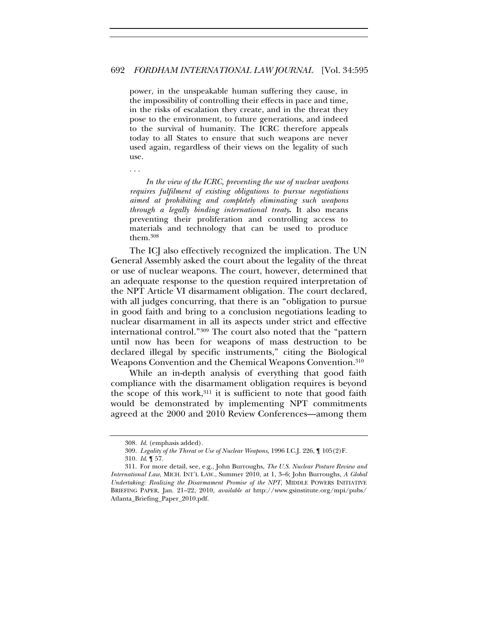power, in the unspeakable human suffering they cause, in the impossibility of controlling their effects in pace and time, in the risks of escalation they create, and in the threat they pose to the environment, to future generations, and indeed to the survival of humanity. The ICRC therefore appeals today to all States to ensure that such weapons are never used again, regardless of their views on the legality of such use.

. . .

*In the view of the ICRC, preventing the use of nuclear weapons requires fulfilment of existing obligations to pursue negotiations aimed at prohibiting and completely eliminating such weapons through a legally binding international treaty***.** It also means preventing their proliferation and controlling access to materials and technology that can be used to produce them.308

The ICJ also effectively recognized the implication. The UN General Assembly asked the court about the legality of the threat or use of nuclear weapons. The court, however, determined that an adequate response to the question required interpretation of the NPT Article VI disarmament obligation. The court declared, with all judges concurring, that there is an "obligation to pursue in good faith and bring to a conclusion negotiations leading to nuclear disarmament in all its aspects under strict and effective international control."309 The court also noted that the "pattern until now has been for weapons of mass destruction to be declared illegal by specific instruments," citing the Biological Weapons Convention and the Chemical Weapons Convention.310

While an in-depth analysis of everything that good faith compliance with the disarmament obligation requires is beyond the scope of this work, $311$  it is sufficient to note that good faith would be demonstrated by implementing NPT commitments agreed at the 2000 and 2010 Review Conferences—among them

<sup>308.</sup> *Id*. (emphasis added).

<sup>309.</sup> *Legality of the Threat or Use of Nuclear Weapons*, 1996 I.C.J. 226, ¶ 105(2)F.

<sup>310.</sup> *Id*. ¶ 57.

<sup>311.</sup> For more detail, see, e.g., John Burroughs, *The U.S. Nuclear Posture Review and International Law*, MICH. INT'L LAW., Summer 2010, at 1, 3–6; John Burroughs, *A Global Undertaking: Realizing the Disarmament Promise of the NPT*, MIDDLE POWERS INITIATIVE BRIEFING PAPER, Jan. 21–22, 2010, *available at* http://www.gsinstitute.org/mpi/pubs/ Atlanta\_Briefing\_Paper\_2010.pdf.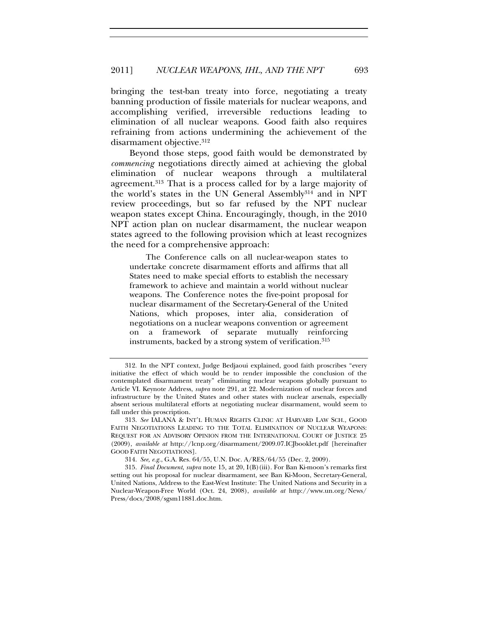bringing the test-ban treaty into force, negotiating a treaty banning production of fissile materials for nuclear weapons, and accomplishing verified, irreversible reductions leading to elimination of all nuclear weapons. Good faith also requires refraining from actions undermining the achievement of the disarmament objective.312

Beyond those steps, good faith would be demonstrated by *commencing* negotiations directly aimed at achieving the global elimination of nuclear weapons through a multilateral agreement.313 That is a process called for by a large majority of the world's states in the UN General Assembly314 and in NPT review proceedings, but so far refused by the NPT nuclear weapon states except China. Encouragingly, though, in the 2010 NPT action plan on nuclear disarmament, the nuclear weapon states agreed to the following provision which at least recognizes the need for a comprehensive approach:

The Conference calls on all nuclear-weapon states to undertake concrete disarmament efforts and affirms that all States need to make special efforts to establish the necessary framework to achieve and maintain a world without nuclear weapons. The Conference notes the five-point proposal for nuclear disarmament of the Secretary-General of the United Nations, which proposes, inter alia, consideration of negotiations on a nuclear weapons convention or agreement on a framework of separate mutually reinforcing instruments, backed by a strong system of verification.<sup>315</sup>

<sup>312.</sup> In the NPT context, Judge Bedjaoui explained, good faith proscribes "every initiative the effect of which would be to render impossible the conclusion of the contemplated disarmament treaty" eliminating nuclear weapons globally pursuant to Article VI. Keynote Address, *supra* note 291, at 22. Modernization of nuclear forces and infrastructure by the United States and other states with nuclear arsenals, especially absent serious multilateral efforts at negotiating nuclear disarmament, would seem to fall under this proscription.

<sup>313.</sup> *See* IALANA & INT'L HUMAN RIGHTS CLINIC AT HARVARD LAW SCH., GOOD FAITH NEGOTIATIONS LEADING TO THE TOTAL ELIMINATION OF NUCLEAR WEAPONS: REQUEST FOR AN ADVISORY OPINION FROM THE INTERNATIONAL COURT OF JUSTICE 25 (2009), *available at* http://lcnp.org/disarmament/2009.07.ICJbooklet.pdf [hereinafter GOOD FAITH NEGOTIATIONS].

<sup>314.</sup> *See, e.g.*, G.A. Res. 64/55, U.N. Doc. A/RES/64/55 (Dec. 2, 2009).

<sup>315.</sup> *Final Document*, *supra* note 15*,* at 20, I(B)(iii). For Ban Ki-moon's remarks first setting out his proposal for nuclear disarmament, see Ban Ki-Moon, Secretary-General, United Nations, Address to the East-West Institute: The United Nations and Security in a Nuclear-Weapon-Free World (Oct. 24, 2008), *available at* http://www.un.org/News/ Press/docs/2008/sgsm11881.doc.htm.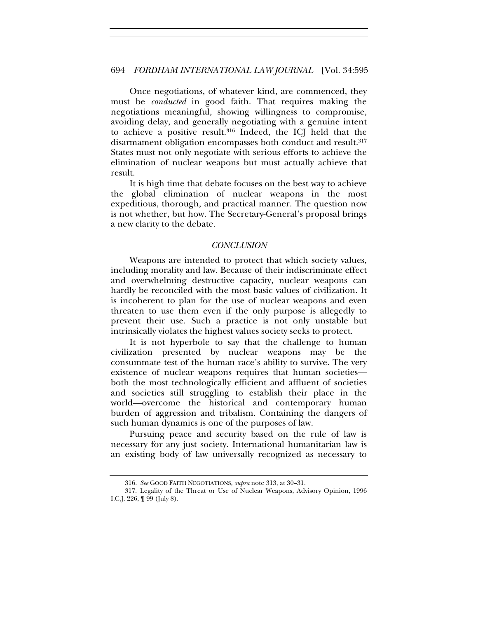Once negotiations, of whatever kind, are commenced, they must be *conducted* in good faith. That requires making the negotiations meaningful, showing willingness to compromise, avoiding delay, and generally negotiating with a genuine intent to achieve a positive result.316 Indeed, the ICJ held that the disarmament obligation encompasses both conduct and result.317 States must not only negotiate with serious efforts to achieve the elimination of nuclear weapons but must actually achieve that result.

It is high time that debate focuses on the best way to achieve the global elimination of nuclear weapons in the most expeditious, thorough, and practical manner. The question now is not whether, but how. The Secretary-General's proposal brings a new clarity to the debate.

### *CONCLUSION*

Weapons are intended to protect that which society values, including morality and law. Because of their indiscriminate effect and overwhelming destructive capacity, nuclear weapons can hardly be reconciled with the most basic values of civilization. It is incoherent to plan for the use of nuclear weapons and even threaten to use them even if the only purpose is allegedly to prevent their use. Such a practice is not only unstable but intrinsically violates the highest values society seeks to protect.

It is not hyperbole to say that the challenge to human civilization presented by nuclear weapons may be the consummate test of the human race's ability to survive. The very existence of nuclear weapons requires that human societies both the most technologically efficient and affluent of societies and societies still struggling to establish their place in the world—overcome the historical and contemporary human burden of aggression and tribalism. Containing the dangers of such human dynamics is one of the purposes of law.

Pursuing peace and security based on the rule of law is necessary for any just society. International humanitarian law is an existing body of law universally recognized as necessary to

<sup>316.</sup> *See* GOOD FAITH NEGOTIATIONS, *supra* note 313, at 30–31.

<sup>317.</sup> Legality of the Threat or Use of Nuclear Weapons, Advisory Opinion, 1996 I.C.J. 226, ¶ 99 (July 8).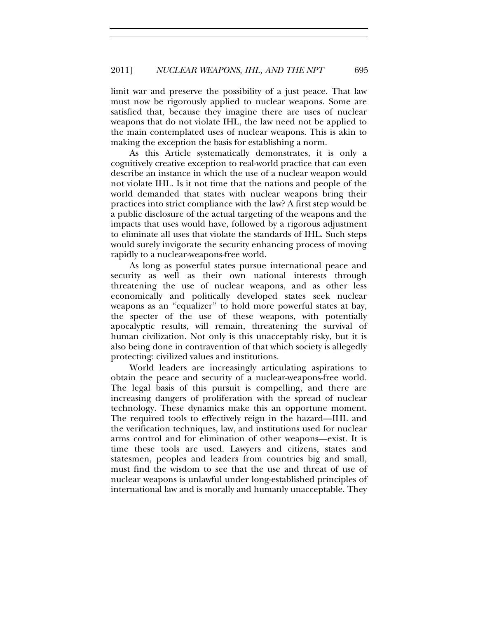limit war and preserve the possibility of a just peace. That law must now be rigorously applied to nuclear weapons. Some are satisfied that, because they imagine there are uses of nuclear weapons that do not violate IHL, the law need not be applied to the main contemplated uses of nuclear weapons. This is akin to making the exception the basis for establishing a norm.

As this Article systematically demonstrates, it is only a cognitively creative exception to real-world practice that can even describe an instance in which the use of a nuclear weapon would not violate IHL. Is it not time that the nations and people of the world demanded that states with nuclear weapons bring their practices into strict compliance with the law? A first step would be a public disclosure of the actual targeting of the weapons and the impacts that uses would have, followed by a rigorous adjustment to eliminate all uses that violate the standards of IHL. Such steps would surely invigorate the security enhancing process of moving rapidly to a nuclear-weapons-free world.

As long as powerful states pursue international peace and security as well as their own national interests through threatening the use of nuclear weapons, and as other less economically and politically developed states seek nuclear weapons as an "equalizer" to hold more powerful states at bay, the specter of the use of these weapons, with potentially apocalyptic results, will remain, threatening the survival of human civilization. Not only is this unacceptably risky, but it is also being done in contravention of that which society is allegedly protecting: civilized values and institutions.

World leaders are increasingly articulating aspirations to obtain the peace and security of a nuclear-weapons-free world. The legal basis of this pursuit is compelling, and there are increasing dangers of proliferation with the spread of nuclear technology. These dynamics make this an opportune moment. The required tools to effectively reign in the hazard—IHL and the verification techniques, law, and institutions used for nuclear arms control and for elimination of other weapons—exist. It is time these tools are used. Lawyers and citizens, states and statesmen, peoples and leaders from countries big and small, must find the wisdom to see that the use and threat of use of nuclear weapons is unlawful under long-established principles of international law and is morally and humanly unacceptable. They